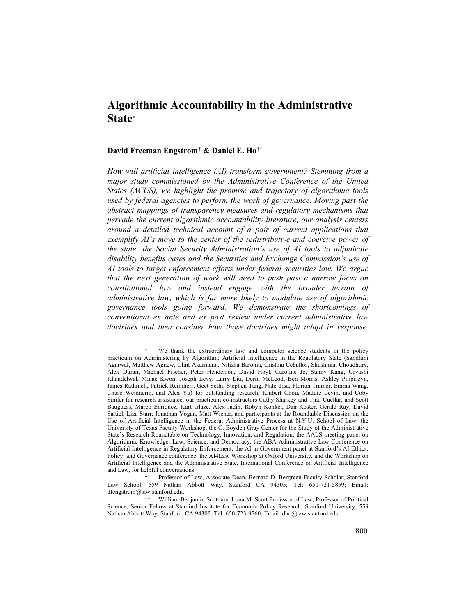# **Algorithmic Accountability in the Administrative State[\\*](#page-0-0)**

### **David Freeman Engstrom[†](#page-0-1) & Daniel E. Ho[††](#page-0-2)**

*How will artificial intelligence (AI) transform government? Stemming from a major study commissioned by the Administrative Conference of the United States (ACUS), we highlight the promise and trajectory of algorithmic tools used by federal agencies to perform the work of governance. Moving past the abstract mappings of transparency measures and regulatory mechanisms that pervade the current algorithmic accountability literature, our analysis centers around a detailed technical account of a pair of current applications that exemplify AI's move to the center of the redistributive and coercive power of the state: the Social Security Administration's use of AI tools to adjudicate disability benefits cases and the Securities and Exchange Commission's use of AI tools to target enforcement efforts under federal securities law. We argue that the next generation of work will need to push past a narrow focus on constitutional law and instead engage with the broader terrain of administrative law, which is far more likely to modulate use of algorithmic governance tools going forward. We demonstrate the shortcomings of conventional ex ante and ex post review under current administrative law doctrines and then consider how those doctrines might adapt in response.* 

<span id="page-0-0"></span><sup>\*</sup> We thank the extraordinary law and computer science students in the policy practicum on Administering by Algorithm: Artificial Intelligence in the Regulatory State (Sandhini Agarwal, Matthew Agnew, Clint Akarmann, Nitisha Baronia, Cristina Ceballos, Shushman Choudhury, Alex Duran, Michael Fischer, Peter Henderson, David Hoyt, Caroline Jo, Sunny Kang, Urvashi Khandelwal, Minae Kwon, Joseph Levy, Larry Liu, Derin McLeod, Ben Morris, Ashley Pilipiszyn, James Rathmell, Patrick Reimherr, Geet Sethi, Stephen Tang, Nate Tisa, Florian Tramer, Emma Wang, Chase Weidnerm, and Alex Yu) for outstanding research, Kinbert Chou, Maddie Levin, and Coby Simler for research assistance, our practicum co-instructors Cathy Sharkey and Tino Cuéllar, and Scott Bauguess, Marco Enriquez, Kurt Glaze, Alex Jadin, Robyn Konkel, Dan Koster, Gerald Ray, David Saltiel, Liza Starr, Jonathan Vogan, Matt Wiener, and participants at the Roundtable Discussion on the Use of Artificial Intelligence in the Federal Administrative Process at N.Y.U. School of Law, the University of Texas Faculty Workshop, the C. Boyden Gray Center for the Study of the Administrative State's Research Roundtable on Technology, Innovation, and Regulation, the AALS meeting panel on Algorithmic Knowledge: Law, Science, and Democracy, the ABA Administrative Law Conference on Artificial Intelligence in Regulatory Enforcement, the AI in Government panel at Stanford's AI Ethics, Policy, and Governance conference, the AI4Law Workshop at Oxford University, and the Workshop on Artificial Intelligence and the Administrative State, International Conference on Artificial Intelligence and Law, for helpful conversations.

<span id="page-0-1"></span><sup>†</sup> Professor of Law, Associate Dean, Bernard D. Bergreen Faculty Scholar; Stanford Law School, 559 Nathan Abbott Way, Stanford CA 94305; Tel: 650-721-5859; Email: dfengstrom@law.stanford.edu.

<span id="page-0-2"></span><sup>††</sup> William Benjamin Scott and Luna M. Scott Professor of Law; Professor of Political Science; Senior Fellow at Stanford Institute for Economic Policy Research; Stanford University, 559 Nathan Abbott Way, Stanford, CA 94305; Tel: 650-723-9560; Email: dho@law.stanford.edu.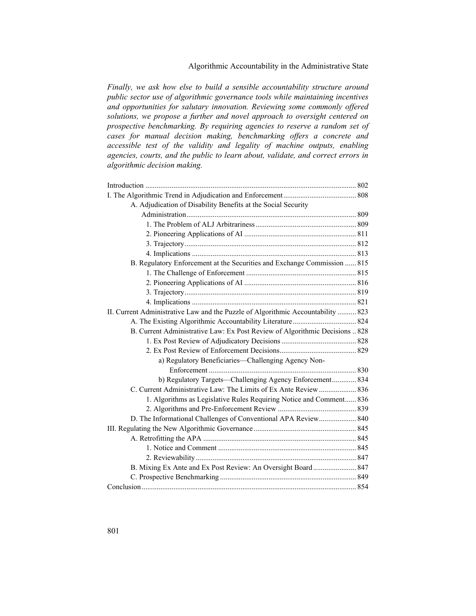# Algorithmic Accountability in the Administrative State

*Finally, we ask how else to build a sensible accountability structure around public sector use of algorithmic governance tools while maintaining incentives and opportunities for salutary innovation. Reviewing some commonly offered solutions, we propose a further and novel approach to oversight centered on prospective benchmarking. By requiring agencies to reserve a random set of cases for manual decision making, benchmarking offers a concrete and accessible test of the validity and legality of machine outputs, enabling agencies, courts, and the public to learn about, validate, and correct errors in algorithmic decision making.*

| A. Adjudication of Disability Benefits at the Social Security                    |  |
|----------------------------------------------------------------------------------|--|
|                                                                                  |  |
|                                                                                  |  |
|                                                                                  |  |
|                                                                                  |  |
|                                                                                  |  |
| B. Regulatory Enforcement at the Securities and Exchange Commission  815         |  |
|                                                                                  |  |
|                                                                                  |  |
|                                                                                  |  |
|                                                                                  |  |
| II. Current Administrative Law and the Puzzle of Algorithmic Accountability  823 |  |
|                                                                                  |  |
| B. Current Administrative Law: Ex Post Review of Algorithmic Decisions  828      |  |
|                                                                                  |  |
|                                                                                  |  |
| a) Regulatory Beneficiaries—Challenging Agency Non-                              |  |
|                                                                                  |  |
| b) Regulatory Targets-Challenging Agency Enforcement 834                         |  |
| C. Current Administrative Law: The Limits of Ex Ante Review  836                 |  |
| 1. Algorithms as Legislative Rules Requiring Notice and Comment 836              |  |
|                                                                                  |  |
| D. The Informational Challenges of Conventional APA Review 840                   |  |
|                                                                                  |  |
|                                                                                  |  |
|                                                                                  |  |
|                                                                                  |  |
| B. Mixing Ex Ante and Ex Post Review: An Oversight Board 847                     |  |
|                                                                                  |  |
|                                                                                  |  |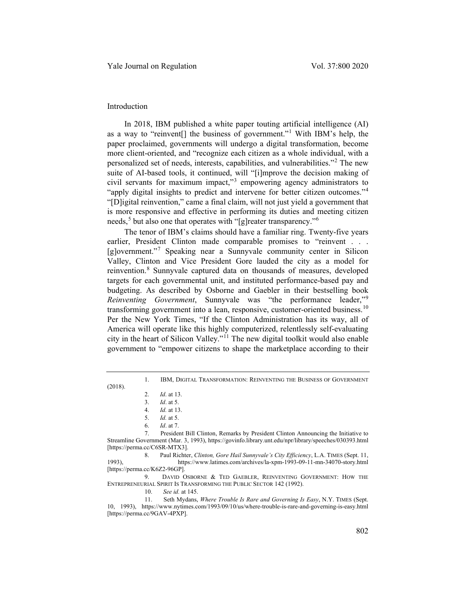#### Introduction

In 2018, IBM published a white paper touting artificial intelligence (AI) as a way to "reinvent[] the business of government."[1](#page-2-0) With IBM's help, the paper proclaimed, governments will undergo a digital transformation, become more client-oriented, and "recognize each citizen as a whole individual, with a personalized set of needs, interests, capabilities, and vulnerabilities."[2](#page-2-1) The new suite of AI-based tools, it continued, will "[i]mprove the decision making of civil servants for maximum impact,"[3](#page-2-2) empowering agency administrators to "apply digital insights to predict and intervene for better citizen outcomes."[4](#page-2-3) "[D]igital reinvention," came a final claim, will not just yield a government that is more responsive and effective in performing its duties and meeting citizen needs,<sup>[5](#page-2-4)</sup> but also one that operates with "[g]reater transparency."<sup>[6](#page-2-5)</sup>

The tenor of IBM's claims should have a familiar ring. Twenty-five years earlier, President Clinton made comparable promises to "reinvent . . . [g]overnment."[7](#page-2-6) Speaking near a Sunnyvale community center in Silicon Valley, Clinton and Vice President Gore lauded the city as a model for reinvention.[8](#page-2-7) Sunnyvale captured data on thousands of measures, developed targets for each governmental unit, and instituted performance-based pay and budgeting. As described by Osborne and Gaebler in their bestselling book *Reinventing Government*, Sunnyvale was "the performance leader,"[9](#page-2-8) transforming government into a lean, responsive, customer-oriented business.<sup>[10](#page-2-9)</sup> Per the New York Times, "If the Clinton Administration has its way, all of America will operate like this highly computerized, relentlessly self-evaluating city in the heart of Silicon Valley."<sup>[11](#page-2-10)</sup> The new digital toolkit would also enable government to "empower citizens to shape the marketplace according to their

<span id="page-2-3"></span><span id="page-2-2"></span><span id="page-2-1"></span><span id="page-2-0"></span>(2018).

10. *See id.* at 145.

<span id="page-2-10"></span><span id="page-2-9"></span>11. Seth Mydans, *Where Trouble Is Rare and Governing Is Easy*, N.Y. TIMES (Sept. 10, 1993), https://www.nytimes.com/1993/09/10/us/where-trouble-is-rare-and-governing-is-easy.html [https://perma.cc/9GAV-4PXP].

<span id="page-2-11"></span><sup>1.</sup> IBM, DIGITAL TRANSFORMATION: REINVENTING THE BUSINESS OF GOVERNMENT

<sup>2.</sup> *Id*. at 13.

<sup>3.</sup> *Id*. at 5.

<sup>4.</sup> *Id.* at 13.

<sup>5.</sup> *Id.* at 5.

<sup>6.</sup> *Id*. at 7.

<span id="page-2-6"></span><span id="page-2-5"></span><span id="page-2-4"></span><sup>7.</sup> President Bill Clinton, Remarks by President Clinton Announcing the Initiative to Streamline Government (Mar. 3, 1993), https://govinfo.library.unt.edu/npr/library/speeches/030393.html [https://perma.cc/C6SR-MTX3].

<span id="page-2-7"></span><sup>8.</sup> Paul Richter, *Clinton, Gore Hail Sunnyvale's City Efficiency*, L.A. TIMES (Sept. 11, 1993), https://www.latimes.com/archives/la-xpm-1993-09-11-mn-34070-story.html [https://perma.cc/K6Z2-96GP].

<span id="page-2-8"></span><sup>9.</sup> DAVID OSBORNE & TED GAEBLER, REINVENTING GOVERNMENT: HOW THE ENTREPRENEURIAL SPIRIT IS TRANSFORMING THE PUBLIC SECTOR 142 (1992).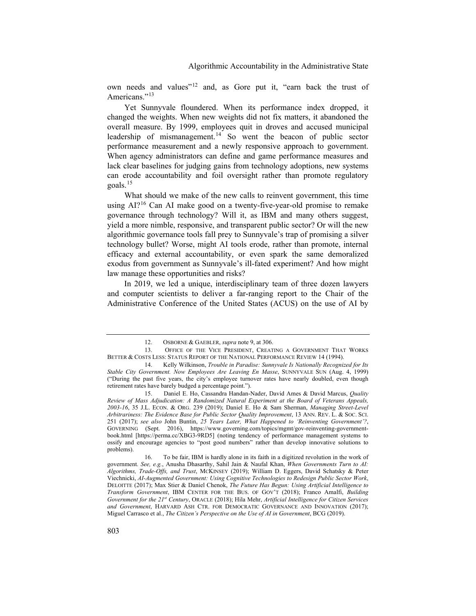own needs and values"<sup>[12](#page-3-0)</sup> and, as Gore put it, "earn back the trust of Americans."<sup>[13](#page-3-1)</sup>

Yet Sunnyvale floundered. When its performance index dropped, it changed the weights. When new weights did not fix matters, it abandoned the overall measure. By 1999, employees quit in droves and accused municipal leadership of mismanagement.<sup>[14](#page-3-2)</sup> So went the beacon of public sector performance measurement and a newly responsive approach to government. When agency administrators can define and game performance measures and lack clear baselines for judging gains from technology adoptions, new systems can erode accountability and foil oversight rather than promote regulatory goals.[15](#page-3-3)

<span id="page-3-5"></span>What should we make of the new calls to reinvent government, this time using AI?<sup>[16](#page-3-4)</sup> Can AI make good on a twenty-five-year-old promise to remake governance through technology? Will it, as IBM and many others suggest, yield a more nimble, responsive, and transparent public sector? Or will the new algorithmic governance tools fall prey to Sunnyvale's trap of promising a silver technology bullet? Worse, might AI tools erode, rather than promote, internal efficacy and external accountability, or even spark the same demoralized exodus from government as Sunnyvale's ill-fated experiment? And how might law manage these opportunities and risks?

In 2019, we led a unique, interdisciplinary team of three dozen lawyers and computer scientists to deliver a far-ranging report to the Chair of the Administrative Conference of the United States (ACUS) on the use of AI by

<sup>12.</sup> OSBORNE & GAEBLER, *supra* not[e 9,](#page-2-11) at 306.

<span id="page-3-1"></span><span id="page-3-0"></span><sup>13.</sup> OFFICE OF THE VICE PRESIDENT, CREATING A GOVERNMENT THAT WORKS BETTER & COSTS LESS: STATUS REPORT OF THE NATIONAL PERFORMANCE REVIEW 14 (1994).

<span id="page-3-2"></span><sup>14.</sup> Kelly Wilkinson, *Trouble in Paradise: Sunnyvale Is Nationally Recognized for Its Stable City Government. Now Employees Are Leaving En Masse*, SUNNYVALE SUN (Aug. 4, 1999) ("During the past five years, the city's employee turnover rates have nearly doubled, even though retirement rates have barely budged a percentage point.").

<span id="page-3-3"></span><sup>15.</sup> Daniel E. Ho, Cassandra Handan-Nader, David Ames & David Marcus, *Quality Review of Mass Adjudication: A Randomized Natural Experiment at the Board of Veterans Appeals, 2003-16*, 35 J.L. ECON. & ORG. 239 (2019); Daniel E. Ho & Sam Sherman, *Managing Street-Level Arbitrariness: The Evidence Base for Public Sector Quality Improvement*, 13 ANN. REV. L. & SOC. SCI. 251 (2017); *see also* John Buntin, *25 Years Later, What Happened to 'Reinventing Government'?*, GOVERNING (Sept. 2016), https://www.governing.com/topics/mgmt/gov-reinventing-governmentbook.html [https://perma.cc/XBG3-9RD5] (noting tendency of performance management systems to ossify and encourage agencies to "post good numbers" rather than develop innovative solutions to problems).

<span id="page-3-4"></span><sup>16.</sup> To be fair, IBM is hardly alone in its faith in a digitized revolution in the work of government. *See, e.g.*, Anusha Dhasarthy, Sahil Jain & Naufal Khan, *When Governments Turn to AI: Algorithms, Trade-Offs, and Trust*, MCKINSEY (2019); William D. Eggers, David Schatsky & Peter Viechnicki, *AI-Augmented Government: Using Cognitive Technologies to Redesign Public Sector Work*, DELOITTE (2017); Max Stier & Daniel Chenok, *The Future Has Begun: Using Artificial Intelligence to Transform Government*, IBM CENTER FOR THE BUS. OF GOV'T (2018); Franco Amalfi, *Building Government for the 21st Century*, ORACLE (2018); Hila Mehr, *Artificial Intelligence for Citizen Services and Government*, HARVARD ASH CTR. FOR DEMOCRATIC GOVERNANCE AND INNOVATION (2017); Miguel Carrasco et al., *The Citizen's Perspective on the Use of AI in Government*, BCG (2019).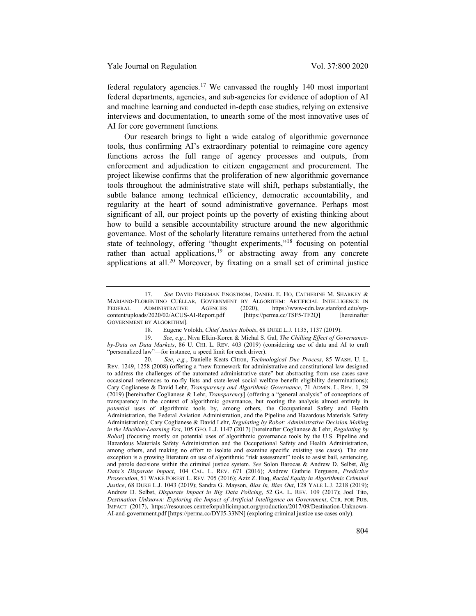<span id="page-4-6"></span>federal regulatory agencies.<sup>[17](#page-4-0)</sup> We canvassed the roughly 140 most important federal departments, agencies, and sub-agencies for evidence of adoption of AI and machine learning and conducted in-depth case studies, relying on extensive interviews and documentation, to unearth some of the most innovative uses of AI for core government functions.

Our research brings to light a wide catalog of algorithmic governance tools, thus confirming AI's extraordinary potential to reimagine core agency functions across the full range of agency processes and outputs, from enforcement and adjudication to citizen engagement and procurement. The project likewise confirms that the proliferation of new algorithmic governance tools throughout the administrative state will shift, perhaps substantially, the subtle balance among technical efficiency, democratic accountability, and regularity at the heart of sound administrative governance. Perhaps most significant of all, our project points up the poverty of existing thinking about how to build a sensible accountability structure around the new algorithmic governance. Most of the scholarly literature remains untethered from the actual state of technology, offering "thought experiments,"<sup>[18](#page-4-1)</sup> focusing on potential rather than actual applications,<sup>[19](#page-4-2)</sup> or abstracting away from any concrete applications at all.<sup>[20](#page-4-3)</sup> Moreover, by fixating on a small set of criminal justice

<span id="page-4-4"></span><span id="page-4-0"></span><sup>17.</sup> *See* DAVID FREEMAN ENGSTROM, DANIEL E. HO, CATHERINE M. SHARKEY & MARIANO-FLORENTINO CUÉLLAR, GOVERNMENT BY ALGORITHM: ARTIFICIAL INTELLIGENCE IN PEDERAL ADMINISTRATIVE AGENCIES (2020), https://www-cdn.law.stanford.edu/wp-<br>
[https://perma.cc/TSF5-TF2Q] [hereinafter content/uploads/2020/02/ACUS-AI-Report.pdf [https://perma.cc/TSF5-TF2Q] [hereinafter GOVERNMENT BY ALGORITHM].

<span id="page-4-5"></span><sup>18.</sup> Eugene Volokh, *Chief Justice Robots*, 68 DUKE L.J. 1135, 1137 (2019).<br>19. See, e.g., Niva Elkin-Koren & Michal S. Gal. *The Chilling Effect of Go* 

<span id="page-4-2"></span><span id="page-4-1"></span><sup>19.</sup> *See*, *e.g.*, Niva Elkin-Koren & Michal S. Gal, *The Chilling Effect of Governanceby-Data on Data Markets*, 86 U. CHI. L. REV. 403 (2019) (considering use of data and AI to craft "personalized law"—for instance, a speed limit for each driver).

<span id="page-4-3"></span><sup>20.</sup> *See*, *e.g.*, Danielle Keats Citron, *Technological Due Process*, 85 WASH. U. L. REV. 1249, 1258 (2008) (offering a "new framework for administrative and constitutional law designed to address the challenges of the automated administrative state" but abstracting from use cases save occasional references to no-fly lists and state-level social welfare benefit eligibility determinations); Cary Coglianese & David Lehr, *Transparency and Algorithmic Governance*, 71 ADMIN. L. REV. 1, 29 (2019) [hereinafter Coglianese & Lehr, *Transparency*] (offering a "general analysis" of conceptions of transparency in the context of algorithmic governance, but rooting the analysis almost entirely in *potential* uses of algorithmic tools by, among others, the Occupational Safety and Health Administration, the Federal Aviation Administration, and the Pipeline and Hazardous Materials Safety Administration); Cary Coglianese & David Lehr, *Regulating by Robot: Administrative Decision Making in the Machine-Learning Era*, 105 GEO. L.J. 1147 (2017) [hereinafter Coglianese & Lehr, *Regulating by Robot*] (focusing mostly on potential uses of algorithmic governance tools by the U.S. Pipeline and Hazardous Materials Safety Administration and the Occupational Safety and Health Administration, among others, and making no effort to isolate and examine specific existing use cases). The one exception is a growing literature on use of algorithmic "risk assessment" tools to assist bail, sentencing, and parole decisions within the criminal justice system. *See* Solon Barocas & Andrew D. Selbst, *Big Data's Disparate Impact*, 104 CAL. L. REV. 671 (2016); Andrew Guthrie Ferguson, *Predictive Prosecution*, 51 WAKE FOREST L. REV. 705 (2016); Aziz Z. Huq, *Racial Equity in Algorithmic Criminal Justice*, 68 DUKE L.J. 1043 (2019); Sandra G. Mayson, *Bias In, Bias Out*, 128 YALE L.J. 2218 (2019); Andrew D. Selbst, *Disparate Impact in Big Data Policing*, 52 GA. L. REV. 109 (2017); Joel Tito, *Destination Unknown: Exploring the Impact of Artificial Intelligence on Government*, CTR. FOR PUB. IMPACT (2017), https://resources.centreforpublicimpact.org/production/2017/09/Destination-Unknown-AI-and-government.pdf [https://perma.cc/DYJ5-33NN] (exploring criminal justice use cases only).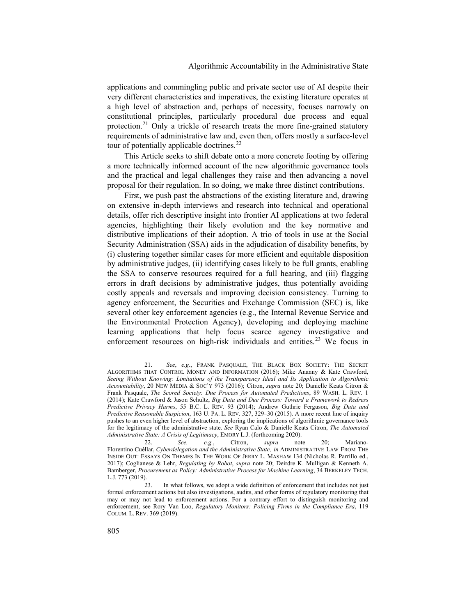applications and commingling public and private sector use of AI despite their very different characteristics and imperatives, the existing literature operates at a high level of abstraction and, perhaps of necessity, focuses narrowly on constitutional principles, particularly procedural due process and equal protection.<sup>[21](#page-5-0)</sup> Only a trickle of research treats the more fine-grained statutory requirements of administrative law and, even then, offers mostly a surface-level tour of potentially applicable doctrines.<sup>[22](#page-5-1)</sup>

<span id="page-5-4"></span><span id="page-5-3"></span>This Article seeks to shift debate onto a more concrete footing by offering a more technically informed account of the new algorithmic governance tools and the practical and legal challenges they raise and then advancing a novel proposal for their regulation. In so doing, we make three distinct contributions.

First, we push past the abstractions of the existing literature and, drawing on extensive in-depth interviews and research into technical and operational details, offer rich descriptive insight into frontier AI applications at two federal agencies, highlighting their likely evolution and the key normative and distributive implications of their adoption. A trio of tools in use at the Social Security Administration (SSA) aids in the adjudication of disability benefits, by (i) clustering together similar cases for more efficient and equitable disposition by administrative judges, (ii) identifying cases likely to be full grants, enabling the SSA to conserve resources required for a full hearing, and (iii) flagging errors in draft decisions by administrative judges, thus potentially avoiding costly appeals and reversals and improving decision consistency. Turning to agency enforcement, the Securities and Exchange Commission (SEC) is, like several other key enforcement agencies (e.g., the Internal Revenue Service and the Environmental Protection Agency), developing and deploying machine learning applications that help focus scarce agency investigative and enforcement resources on high-risk individuals and entities.<sup>[23](#page-5-2)</sup> We focus in

<span id="page-5-0"></span><sup>21.</sup> *See*, *e.g*., FRANK PASQUALE, THE BLACK BOX SOCIETY: THE SECRET ALGORITHMS THAT CONTROL MONEY AND INFORMATION (2016); Mike Ananny & Kate Crawford, *Seeing Without Knowing: Limitations of the Transparency Ideal and Its Application to Algorithmic Accountability*, 20 NEW MEDIA & SOC'Y 973 (2016); Citron, *supra* note [20;](#page-4-4) Danielle Keats Citron & Frank Pasquale, *The Scored Society: Due Process for Automated Predictions*, 89 WASH. L. REV. 1 (2014); Kate Crawford & Jason Schultz, *Big Data and Due Process: Toward a Framework to Redress Predictive Privacy Harms*, 55 B.C. L. REV. 93 (2014); Andrew Guthrie Ferguson, *Big Data and Predictive Reasonable Suspicion*, 163 U. PA. L. REV. 327, 329–30 (2015). A more recent line of inquiry pushes to an even higher level of abstraction, exploring the implications of algorithmic governance tools for the legitimacy of the administrative state. *See* Ryan Calo & Danielle Keats Citron, *The Automated Administrative State: A Crisis of Legitimacy*, EMORY L.J. (forthcoming 2020).

<span id="page-5-1"></span><sup>22.</sup> *See, e.g.*, Citron, *supra* note [20;](#page-4-4) Mariano-Florentino Cuéllar, *Cyberdelegation and the Administrative State, in* ADMINISTRATIVE LAW FROM THE INSIDE OUT: ESSAYS ON THEMES IN THE WORK OF JERRY L. MASHAW 134 (Nicholas R. Parrillo ed., 2017); Coglianese & Lehr, *Regulating by Robot*, *supra* note [20;](#page-4-4) Deirdre K. Mulligan & Kenneth A. Bamberger, *Procurement as Policy: Administrative Process for Machine Learning*, 34 BERKELEY TECH. L.J. 773 (2019).

<span id="page-5-2"></span><sup>23.</sup> In what follows, we adopt a wide definition of enforcement that includes not just formal enforcement actions but also investigations, audits, and other forms of regulatory monitoring that may or may not lead to enforcement actions. For a contrary effort to distinguish monitoring and enforcement, see Rory Van Loo, *Regulatory Monitors: Policing Firms in the Compliance Era*, 119 COLUM. L. REV. 369 (2019).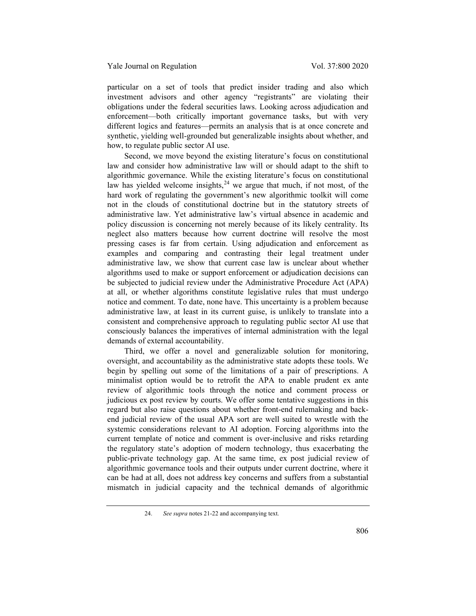particular on a set of tools that predict insider trading and also which investment advisors and other agency "registrants" are violating their obligations under the federal securities laws. Looking across adjudication and enforcement—both critically important governance tasks, but with very different logics and features—permits an analysis that is at once concrete and synthetic, yielding well-grounded but generalizable insights about whether, and how, to regulate public sector AI use.

Second, we move beyond the existing literature's focus on constitutional law and consider how administrative law will or should adapt to the shift to algorithmic governance. While the existing literature's focus on constitutional law has yielded welcome insights, $24$  we argue that much, if not most, of the hard work of regulating the government's new algorithmic toolkit will come not in the clouds of constitutional doctrine but in the statutory streets of administrative law. Yet administrative law's virtual absence in academic and policy discussion is concerning not merely because of its likely centrality. Its neglect also matters because how current doctrine will resolve the most pressing cases is far from certain. Using adjudication and enforcement as examples and comparing and contrasting their legal treatment under administrative law, we show that current case law is unclear about whether algorithms used to make or support enforcement or adjudication decisions can be subjected to judicial review under the Administrative Procedure Act (APA) at all, or whether algorithms constitute legislative rules that must undergo notice and comment. To date, none have. This uncertainty is a problem because administrative law, at least in its current guise, is unlikely to translate into a consistent and comprehensive approach to regulating public sector AI use that consciously balances the imperatives of internal administration with the legal demands of external accountability.

Third, we offer a novel and generalizable solution for monitoring, oversight, and accountability as the administrative state adopts these tools. We begin by spelling out some of the limitations of a pair of prescriptions. A minimalist option would be to retrofit the APA to enable prudent ex ante review of algorithmic tools through the notice and comment process or judicious ex post review by courts. We offer some tentative suggestions in this regard but also raise questions about whether front-end rulemaking and backend judicial review of the usual APA sort are well suited to wrestle with the systemic considerations relevant to AI adoption. Forcing algorithms into the current template of notice and comment is over-inclusive and risks retarding the regulatory state's adoption of modern technology, thus exacerbating the public-private technology gap. At the same time, ex post judicial review of algorithmic governance tools and their outputs under current doctrine, where it can be had at all, does not address key concerns and suffers from a substantial mismatch in judicial capacity and the technical demands of algorithmic

<span id="page-6-0"></span><sup>24.</sup> *See supra* note[s 21](#page-5-3)[-22](#page-5-4) and accompanying text.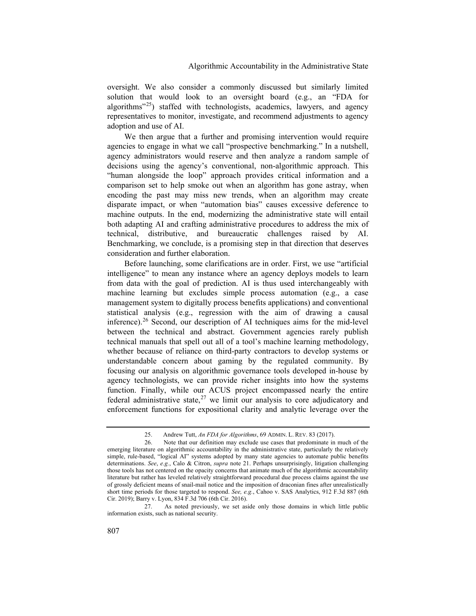<span id="page-7-3"></span>oversight. We also consider a commonly discussed but similarly limited solution that would look to an oversight board (e.g., an "FDA for algorithms"<sup>[25](#page-7-0)</sup>) staffed with technologists, academics, lawyers, and agency representatives to monitor, investigate, and recommend adjustments to agency adoption and use of AI.

We then argue that a further and promising intervention would require agencies to engage in what we call "prospective benchmarking." In a nutshell, agency administrators would reserve and then analyze a random sample of decisions using the agency's conventional, non-algorithmic approach. This "human alongside the loop" approach provides critical information and a comparison set to help smoke out when an algorithm has gone astray, when encoding the past may miss new trends, when an algorithm may create disparate impact, or when "automation bias" causes excessive deference to machine outputs. In the end, modernizing the administrative state will entail both adapting AI and crafting administrative procedures to address the mix of technical, distributive, and bureaucratic challenges raised by AI. Benchmarking, we conclude, is a promising step in that direction that deserves consideration and further elaboration.

Before launching, some clarifications are in order. First, we use "artificial intelligence" to mean any instance where an agency deploys models to learn from data with the goal of prediction. AI is thus used interchangeably with machine learning but excludes simple process automation (e.g., a case management system to digitally process benefits applications) and conventional statistical analysis (e.g., regression with the aim of drawing a causal inference).[26](#page-7-1) Second, our description of AI techniques aims for the mid-level between the technical and abstract. Government agencies rarely publish technical manuals that spell out all of a tool's machine learning methodology, whether because of reliance on third-party contractors to develop systems or understandable concern about gaming by the regulated community. By focusing our analysis on algorithmic governance tools developed in-house by agency technologists, we can provide richer insights into how the systems function. Finally, while our ACUS project encompassed nearly the entire federal administrative state,  $27$  we limit our analysis to core adjudicatory and enforcement functions for expositional clarity and analytic leverage over the

<sup>25.</sup> Andrew Tutt, *An FDA for Algorithms*, 69 ADMIN. L. REV. 83 (2017).

<span id="page-7-1"></span><span id="page-7-0"></span><sup>26.</sup> Note that our definition may exclude use cases that predominate in much of the emerging literature on algorithmic accountability in the administrative state, particularly the relatively simple, rule-based, "logical AI" systems adopted by many state agencies to automate public benefits determinations. *See*, *e.g.*, Calo & Citron, *supra* note [21.](#page-5-3) Perhaps unsurprisingly, litigation challenging those tools has not centered on the opacity concerns that animate much of the algorithmic accountability literature but rather has leveled relatively straightforward procedural due process claims against the use of grossly deficient means of snail-mail notice and the imposition of draconian fines after unrealistically short time periods for those targeted to respond. *See, e.g.*, Cahoo v. SAS Analytics, 912 F.3d 887 (6th Cir. 2019); Barry v. Lyon, 834 F.3d 706 (6th Cir. 2016).

<span id="page-7-2"></span><sup>27.</sup> As noted previously, we set aside only those domains in which little public information exists, such as national security.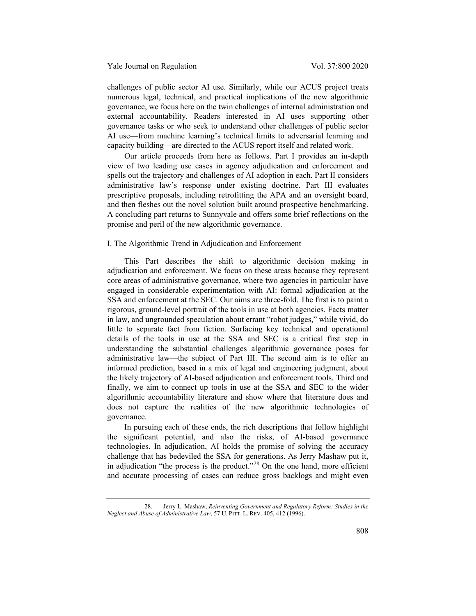challenges of public sector AI use. Similarly, while our ACUS project treats numerous legal, technical, and practical implications of the new algorithmic governance, we focus here on the twin challenges of internal administration and external accountability. Readers interested in AI uses supporting other governance tasks or who seek to understand other challenges of public sector AI use—from machine learning's technical limits to adversarial learning and capacity building—are directed to the ACUS report itself and related work.

Our article proceeds from here as follows. Part I provides an in-depth view of two leading use cases in agency adjudication and enforcement and spells out the trajectory and challenges of AI adoption in each. Part II considers administrative law's response under existing doctrine. Part III evaluates prescriptive proposals, including retrofitting the APA and an oversight board, and then fleshes out the novel solution built around prospective benchmarking. A concluding part returns to Sunnyvale and offers some brief reflections on the promise and peril of the new algorithmic governance.

# I. The Algorithmic Trend in Adjudication and Enforcement

This Part describes the shift to algorithmic decision making in adjudication and enforcement. We focus on these areas because they represent core areas of administrative governance, where two agencies in particular have engaged in considerable experimentation with AI: formal adjudication at the SSA and enforcement at the SEC. Our aims are three-fold. The first is to paint a rigorous, ground-level portrait of the tools in use at both agencies. Facts matter in law, and ungrounded speculation about errant "robot judges," while vivid, do little to separate fact from fiction. Surfacing key technical and operational details of the tools in use at the SSA and SEC is a critical first step in understanding the substantial challenges algorithmic governance poses for administrative law—the subject of Part III. The second aim is to offer an informed prediction, based in a mix of legal and engineering judgment, about the likely trajectory of AI-based adjudication and enforcement tools. Third and finally, we aim to connect up tools in use at the SSA and SEC to the wider algorithmic accountability literature and show where that literature does and does not capture the realities of the new algorithmic technologies of governance.

In pursuing each of these ends, the rich descriptions that follow highlight the significant potential, and also the risks, of AI-based governance technologies. In adjudication, AI holds the promise of solving the accuracy challenge that has bedeviled the SSA for generations. As Jerry Mashaw put it, in adjudication "the process is the product."[28](#page-8-0) On the one hand, more efficient and accurate processing of cases can reduce gross backlogs and might even

<span id="page-8-0"></span><sup>28.</sup> Jerry L. Mashaw, *Reinventing Government and Regulatory Reform: Studies in the Neglect and Abuse of Administrative Law*, 57 U. PITT. L. REV. 405, 412 (1996).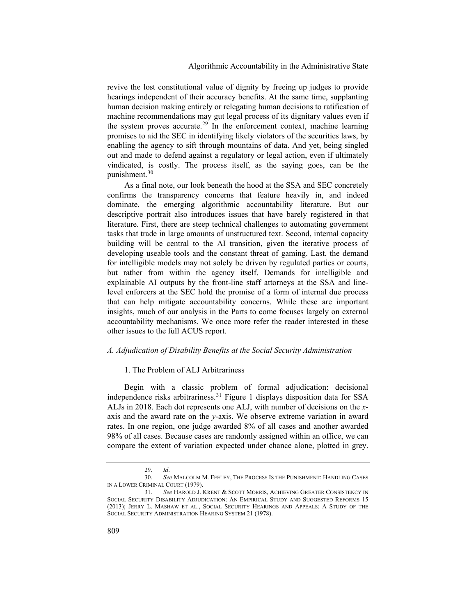revive the lost constitutional value of dignity by freeing up judges to provide hearings independent of their accuracy benefits. At the same time, supplanting human decision making entirely or relegating human decisions to ratification of machine recommendations may gut legal process of its dignitary values even if the system proves accurate.<sup>[29](#page-9-0)</sup> In the enforcement context, machine learning promises to aid the SEC in identifying likely violators of the securities laws, by enabling the agency to sift through mountains of data. And yet, being singled out and made to defend against a regulatory or legal action, even if ultimately vindicated, is costly. The process itself, as the saying goes, can be the punishment.<sup>[30](#page-9-1)</sup>

<span id="page-9-3"></span>As a final note, our look beneath the hood at the SSA and SEC concretely confirms the transparency concerns that feature heavily in, and indeed dominate, the emerging algorithmic accountability literature. But our descriptive portrait also introduces issues that have barely registered in that literature. First, there are steep technical challenges to automating government tasks that trade in large amounts of unstructured text. Second, internal capacity building will be central to the AI transition, given the iterative process of developing useable tools and the constant threat of gaming. Last, the demand for intelligible models may not solely be driven by regulated parties or courts, but rather from within the agency itself. Demands for intelligible and explainable AI outputs by the front-line staff attorneys at the SSA and linelevel enforcers at the SEC hold the promise of a form of internal due process that can help mitigate accountability concerns. While these are important insights, much of our analysis in the Parts to come focuses largely on external accountability mechanisms. We once more refer the reader interested in these other issues to the full ACUS report.

# *A. Adjudication of Disability Benefits at the Social Security Administration*

#### 1. The Problem of ALJ Arbitrariness

Begin with a classic problem of formal adjudication: decisional independence risks arbitrariness.[31](#page-9-2) Figure 1 displays disposition data for SSA ALJs in 2018. Each dot represents one ALJ, with number of decisions on the *x*axis and the award rate on the *y*-axis. We observe extreme variation in award rates. In one region, one judge awarded 8% of all cases and another awarded 98% of all cases. Because cases are randomly assigned within an office, we can compare the extent of variation expected under chance alone, plotted in grey.

<sup>29.</sup> *Id*.

<span id="page-9-1"></span><span id="page-9-0"></span><sup>30.</sup> *See* MALCOLM M. FEELEY, THE PROCESS IS THE PUNISHMENT: HANDLING CASES IN A LOWER CRIMINAL COURT (1979).

<span id="page-9-2"></span><sup>31.</sup> *See* HAROLD J. KRENT & SCOTT MORRIS, ACHIEVING GREATER CONSISTENCY IN SOCIAL SECURITY DISABILITY ADJUDICATION: AN EMPIRICAL STUDY AND SUGGESTED REFORMS 15 (2013); JERRY L. MASHAW ET AL., SOCIAL SECURITY HEARINGS AND APPEALS: A STUDY OF THE SOCIAL SECURITY ADMINISTRATION HEARING SYSTEM 21 (1978).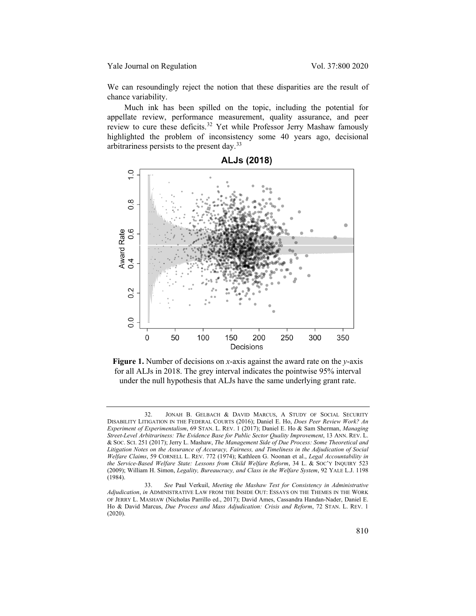Yale Journal on Regulation Vol. 37:800 2020

We can resoundingly reject the notion that these disparities are the result of chance variability.

Much ink has been spilled on the topic, including the potential for appellate review, performance measurement, quality assurance, and peer review to cure these deficits.<sup>[32](#page-10-0)</sup> Yet while Professor Jerry Mashaw famously highlighted the problem of inconsistency some 40 years ago, decisional arbitrariness persists to the present day.[33](#page-10-1)



**Figure 1.** Number of decisions on *x*-axis against the award rate on the *y*-axis for all ALJs in 2018. The grey interval indicates the pointwise 95% interval under the null hypothesis that ALJs have the same underlying grant rate.

**ALJs (2018)** 

<span id="page-10-0"></span><sup>32.</sup> JONAH B. GELBACH & DAVID MARCUS, A STUDY OF SOCIAL SECURITY DISABILITY LITIGATION IN THE FEDERAL COURTS (2016); Daniel E. Ho, *Does Peer Review Work? An Experiment of Experimentalism*, 69 STAN. L. REV. 1 (2017); Daniel E. Ho & Sam Sherman, *Managing Street-Level Arbitrariness: The Evidence Base for Public Sector Quality Improvement*, 13 ANN. REV. L. & SOC. SCI. 251 (2017); Jerry L. Mashaw, *The Management Side of Due Process: Some Theoretical and Litigation Notes on the Assurance of Accuracy, Fairness, and Timeliness in the Adjudication of Social Welfare Claims*, 59 CORNELL L. REV. 772 (1974); Kathleen G. Noonan et al., *Legal Accountability in the Service-Based Welfare State: Lessons from Child Welfare Reform*, 34 L. & SOC'Y INQUIRY 523 (2009); William H. Simon, *Legality, Bureaucracy, and Class in the Welfare System*, 92 YALE L.J. 1198 (1984).

<span id="page-10-1"></span><sup>33.</sup> *See* Paul Verkuil, *Meeting the Mashaw Test for Consistency in Administrative Adjudication*, *in* ADMINISTRATIVE LAW FROM THE INSIDE OUT: ESSAYS ON THE THEMES IN THE WORK OF JERRY L. MASHAW (Nicholas Parrillo ed., 2017); David Ames, Cassandra Handan-Nader, Daniel E. Ho & David Marcus, *Due Process and Mass Adjudication: Crisis and Reform*, 72 STAN. L. REV. 1 (2020).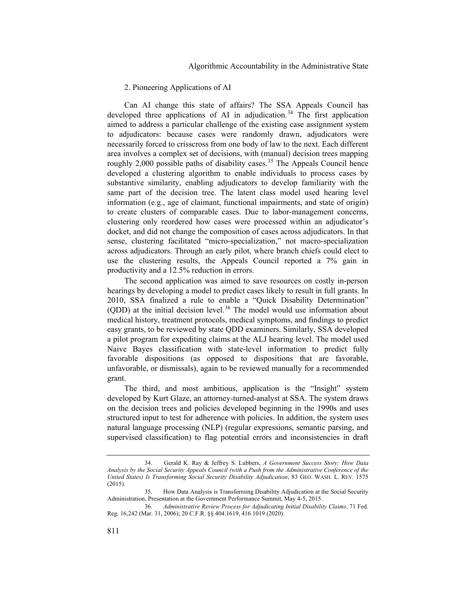#### 2. Pioneering Applications of AI

Can AI change this state of affairs? The SSA Appeals Council has developed three applications of AI in adjudication.<sup>[34](#page-11-0)</sup> The first application aimed to address a particular challenge of the existing case assignment system to adjudicators: because cases were randomly drawn, adjudicators were necessarily forced to crisscross from one body of law to the next. Each different area involves a complex set of decisions, with (manual) decision trees mapping roughly 2,000 possible paths of disability cases.<sup>[35](#page-11-1)</sup> The Appeals Council hence developed a clustering algorithm to enable individuals to process cases by substantive similarity, enabling adjudicators to develop familiarity with the same part of the decision tree. The latent class model used hearing level information (e.g., age of claimant, functional impairments, and state of origin) to create clusters of comparable cases. Due to labor-management concerns, clustering only reordered how cases were processed within an adjudicator's docket, and did not change the composition of cases across adjudicators. In that sense, clustering facilitated "micro-specialization," not macro-specialization across adjudicators. Through an early pilot, where branch chiefs could elect to use the clustering results, the Appeals Council reported a 7% gain in productivity and a 12.5% reduction in errors.

The second application was aimed to save resources on costly in-person hearings by developing a model to predict cases likely to result in full grants. In 2010, SSA finalized a rule to enable a "Quick Disability Determination" (ODD) at the initial decision level.<sup>[36](#page-11-2)</sup> The model would use information about medical history, treatment protocols, medical symptoms, and findings to predict easy grants, to be reviewed by state QDD examiners. Similarly, SSA developed a pilot program for expediting claims at the ALJ hearing level. The model used Naive Bayes classification with state-level information to predict fully favorable dispositions (as opposed to dispositions that are favorable, unfavorable, or dismissals), again to be reviewed manually for a recommended grant.

The third, and most ambitious, application is the "Insight" system developed by Kurt Glaze, an attorney-turned-analyst at SSA. The system draws on the decision trees and policies developed beginning in the 1990s and uses structured input to test for adherence with policies. In addition, the system uses natural language processing (NLP) (regular expressions, semantic parsing, and supervised classification) to flag potential errors and inconsistencies in draft

<span id="page-11-0"></span><sup>34.</sup> Gerald K. Ray & Jeffrey S. Lubbers, *A Government Success Story: How Data Analysis by the Social Security Appeals Council (with a Push from the Administrative Conference of the United States) Is Transforming Social Security Disability Adjudication*, 83 GEO. WASH. L. REV. 1575 (2015).

<span id="page-11-1"></span><sup>35.</sup> How Data Analysis is Transforming Disability Adjudication at the Social Security Administration, Presentation at the Government Performance Summit, May 4-5, 2015.

<span id="page-11-2"></span><sup>36.</sup> *Administrative Review Process for Adjudicating Initial Disability Claims*, 71 Fed. Reg. 16,242 (Mar. 31, 2006); 20 C.F.R. §§ 404.1619, 416.1019 (2020).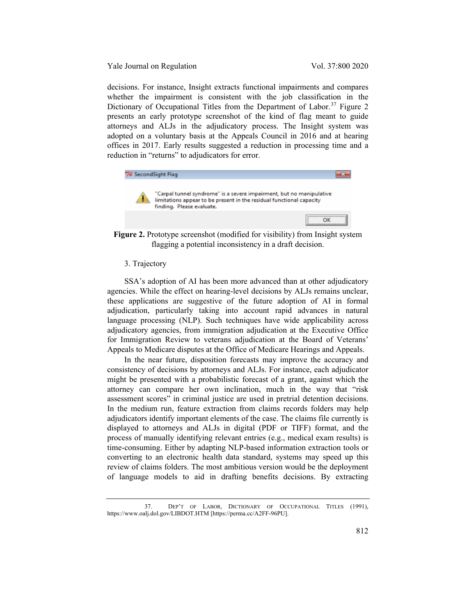Yale Journal on Regulation Vol. 37:800 2020

decisions. For instance, Insight extracts functional impairments and compares whether the impairment is consistent with the job classification in the Dictionary of Occupational Titles from the Department of Labor.<sup>[37](#page-12-0)</sup> Figure 2 presents an early prototype screenshot of the kind of flag meant to guide attorneys and ALJs in the adjudicatory process. The Insight system was adopted on a voluntary basis at the Appeals Council in 2016 and at hearing offices in 2017. Early results suggested a reduction in processing time and a reduction in "returns" to adjudicators for error.



**Figure 2.** Prototype screenshot (modified for visibility) from Insight system flagging a potential inconsistency in a draft decision.

#### 3. Trajectory

SSA's adoption of AI has been more advanced than at other adjudicatory agencies. While the effect on hearing-level decisions by ALJs remains unclear, these applications are suggestive of the future adoption of AI in formal adjudication, particularly taking into account rapid advances in natural language processing (NLP). Such techniques have wide applicability across adjudicatory agencies, from immigration adjudication at the Executive Office for Immigration Review to veterans adjudication at the Board of Veterans' Appeals to Medicare disputes at the Office of Medicare Hearings and Appeals.

In the near future, disposition forecasts may improve the accuracy and consistency of decisions by attorneys and ALJs. For instance, each adjudicator might be presented with a probabilistic forecast of a grant, against which the attorney can compare her own inclination, much in the way that "risk assessment scores" in criminal justice are used in pretrial detention decisions. In the medium run, feature extraction from claims records folders may help adjudicators identify important elements of the case. The claims file currently is displayed to attorneys and ALJs in digital (PDF or TIFF) format, and the process of manually identifying relevant entries (e.g., medical exam results) is time-consuming. Either by adapting NLP-based information extraction tools or converting to an electronic health data standard, systems may speed up this review of claims folders. The most ambitious version would be the deployment of language models to aid in drafting benefits decisions. By extracting

<span id="page-12-0"></span><sup>37.</sup> DEP'T OF LABOR, DICTIONARY OF OCCUPATIONAL TITLES (1991), https://www.oalj.dol.gov/LIBDOT.HTM [https://perma.cc/A2FF-96PU].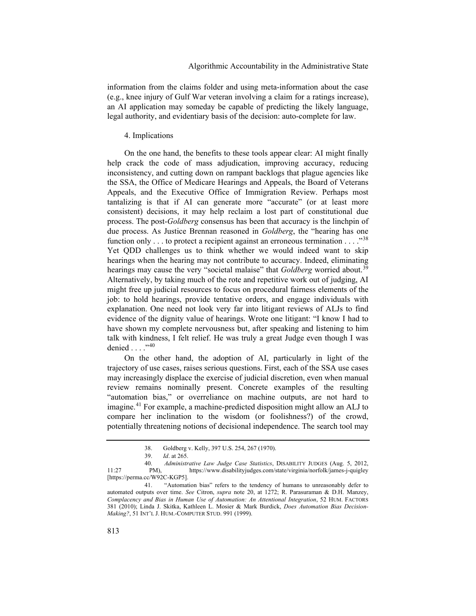information from the claims folder and using meta-information about the case (e.g., knee injury of Gulf War veteran involving a claim for a ratings increase), an AI application may someday be capable of predicting the likely language, legal authority, and evidentiary basis of the decision: auto-complete for law.

#### 4. Implications

On the one hand, the benefits to these tools appear clear: AI might finally help crack the code of mass adjudication, improving accuracy, reducing inconsistency, and cutting down on rampant backlogs that plague agencies like the SSA, the Office of Medicare Hearings and Appeals, the Board of Veterans Appeals, and the Executive Office of Immigration Review. Perhaps most tantalizing is that if AI can generate more "accurate" (or at least more consistent) decisions, it may help reclaim a lost part of constitutional due process. The post-*Goldberg* consensus has been that accuracy is the linchpin of due process. As Justice Brennan reasoned in *Goldberg*, the "hearing has one function only  $\dots$  to protect a recipient against an erroneous termination  $\dots$ ."<sup>[38](#page-13-0)</sup> Yet QDD challenges us to think whether we would indeed want to skip hearings when the hearing may not contribute to accuracy. Indeed, eliminating hearings may cause the very "societal malaise" that *Goldberg* worried about.<sup>[39](#page-13-1)</sup> Alternatively, by taking much of the rote and repetitive work out of judging, AI might free up judicial resources to focus on procedural fairness elements of the job: to hold hearings, provide tentative orders, and engage individuals with explanation. One need not look very far into litigant reviews of ALJs to find evidence of the dignity value of hearings. Wrote one litigant: "I know I had to have shown my complete nervousness but, after speaking and listening to him talk with kindness, I felt relief. He was truly a great Judge even though I was denied . . . . "[40](#page-13-2)

On the other hand, the adoption of AI, particularly in light of the trajectory of use cases, raises serious questions. First, each of the SSA use cases may increasingly displace the exercise of judicial discretion, even when manual review remains nominally present. Concrete examples of the resulting "automation bias," or overreliance on machine outputs, are not hard to imagine.[41](#page-13-3) For example, a machine-predicted disposition might allow an ALJ to compare her inclination to the wisdom (or foolishness?) of the crowd, potentially threatening notions of decisional independence. The search tool may

<span id="page-13-4"></span><sup>38.</sup> Goldberg v. Kelly, 397 U.S. 254, 267 (1970).

<sup>39.</sup> *Id*. at 265.

<span id="page-13-2"></span><span id="page-13-1"></span><span id="page-13-0"></span><sup>40.</sup> *Administrative Law Judge Case Statistics*, DISABILITY JUDGES (Aug. 5, 2012, 11:27 PM), https://www.disabilityjudges.com/state/virginia/norfolk/james-j-quigley [https://perma.cc/W92C-KGP5].

<span id="page-13-3"></span><sup>41.</sup> "Automation bias" refers to the tendency of humans to unreasonably defer to automated outputs over time. *See* Citron, *supra* note [20,](#page-4-4) at 1272; R. Parasuraman & D.H. Manzey, *Complacency and Bias in Human Use of Automation: An Attentional Integration*, 52 HUM. FACTORS 381 (2010); Linda J. Skitka, Kathleen L. Mosier & Mark Burdick, *Does Automation Bias Decision-Making?*, 51 INT'L J. HUM.-COMPUTER STUD. 991 (1999).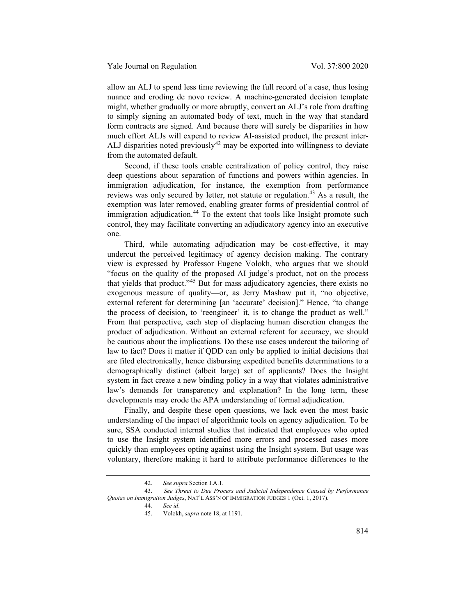allow an ALJ to spend less time reviewing the full record of a case, thus losing nuance and eroding de novo review. A machine-generated decision template might, whether gradually or more abruptly, convert an ALJ's role from drafting to simply signing an automated body of text, much in the way that standard form contracts are signed. And because there will surely be disparities in how much effort ALJs will expend to review AI-assisted product, the present inter-ALJ disparities noted previously<sup>[42](#page-14-0)</sup> may be exported into willingness to deviate from the automated default.

Second, if these tools enable centralization of policy control, they raise deep questions about separation of functions and powers within agencies. In immigration adjudication, for instance, the exemption from performance reviews was only secured by letter, not statute or regulation.<sup>[43](#page-14-1)</sup> As a result, the exemption was later removed, enabling greater forms of presidential control of immigration adjudication.<sup>[44](#page-14-2)</sup> To the extent that tools like Insight promote such control, they may facilitate converting an adjudicatory agency into an executive one.

Third, while automating adjudication may be cost-effective, it may undercut the perceived legitimacy of agency decision making. The contrary view is expressed by Professor Eugene Volokh, who argues that we should "focus on the quality of the proposed AI judge's product, not on the process that yields that product."[45](#page-14-3) But for mass adjudicatory agencies, there exists no exogenous measure of quality—or, as Jerry Mashaw put it, "no objective, external referent for determining [an 'accurate' decision]." Hence, "to change the process of decision, to 'reengineer' it, is to change the product as well." From that perspective, each step of displacing human discretion changes the product of adjudication. Without an external referent for accuracy, we should be cautious about the implications. Do these use cases undercut the tailoring of law to fact? Does it matter if QDD can only be applied to initial decisions that are filed electronically, hence disbursing expedited benefits determinations to a demographically distinct (albeit large) set of applicants? Does the Insight system in fact create a new binding policy in a way that violates administrative law's demands for transparency and explanation? In the long term, these developments may erode the APA understanding of formal adjudication.

Finally, and despite these open questions, we lack even the most basic understanding of the impact of algorithmic tools on agency adjudication. To be sure, SSA conducted internal studies that indicated that employees who opted to use the Insight system identified more errors and processed cases more quickly than employees opting against using the Insight system. But usage was voluntary, therefore making it hard to attribute performance differences to the

<sup>42.</sup> *See supra* Section I.A.1.

<span id="page-14-3"></span><span id="page-14-2"></span><span id="page-14-1"></span><span id="page-14-0"></span><sup>43.</sup> *See Threat to Due Process and Judicial Independence Caused by Performance Quotas on Immigration Judges*, NAT'L ASS'N OF IMMIGRATION JUDGES 1 (Oct. 1, 2017).

<sup>44</sup>*. See id*.

<sup>45.</sup> Volokh, *supra* not[e 18,](#page-4-5) at 1191.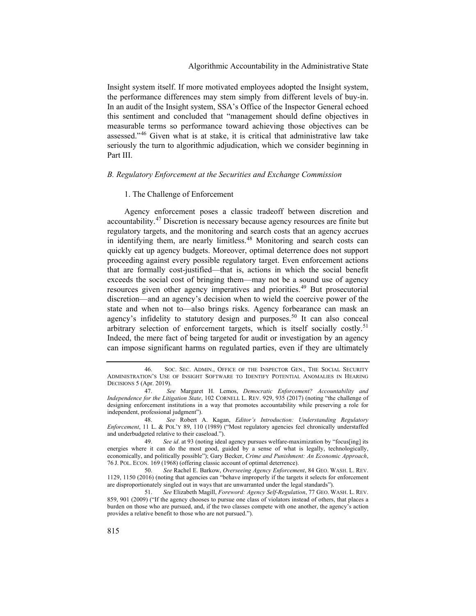# Algorithmic Accountability in the Administrative State

Insight system itself. If more motivated employees adopted the Insight system, the performance differences may stem simply from different levels of buy-in. In an audit of the Insight system, SSA's Office of the Inspector General echoed this sentiment and concluded that "management should define objectives in measurable terms so performance toward achieving those objectives can be assessed."[46](#page-15-0) Given what is at stake, it is critical that administrative law take seriously the turn to algorithmic adjudication, which we consider beginning in Part III.

#### *B. Regulatory Enforcement at the Securities and Exchange Commission*

### <span id="page-15-6"></span>1. The Challenge of Enforcement

Agency enforcement poses a classic tradeoff between discretion and accountability.[47](#page-15-1) Discretion is necessary because agency resources are finite but regulatory targets, and the monitoring and search costs that an agency accrues in identifying them, are nearly limitless.<sup>[48](#page-15-2)</sup> Monitoring and search costs can quickly eat up agency budgets. Moreover, optimal deterrence does not support proceeding against every possible regulatory target. Even enforcement actions that are formally cost-justified—that is, actions in which the social benefit exceeds the social cost of bringing them—may not be a sound use of agency resources given other agency imperatives and priorities.<sup>[49](#page-15-3)</sup> But prosecutorial discretion—and an agency's decision when to wield the coercive power of the state and when not to—also brings risks. Agency forbearance can mask an agency's infidelity to statutory design and purposes.<sup>[50](#page-15-4)</sup> It can also conceal arbitrary selection of enforcement targets, which is itself socially costly.<sup>[51](#page-15-5)</sup> Indeed, the mere fact of being targeted for audit or investigation by an agency can impose significant harms on regulated parties, even if they are ultimately

<span id="page-15-0"></span><sup>46.</sup> SOC. SEC. ADMIN., OFFICE OF THE INSPECTOR GEN., THE SOCIAL SECURITY ADMINISTRATION'S USE OF INSIGHT SOFTWARE TO IDENTIFY POTENTIAL ANOMALIES IN HEARING DECISIONS 5 (Apr. 2019).

<span id="page-15-1"></span><sup>47.</sup> *See* Margaret H. Lemos, *Democratic Enforcement? Accountability and Independence for the Litigation State*, 102 CORNELL L. REV. 929, 935 (2017) (noting "the challenge of designing enforcement institutions in a way that promotes accountability while preserving a role for independent, professional judgment").

<span id="page-15-2"></span><sup>48.</sup> *See* Robert A. Kagan, *Editor's Introduction: Understanding Regulatory Enforcement*, 11 L. & POL'Y 89, 110 (1989) ("Most regulatory agencies feel chronically understaffed and underbudgeted relative to their caseload.").

<span id="page-15-3"></span><sup>49.</sup> *See id*. at 93 (noting ideal agency pursues welfare-maximization by "focus[ing] its energies where it can do the most good, guided by a sense of what is legally, technologically, economically, and politically possible"); Gary Becker, *Crime and Punishment: An Economic Approach*, 76 J. POL. ECON. 169 (1968) (offering classic account of optimal deterrence).

<span id="page-15-4"></span><sup>50.</sup> *See* Rachel E. Barkow, *Overseeing Agency Enforcement*, 84 GEO. WASH. L. REV. 1129, 1150 (2016) (noting that agencies can "behave improperly if the targets it selects for enforcement are disproportionately singled out in ways that are unwarranted under the legal standards").

<span id="page-15-5"></span><sup>51.</sup> *See* Elizabeth Magill, *Foreword: Agency Self-Regulation*, 77 GEO. WASH. L. REV. 859, 901 (2009) ("If the agency chooses to pursue one class of violators instead of others, that places a burden on those who are pursued, and, if the two classes compete with one another, the agency's action provides a relative benefit to those who are not pursued.").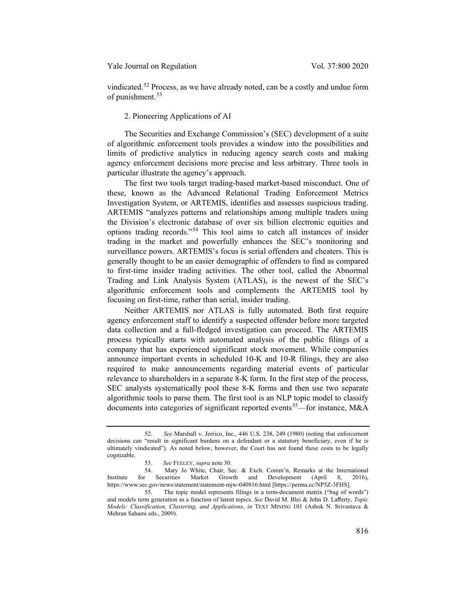vindicated.<sup>[52](#page-16-0)</sup> Process, as we have already noted, can be a costly and undue form of punishment.<sup>[53](#page-16-1)</sup>

## 2. Pioneering Applications of AI

The Securities and Exchange Commission's (SEC) development of a suite of algorithmic enforcement tools provides a window into the possibilities and limits of predictive analytics in reducing agency search costs and making agency enforcement decisions more precise and less arbitrary. Three tools in particular illustrate the agency's approach.

The first two tools target trading-based market-based misconduct. One of these, known as the Advanced Relational Trading Enforcement Metrics Investigation System, or ARTEMIS, identifies and assesses suspicious trading. ARTEMIS "analyzes patterns and relationships among multiple traders using the Division's electronic database of over six billion electronic equities and options trading records."[54](#page-16-2) This tool aims to catch all instances of insider trading in the market and powerfully enhances the SEC's monitoring and surveillance powers. ARTEMIS's focus is serial offenders and cheaters. This is generally thought to be an easier demographic of offenders to find as compared to first-time insider trading activities. The other tool, called the Abnormal Trading and Link Analysis System (ATLAS), is the newest of the SEC's algorithmic enforcement tools and complements the ARTEMIS tool by focusing on first-time, rather than serial, insider trading.

Neither ARTEMIS nor ATLAS is fully automated. Both first require agency enforcement staff to identify a suspected offender before more targeted data collection and a full-fledged investigation can proceed. The ARTEMIS process typically starts with automated analysis of the public filings of a company that has experienced significant stock movement. While companies announce important events in scheduled 10-K and 10-R filings, they are also required to make announcements regarding material events of particular relevance to shareholders in a separate 8-K form. In the first step of the process, SEC analysts systematically pool these 8-K forms and then use two separate algorithmic tools to parse them. The first tool is an NLP topic model to classify documents into categories of significant reported events<sup>[55](#page-16-3)</sup>—for instance, M&A

<span id="page-16-0"></span><sup>52.</sup> *See* Marshall v. Jerrico, Inc., 446 U.S. 238, 249 (1980) (noting that enforcement decisions can "result in significant burdens on a defendant or a statutory beneficiary, even if he is ultimately vindicated"). As noted below, however, the Court has not found these costs to be legally cognizable.

<sup>53.</sup> *See* FEELEY, *supra* not[e 30.](#page-9-3)

<span id="page-16-2"></span><span id="page-16-1"></span><sup>54.</sup> Mary Jo White, Chair, Sec. & Exch. Comm'n, Remarks at the International Institute for Securities Market Growth and Development (April 8, 2016), https://www.sec.gov/news/statement/statement-mjw-040816.html [https://perma.cc/NP5Z-3FHS].

<span id="page-16-3"></span><sup>55.</sup> The topic model represents filings in a term-document matrix ("bag of words") and models term generation as a function of latent topics. *See* David M. Blei & John D. Lafferty, *Topic Models: Classification, Clustering, and Applications*, *in* TEXT MINING 101 (Ashok N. Srivastava & Mehran Sahami eds., 2009).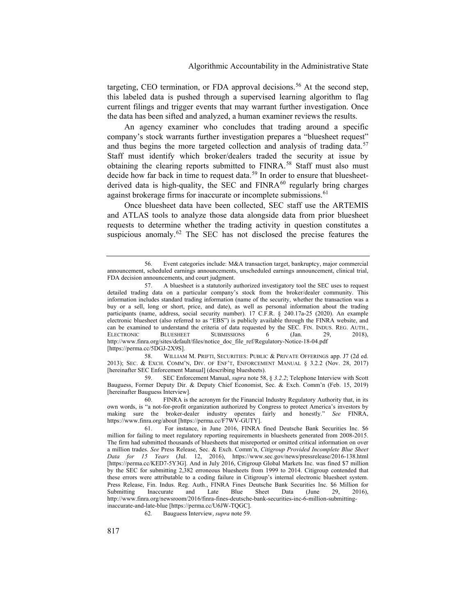targeting, CEO termination, or FDA approval decisions.<sup>[56](#page-17-2)</sup> At the second step, this labeled data is pushed through a supervised learning algorithm to flag current filings and trigger events that may warrant further investigation. Once the data has been sifted and analyzed, a human examiner reviews the results.

<span id="page-17-0"></span>An agency examiner who concludes that trading around a specific company's stock warrants further investigation prepares a "bluesheet request" and thus begins the more targeted collection and analysis of trading data.<sup>[57](#page-17-3)</sup> Staff must identify which broker/dealers traded the security at issue by obtaining the clearing reports submitted to FINRA.<sup>[58](#page-17-4)</sup> Staff must also must decide how far back in time to request data.<sup>[59](#page-17-5)</sup> In order to ensure that bluesheetderived data is high-quality, the SEC and  $FINRA^{60}$  $FINRA^{60}$  $FINRA^{60}$  regularly bring charges against brokerage firms for inaccurate or incomplete submissions.<sup>[61](#page-17-7)</sup>

<span id="page-17-1"></span>Once bluesheet data have been collected, SEC staff use the ARTEMIS and ATLAS tools to analyze those data alongside data from prior bluesheet requests to determine whether the trading activity in question constitutes a suspicious anomaly.<sup>[62](#page-17-8)</sup> The SEC has not disclosed the precise features the

<span id="page-17-4"></span>58. WILLIAM M. PRIFTI, SECURITIES: PUBLIC & PRIVATE OFFERINGS app. J7 (2d ed. 2013); SEC. & EXCH. COMM'N, DIV. OF ENF'T, ENFORCEMENT MANUAL § 3.2.2 (Nov. 28, 2017) [hereinafter SEC Enforcement Manual] (describing bluesheets).

<span id="page-17-5"></span>59. SEC Enforcement Manual, *supra* not[e 58,](#page-17-0) § *3.2.2*; Telephone Interview with Scott Bauguess, Former Deputy Dir. & Deputy Chief Economist, Sec. & Exch. Comm'n (Feb. 15, 2019) [hereinafter Bauguess Interview].

<span id="page-17-6"></span>60. FINRA is the acronym for the Financial Industry Regulatory Authority that, in its own words, is "a not-for-profit organization authorized by Congress to protect America's investors by making sure the broker-dealer industry operates fairly and honestly." *See* FINRA, https://www.finra.org/about [https://perma.cc/F7WV-GUTY].

62*.* Bauguess Interview, *supra* not[e 59.](#page-17-1)

<span id="page-17-2"></span><sup>56.</sup> Event categories include: M&A transaction target, bankruptcy, major commercial announcement, scheduled earnings announcements, unscheduled earnings announcement, clinical trial, FDA decision announcements, and court judgment.

<span id="page-17-3"></span><sup>57.</sup> A bluesheet is a statutorily authorized investigatory tool the SEC uses to request detailed trading data on a particular company's stock from the broker/dealer community. This information includes standard trading information (name of the security, whether the transaction was a buy or a sell, long or short, price, and date), as well as personal information about the trading participants (name, address, social security number). 17 C.F.R. § 240.17a-25 (2020). An example electronic bluesheet (also referred to as "EBS") is publicly available through the FINRA website, and can be examined to understand the criteria of data requested by the SEC. FIN. INDUS. REG. AUTH.,<br>ELECTRONIC BLUESHEET SUBMISSIONS 6 (Jan. 29, 2018), ELECTRONIC BLUESHEET SUBMISSIONS 6 (Jan. 29, 2018), http://www.finra.org/sites/default/files/notice\_doc\_file\_ref/Regulatory-Notice-18-04.pdf [https://perma.cc/5DGJ-2X9S].

<span id="page-17-8"></span><span id="page-17-7"></span><sup>61.</sup> For instance, in June 2016, FINRA fined Deutsche Bank Securities Inc. \$6 million for failing to meet regulatory reporting requirements in bluesheets generated from 2008-2015. The firm had submitted thousands of bluesheets that misreported or omitted critical information on over a million trades. *See* Press Release, Sec. & Exch. Comm'n, *Citigroup Provided Incomplete Blue Sheet Data for 15 Years* (Jul. 12, 2016), https://www.sec.gov/news/pressrelease/2016-138.html [https://perma.cc/KED7-5Y3G]. And in July 2016, Citigroup Global Markets Inc. was fined \$7 million by the SEC for submitting 2,382 erroneous bluesheets from 1999 to 2014. Citigroup contended that these errors were attributable to a coding failure in Citigroup's internal electronic bluesheet system. Press Release, Fin. Indus. Reg. Auth., FINRA Fines Deutsche Bank Securities Inc. \$6 Million for Submitting Inaccurate and Late Blue Sheet Data (June 29, 2016). Inaccurate and Late Blue Sheet Data (June 29, 2016), http://www.finra.org/newsroom/2016/finra-fines-deutsche-bank-securities-inc-6-million-submittinginaccurate-and-late-blue [https://perma.cc/U6JW-TQGC].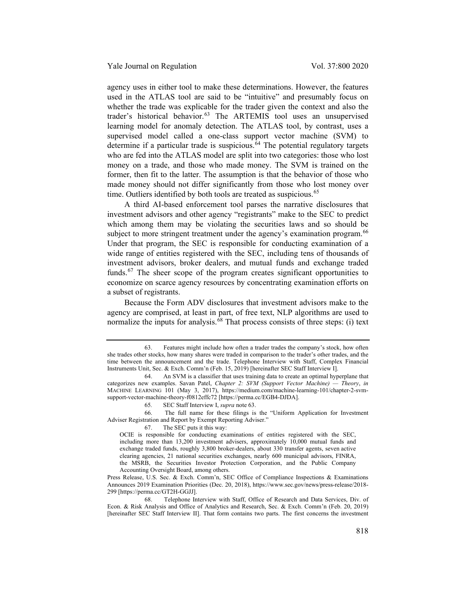<span id="page-18-0"></span>agency uses in either tool to make these determinations. However, the features used in the ATLAS tool are said to be "intuitive" and presumably focus on whether the trade was explicable for the trader given the context and also the trader's historical behavior.<sup>[63](#page-18-1)</sup> The ARTEMIS tool uses an unsupervised learning model for anomaly detection. The ATLAS tool, by contrast, uses a supervised model called a one-class support vector machine (SVM) to determine if a particular trade is suspicious.<sup> $64$ </sup> The potential regulatory targets who are fed into the ATLAS model are split into two categories: those who lost money on a trade, and those who made money. The SVM is trained on the former, then fit to the latter. The assumption is that the behavior of those who made money should not differ significantly from those who lost money over time. Outliers identified by both tools are treated as suspicious.<sup>[65](#page-18-3)</sup>

A third AI-based enforcement tool parses the narrative disclosures that investment advisors and other agency "registrants" make to the SEC to predict which among them may be violating the securities laws and so should be subject to more stringent treatment under the agency's examination program.<sup>[66](#page-18-4)</sup> Under that program, the SEC is responsible for conducting examination of a wide range of entities registered with the SEC, including tens of thousands of investment advisors, broker dealers, and mutual funds and exchange traded funds.<sup>[67](#page-18-5)</sup> The sheer scope of the program creates significant opportunities to economize on scarce agency resources by concentrating examination efforts on a subset of registrants.

Because the Form ADV disclosures that investment advisors make to the agency are comprised, at least in part, of free text, NLP algorithms are used to normalize the inputs for analysis.<sup>[68](#page-18-6)</sup> That process consists of three steps: (i) text

67. The SEC puts it this way:

<span id="page-18-1"></span><sup>63.</sup> Features might include how often a trader trades the company's stock, how often she trades other stocks, how many shares were traded in comparison to the trader's other trades, and the time between the announcement and the trade. Telephone Interview with Staff, Complex Financial Instruments Unit, Sec. & Exch. Comm'n (Feb. 15, 2019) [hereinafter SEC Staff Interview I].

<span id="page-18-2"></span><sup>64.</sup> An SVM is a classifier that uses training data to create an optimal hyperplane that categorizes new examples. Savan Patel, *Chapter 2: SVM (Support Vector Machine) — Theory*, *in* MACHINE LEARNING 101 (May 3, 2017), https://medium.com/machine-learning-101/chapter-2-svmsupport-vector-machine-theory-f0812effc72 [https://perma.cc/EGB4-DJDA].

<span id="page-18-7"></span><sup>65</sup>*.* SEC Staff Interview I, *supra* not[e 63.](#page-18-0)

<span id="page-18-5"></span><span id="page-18-4"></span><span id="page-18-3"></span><sup>66.</sup> The full name for these filings is the "Uniform Application for Investment Adviser Registration and Report by Exempt Reporting Adviser."

OCIE is responsible for conducting examinations of entities registered with the SEC, including more than 13,200 investment advisers, approximately 10,000 mutual funds and exchange traded funds, roughly 3,800 broker-dealers, about 330 transfer agents, seven active clearing agencies, 21 national securities exchanges, nearly 600 municipal advisors, FINRA, the MSRB, the Securities Investor Protection Corporation, and the Public Company Accounting Oversight Board, among others.

Press Release, U.S. Sec. & Exch. Comm'n, SEC Office of Compliance Inspections & Examinations Announces 2019 Examination Priorities (Dec. 20, 2018), https://www.sec.gov/news/press-release/2018- 299 [https://perma.cc/GT2H-GGJJ].

<span id="page-18-6"></span><sup>68.</sup> Telephone Interview with Staff, Office of Research and Data Services, Div. of Econ. & Risk Analysis and Office of Analytics and Research, Sec. & Exch. Comm'n (Feb. 20, 2019) [hereinafter SEC Staff Interview II]. That form contains two parts. The first concerns the investment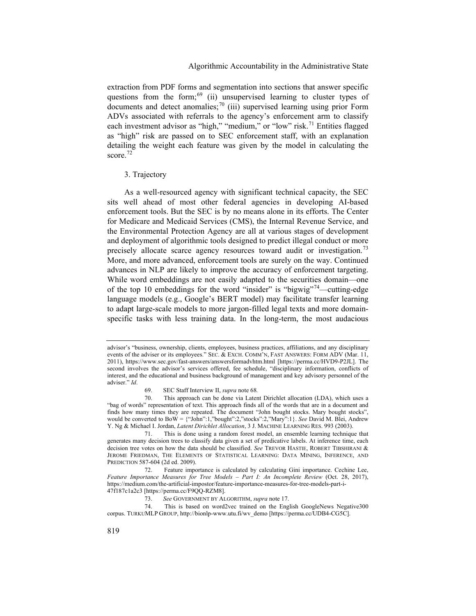extraction from PDF forms and segmentation into sections that answer specific questions from the form; $69$  (ii) unsupervised learning to cluster types of documents and detect anomalies;<sup>[70](#page-19-1)</sup> (iii) supervised learning using prior Form ADVs associated with referrals to the agency's enforcement arm to classify each investment advisor as "high," "medium," or "low" risk.<sup>[71](#page-19-2)</sup> Entities flagged as "high" risk are passed on to SEC enforcement staff, with an explanation detailing the weight each feature was given by the model in calculating the score.<sup>[72](#page-19-3)</sup>

## 3. Trajectory

As a well-resourced agency with significant technical capacity, the SEC sits well ahead of most other federal agencies in developing AI-based enforcement tools. But the SEC is by no means alone in its efforts. The Center for Medicare and Medicaid Services (CMS), the Internal Revenue Service, and the Environmental Protection Agency are all at various stages of development and deployment of algorithmic tools designed to predict illegal conduct or more precisely allocate scarce agency resources toward audit or investigation.<sup>[73](#page-19-4)</sup> More, and more advanced, enforcement tools are surely on the way. Continued advances in NLP are likely to improve the accuracy of enforcement targeting. While word embeddings are not easily adapted to the securities domain—one of the top 10 embeddings for the word "insider" is "bigwig"[74](#page-19-5)—cutting-edge language models (e.g., Google's BERT model) may facilitate transfer learning to adapt large-scale models to more jargon-filled legal texts and more domainspecific tasks with less training data. In the long-term, the most audacious

advisor's "business, ownership, clients, employees, business practices, affiliations, and any disciplinary events of the adviser or its employees." SEC. & EXCH. COMM'N, FAST ANSWERS: FORM ADV (Mar. 11, 2011), https://www.sec.gov/fast-answers/answersformadvhtm.html [https://perma.cc/HVD9-P2JL]. The second involves the advisor's services offered, fee schedule, "disciplinary information, conflicts of interest, and the educational and business background of management and key advisory personnel of the adviser." *Id*.

<sup>69.</sup> SEC Staff Interview II, *supra* not[e 68](#page-18-7)*.*

<span id="page-19-1"></span><span id="page-19-0"></span><sup>70.</sup> This approach can be done via Latent Dirichlet allocation (LDA), which uses a "bag of words" representation of text. This approach finds all of the words that are in a document and finds how many times they are repeated. The document "John bought stocks. Mary bought stocks", would be converted to BoW = {"John":1,"bought":2,"stocks":2,"Mary":1}. *See* David M. Blei, Andrew Y. Ng & Michael I. Jordan, *Latent Dirichlet Allocation*, 3 J. MACHINE LEARNING RES. 993 (2003).

<span id="page-19-2"></span><sup>71.</sup> This is done using a random forest model, an ensemble learning technique that generates many decision trees to classify data given a set of predicative labels. At inference time, each decision tree votes on how the data should be classified. *See* TREVOR HASTIE, ROBERT TIBSHIRANI & JEROME FRIEDMAN, THE ELEMENTS OF STATISTICAL LEARNING: DATA MINING, INFERENCE, AND PREDICTION 587-604 (2d ed. 2009).

<span id="page-19-3"></span><sup>72.</sup> Feature importance is calculated by calculating Gini importance. Cechine Lee, *Feature Importance Measures for Tree Models – Part I: An Incomplete Review* (Oct. 28, 2017), https://medium.com/the-artificial-impostor/feature-importance-measures-for-tree-models-part-i-47f187c1a2c3 [https://perma.cc/F9QQ-RZM8].

<sup>73.</sup> *See* GOVERNMENT BY ALGORITHM, *supra* not[e 17.](#page-4-6)

<span id="page-19-5"></span><span id="page-19-4"></span><sup>74.</sup> This is based on word2vec trained on the English GoogleNews Negative300 corpus. TURKUMLP GROUP, http://bionlp-www.utu.fi/wv\_demo [https://perma.cc/UDB4-CG5C].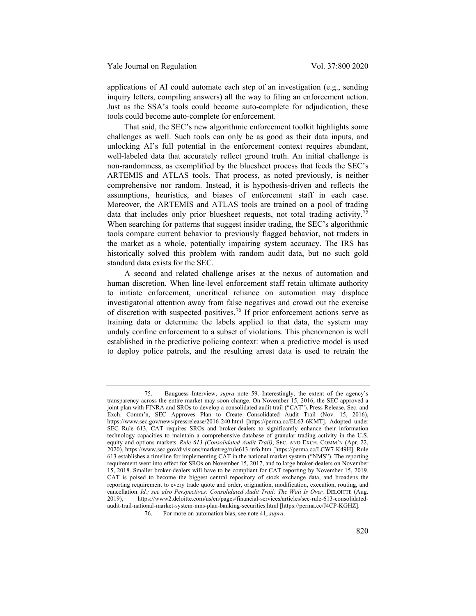applications of AI could automate each step of an investigation (e.g., sending inquiry letters, compiling answers) all the way to filing an enforcement action. Just as the SSA's tools could become auto-complete for adjudication, these tools could become auto-complete for enforcement.

That said, the SEC's new algorithmic enforcement toolkit highlights some challenges as well. Such tools can only be as good as their data inputs, and unlocking AI's full potential in the enforcement context requires abundant, well-labeled data that accurately reflect ground truth. An initial challenge is non-randomness, as exemplified by the bluesheet process that feeds the SEC's ARTEMIS and ATLAS tools. That process, as noted previously, is neither comprehensive nor random. Instead, it is hypothesis-driven and reflects the assumptions, heuristics, and biases of enforcement staff in each case. Moreover, the ARTEMIS and ATLAS tools are trained on a pool of trading data that includes only prior bluesheet requests, not total trading activity.<sup>[75](#page-20-0)</sup> When searching for patterns that suggest insider trading, the SEC's algorithmic tools compare current behavior to previously flagged behavior, not traders in the market as a whole, potentially impairing system accuracy. The IRS has historically solved this problem with random audit data, but no such gold standard data exists for the SEC.

A second and related challenge arises at the nexus of automation and human discretion. When line-level enforcement staff retain ultimate authority to initiate enforcement, uncritical reliance on automation may displace investigatorial attention away from false negatives and crowd out the exercise of discretion with suspected positives.<sup>[76](#page-20-1)</sup> If prior enforcement actions serve as training data or determine the labels applied to that data, the system may unduly confine enforcement to a subset of violations. This phenomenon is well established in the predictive policing context: when a predictive model is used to deploy police patrols, and the resulting arrest data is used to retrain the

<span id="page-20-0"></span><sup>75.</sup> Bauguess Interview, *supra* note [59.](#page-17-1) Interestingly, the extent of the agency's transparency across the entire market may soon change. On November 15, 2016, the SEC approved a joint plan with FINRA and SROs to develop a consolidated audit trail ("CAT"). Press Release, Sec. and Exch. Comm'n, SEC Approves Plan to Create Consolidated Audit Trail (Nov. 15, 2016), https://www.sec.gov/news/pressrelease/2016-240.html [https://perma.cc/EL63-6KMT]. Adopted under SEC Rule 613, CAT requires SROs and broker-dealers to significantly enhance their information technology capacities to maintain a comprehensive database of granular trading activity in the U.S. equity and options markets. *Rule 613 (Consolidated Audit Trail)*, SEC. AND EXCH. COMM'N (Apr. 22, 2020), https://www.sec.gov/divisions/marketreg/rule613-info.htm [https://perma.cc/LCW7-K49H]. Rule 613 establishes a timeline for implementing CAT in the national market system ("NMS"). The reporting requirement went into effect for SROs on November 15, 2017, and to large broker-dealers on November 15, 2018. Smaller broker-dealers will have to be compliant for CAT reporting by November 15, 2019. CAT is poised to become the biggest central repository of stock exchange data, and broadens the reporting requirement to every trade quote and order, origination, modification, execution, routing, and cancellation. *Id.;* see also Perspectives: Consolidated Audit Trail: The Wait Is Over, DELOITTE (Aug. 2019), https://www2.deloitte.com/us/en/pages/financial-services/articles/sec-rule-613-consolidated-2019), https://www2.deloitte.com/us/en/pages/financial-services/articles/sec-rule-613-consolidatedaudit-trail-national-market-system-nms-plan-banking-securities.html [https://perma.cc/J4CP-KGHZ].

<span id="page-20-1"></span><sup>76.</sup> For more on automation bias, see not[e 41,](#page-13-4) *supra*.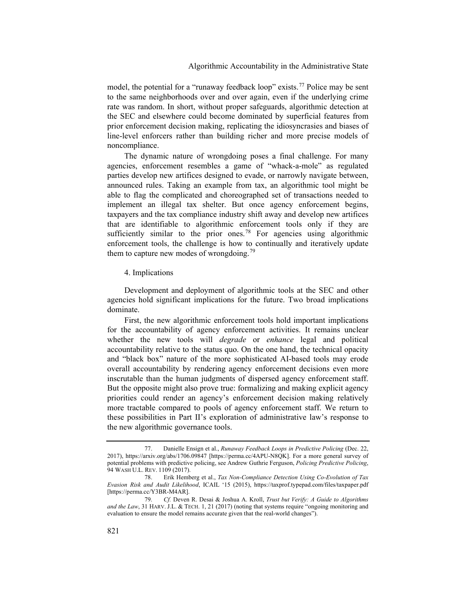model, the potential for a "runaway feedback loop" exists.<sup>[77](#page-21-0)</sup> Police may be sent to the same neighborhoods over and over again, even if the underlying crime rate was random. In short, without proper safeguards, algorithmic detection at the SEC and elsewhere could become dominated by superficial features from prior enforcement decision making, replicating the idiosyncrasies and biases of line-level enforcers rather than building richer and more precise models of noncompliance.

The dynamic nature of wrongdoing poses a final challenge. For many agencies, enforcement resembles a game of "whack-a-mole" as regulated parties develop new artifices designed to evade, or narrowly navigate between, announced rules. Taking an example from tax, an algorithmic tool might be able to flag the complicated and choreographed set of transactions needed to implement an illegal tax shelter. But once agency enforcement begins, taxpayers and the tax compliance industry shift away and develop new artifices that are identifiable to algorithmic enforcement tools only if they are sufficiently similar to the prior ones.<sup>[78](#page-21-1)</sup> For agencies using algorithmic enforcement tools, the challenge is how to continually and iteratively update them to capture new modes of wrongdoing.<sup>[79](#page-21-2)</sup>

#### <span id="page-21-3"></span>4. Implications

Development and deployment of algorithmic tools at the SEC and other agencies hold significant implications for the future. Two broad implications dominate.

First, the new algorithmic enforcement tools hold important implications for the accountability of agency enforcement activities. It remains unclear whether the new tools will *degrade* or *enhance* legal and political accountability relative to the status quo. On the one hand, the technical opacity and "black box" nature of the more sophisticated AI-based tools may erode overall accountability by rendering agency enforcement decisions even more inscrutable than the human judgments of dispersed agency enforcement staff. But the opposite might also prove true: formalizing and making explicit agency priorities could render an agency's enforcement decision making relatively more tractable compared to pools of agency enforcement staff. We return to these possibilities in Part II's exploration of administrative law's response to the new algorithmic governance tools.

<span id="page-21-0"></span><sup>77.</sup> Danielle Ensign et al., *Runaway Feedback Loops in Predictive Policing* (Dec. 22, 2017), https://arxiv.org/abs/1706.09847 [https://perma.cc/4APU-N8QK]. For a more general survey of potential problems with predictive policing, see Andrew Guthrie Ferguson, *Policing Predictive Policing*, 94 WASH U.L. REV. 1109 (2017).

<span id="page-21-1"></span><sup>78.</sup> Erik Hemberg et al., *Tax Non-Compliance Detection Using Co-Evolution of Tax Evasion Risk and Audit Likelihood*, ICAIL '15 (2015), https://taxprof.typepad.com/files/taxpaper.pdf [https://perma.cc/Y3BR-M4AR].

<span id="page-21-2"></span><sup>79.</sup> *Cf.* Deven R. Desai & Joshua A. Kroll, *Trust but Verify: A Guide to Algorithms and the Law*, 31 HARV. J.L. & TECH. 1, 21 (2017) (noting that systems require "ongoing monitoring and evaluation to ensure the model remains accurate given that the real-world changes").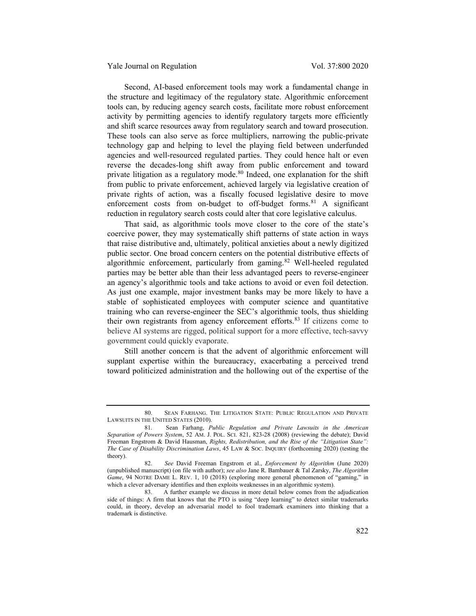Yale Journal on Regulation Vol. 37:800 2020

Second, AI-based enforcement tools may work a fundamental change in the structure and legitimacy of the regulatory state. Algorithmic enforcement tools can, by reducing agency search costs, facilitate more robust enforcement activity by permitting agencies to identify regulatory targets more efficiently and shift scarce resources away from regulatory search and toward prosecution. These tools can also serve as force multipliers, narrowing the public-private technology gap and helping to level the playing field between underfunded agencies and well-resourced regulated parties. They could hence halt or even reverse the decades-long shift away from public enforcement and toward private litigation as a regulatory mode.<sup>[80](#page-22-0)</sup> Indeed, one explanation for the shift from public to private enforcement, achieved largely via legislative creation of private rights of action, was a fiscally focused legislative desire to move enforcement costs from on-budget to off-budget forms. $81$  A significant reduction in regulatory search costs could alter that core legislative calculus.

<span id="page-22-4"></span>That said, as algorithmic tools move closer to the core of the state's coercive power, they may systematically shift patterns of state action in ways that raise distributive and, ultimately, political anxieties about a newly digitized public sector. One broad concern centers on the potential distributive effects of algorithmic enforcement, particularly from gaming.<sup>[82](#page-22-2)</sup> Well-heeled regulated parties may be better able than their less advantaged peers to reverse-engineer an agency's algorithmic tools and take actions to avoid or even foil detection. As just one example, major investment banks may be more likely to have a stable of sophisticated employees with computer science and quantitative training who can reverse-engineer the SEC's algorithmic tools, thus shielding their own registrants from agency enforcement efforts.[83](#page-22-3) If citizens come to believe AI systems are rigged, political support for a more effective, tech-savvy government could quickly evaporate.

Still another concern is that the advent of algorithmic enforcement will supplant expertise within the bureaucracy, exacerbating a perceived trend toward politicized administration and the hollowing out of the expertise of the

<span id="page-22-0"></span><sup>80.</sup> SEAN FARHANG. THE LITIGATION STATE: PUBLIC REGULATION AND PRIVATE LAWSUITS IN THE UNITED STATES (2010).

<span id="page-22-1"></span><sup>81.</sup> Sean Farhang, *Public Regulation and Private Lawsuits in the American Separation of Powers System*, 52 AM. J. POL. SCI. 821, 823-28 (2008) (reviewing the debate); David Freeman Engstrom & David Hausman, *Rights, Redistribution, and the Rise of the "Litigation State": The Case of Disability Discrimination Laws*, 45 LAW & SOC. INQUIRY (forthcoming 2020) (testing the theory).

<span id="page-22-2"></span><sup>82.</sup> *See* David Freeman Engstrom et al., *Enforcement by Algorithm* (June 2020) (unpublished manuscript) (on file with author); *see also* Jane R. Bambauer & Tal Zarsky, *The Algorithm Game*, 94 NOTRE DAME L. REV. 1, 10 (2018) (exploring more general phenomenon of "gaming," in which a clever adversary identifies and then exploits weaknesses in an algorithmic system).

<span id="page-22-3"></span>A further example we discuss in more detail below comes from the adjudication side of things: A firm that knows that the PTO is using "deep learning" to detect similar trademarks could, in theory, develop an adversarial model to fool trademark examiners into thinking that a trademark is distinctive.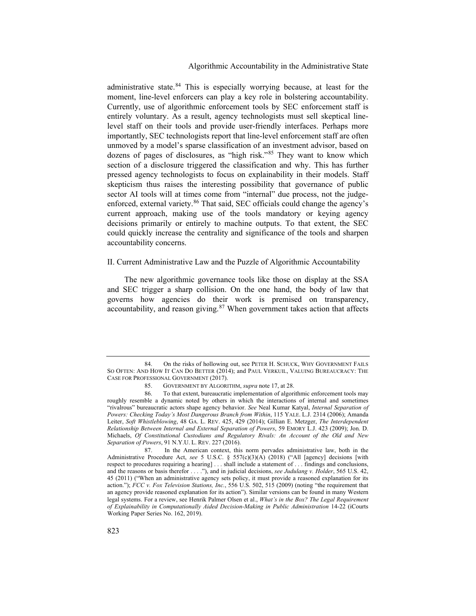administrative state. $84$  This is especially worrying because, at least for the moment, line-level enforcers can play a key role in bolstering accountability. Currently, use of algorithmic enforcement tools by SEC enforcement staff is entirely voluntary. As a result, agency technologists must sell skeptical linelevel staff on their tools and provide user-friendly interfaces. Perhaps more importantly, SEC technologists report that line-level enforcement staff are often unmoved by a model's sparse classification of an investment advisor, based on dozens of pages of disclosures, as "high risk."[85](#page-23-1) They want to know which section of a disclosure triggered the classification and why. This has further pressed agency technologists to focus on explainability in their models. Staff skepticism thus raises the interesting possibility that governance of public sector AI tools will at times come from "internal" due process, not the judge-enforced, external variety.<sup>[86](#page-23-2)</sup> That said, SEC officials could change the agency's current approach, making use of the tools mandatory or keying agency decisions primarily or entirely to machine outputs. To that extent, the SEC could quickly increase the centrality and significance of the tools and sharpen accountability concerns.

### <span id="page-23-4"></span>II. Current Administrative Law and the Puzzle of Algorithmic Accountability

The new algorithmic governance tools like those on display at the SSA and SEC trigger a sharp collision. On the one hand, the body of law that governs how agencies do their work is premised on transparency, accountability, and reason giving. $87$  When government takes action that affects

<span id="page-23-0"></span><sup>84.</sup> On the risks of hollowing out, see PETER H. SCHUCK, WHY GOVERNMENT FAILS SO OFTEN: AND HOW IT CAN DO BETTER (2014); and PAUL VERKUIL, VALUING BUREAUCRACY: THE CASE FOR PROFESSIONAL GOVERNMENT (2017).

<sup>85.</sup> GOVERNMENT BY ALGORITHM, *supra* not[e 17,](#page-4-6) at 28.

<span id="page-23-2"></span><span id="page-23-1"></span><sup>86.</sup> To that extent, bureaucratic implementation of algorithmic enforcement tools may roughly resemble a dynamic noted by others in which the interactions of internal and sometimes "rivalrous" bureaucratic actors shape agency behavior. *See* Neal Kumar Katyal, *Internal Separation of Powers: Checking Today's Most Dangerous Branch from Within*, 115 YALE. L.J. 2314 (2006); Amanda Leiter, *Soft Whistleblowing*, 48 GA. L. REV. 425, 429 (2014); Gillian E. Metzger, *The Interdependent Relationship Between Internal and External Separation of Powers*, 59 EMORY L.J. 423 (2009); Jon. D. Michaels, *Of Constitutional Custodians and Regulatory Rivals: An Account of the Old and New Separation of Powers*, 91 N.Y.U. L. REV. 227 (2016).

<span id="page-23-3"></span><sup>87.</sup> In the American context, this norm pervades administrative law, both in the Administrative Procedure Act, see 5 U.S.C. § 557(c)(3)(A) (2018) ("All [agency] decisions [with respect to procedures requiring a hearing] . . . shall include a statement of . . . findings and conclusions, and the reasons or basis therefor . . . ."), and in judicial decisions, *see Judulang v. Holder*, 565 U.S. 42, 45 (2011) ("When an administrative agency sets policy, it must provide a reasoned explanation for its action."); *FCC v. Fox Television Stations, Inc.*, 556 U.S. 502, 515 (2009) (noting "the requirement that an agency provide reasoned explanation for its action"). Similar versions can be found in many Western legal systems. For a review, see Henrik Palmer Olsen et al., *What's in the Box? The Legal Requirement of Explainability in Computationally Aided Decision-Making in Public Administration* 14-22 (iCourts Working Paper Series No. 162, 2019).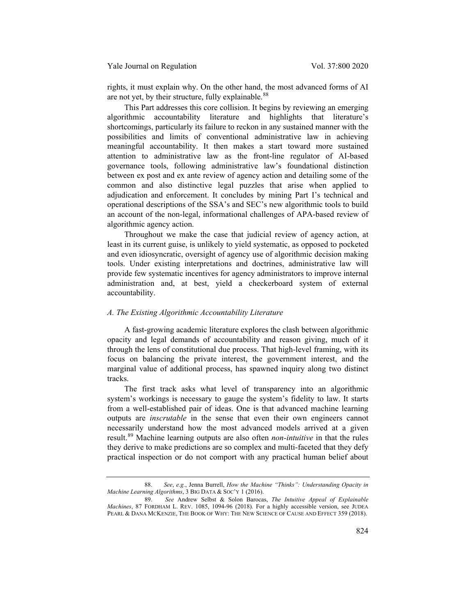rights, it must explain why. On the other hand, the most advanced forms of AI are not yet, by their structure, fully explainable.<sup>[88](#page-24-0)</sup>

This Part addresses this core collision. It begins by reviewing an emerging algorithmic accountability literature and highlights that literature's shortcomings, particularly its failure to reckon in any sustained manner with the possibilities and limits of conventional administrative law in achieving meaningful accountability. It then makes a start toward more sustained attention to administrative law as the front-line regulator of AI-based governance tools, following administrative law's foundational distinction between ex post and ex ante review of agency action and detailing some of the common and also distinctive legal puzzles that arise when applied to adjudication and enforcement. It concludes by mining Part I's technical and operational descriptions of the SSA's and SEC's new algorithmic tools to build an account of the non-legal, informational challenges of APA-based review of algorithmic agency action.

Throughout we make the case that judicial review of agency action, at least in its current guise, is unlikely to yield systematic, as opposed to pocketed and even idiosyncratic, oversight of agency use of algorithmic decision making tools. Under existing interpretations and doctrines, administrative law will provide few systematic incentives for agency administrators to improve internal administration and, at best, yield a checkerboard system of external accountability.

#### *A. The Existing Algorithmic Accountability Literature*

A fast-growing academic literature explores the clash between algorithmic opacity and legal demands of accountability and reason giving, much of it through the lens of constitutional due process. That high-level framing, with its focus on balancing the private interest, the government interest, and the marginal value of additional process, has spawned inquiry along two distinct tracks.

<span id="page-24-2"></span>The first track asks what level of transparency into an algorithmic system's workings is necessary to gauge the system's fidelity to law. It starts from a well-established pair of ideas. One is that advanced machine learning outputs are *inscrutable* in the sense that even their own engineers cannot necessarily understand how the most advanced models arrived at a given result.[89](#page-24-1) Machine learning outputs are also often *non-intuitive* in that the rules they derive to make predictions are so complex and multi-faceted that they defy practical inspection or do not comport with any practical human belief about

<span id="page-24-0"></span><sup>88.</sup> *See*, *e.g.*, Jenna Burrell, *How the Machine "Thinks": Understanding Opacity in Machine Learning Algorithms*, 3 BIG DATA & SOC'Y 1 (2016).

<span id="page-24-1"></span><sup>89.</sup> *See* Andrew Selbst & Solon Barocas, *The Intuitive Appeal of Explainable Machines*, 87 FORDHAM L. REV. 1085, 1094-96 (2018). For a highly accessible version, see JUDEA PEARL & DANA MCKENZIE, THE BOOK OF WHY: THE NEW SCIENCE OF CAUSE AND EFFECT 359 (2018).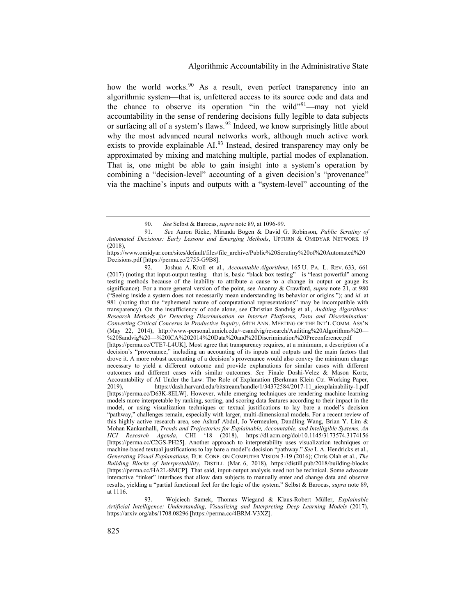<span id="page-25-5"></span><span id="page-25-4"></span>how the world works.<sup>[90](#page-25-0)</sup> As a result, even perfect transparency into an algorithmic system—that is, unfettered access to its source code and data and the chance to observe its operation "in the wild"<sup>[91](#page-25-1)</sup>-may not yield accountability in the sense of rendering decisions fully legible to data subjects or surfacing all of a system's flaws. [92](#page-25-2) Indeed, we know surprisingly little about why the most advanced neural networks work, although much active work exists to provide explainable AI.<sup>[93](#page-25-3)</sup> Instead, desired transparency may only be approximated by mixing and matching multiple, partial modes of explanation. That is, one might be able to gain insight into a system's operation by combining a "decision-level" accounting of a given decision's "provenance" via the machine's inputs and outputs with a "system-level" accounting of the

<sup>90.</sup> *See* Selbst & Barocas, *supra* not[e 89,](#page-24-2) at 1096-99.

<span id="page-25-1"></span><span id="page-25-0"></span><sup>91.</sup> *See* Aaron Rieke, Miranda Bogen & David G. Robinson, *Public Scrutiny of Automated Decisions: Early Lessons and Emerging Methods*, UPTURN & OMIDYAR NETWORK 19 (2018),

https://www.omidyar.com/sites/default/files/file\_archive/Public%20Scrutiny%20of%20Automated%20 Decisions.pdf [https://perma.cc/2755-G9B8].

<span id="page-25-2"></span><sup>92.</sup> Joshua A. Kroll et al., *Accountable Algorithms*, 165 U. PA. L. REV. 633, 661 (2017) (noting that input-output testing—that is, basic "black box testing"—is "least powerful" among testing methods because of the inability to attribute a cause to a change in output or gauge its significance). For a more general version of the point, see Ananny & Crawford, *supra* note [21,](#page-5-3) at 980 ("Seeing inside a system does not necessarily mean understanding its behavior or origins."); and *id*. at 981 (noting that the "ephemeral nature of computational representations" may be incompatible with transparency). On the insufficiency of code alone, see Christian Sandvig et al., *Auditing Algorithms: Research Methods for Detecting Discrimination on Internet Platforms, Data and Discrimination: Converting Critical Concerns in Productive Inquiry*, 64TH ANN. MEETING OF THE INT'L COMM. ASS'N (May 22, 2014), http://www-personal.umich.edu/~csandvig/research/Auditing%20Algorithms%20— %20Sandvig%20—%20ICA%202014%20Data%20and%20Discrimination%20Preconference.pdf

<sup>[</sup>https://perma.cc/CTE7-L4UK]. Most agree that transparency requires, at a minimum, a description of a decision's "provenance," including an accounting of its inputs and outputs and the main factors that drove it. A more robust accounting of a decision's provenance would also convey the minimum change necessary to yield a different outcome and provide explanations for similar cases with different outcomes and different cases with similar outcomes. *See* Finale Doshi-Velez & Mason Kortz, Accountability of AI Under the Law: The Role of Explanation (Berkman Klein Ctr. Working Paper, 2019).<br>
https://dash.harvard.edu/bitstream/handle/1/34372584/2017-11 aiexplainability-1.pdf https://dash.harvard.edu/bitstream/handle/1/34372584/2017-11\_aiexplainability-1.pdf [https://perma.cc/D63K-8ELW]. However, while emerging techniques are rendering machine learning models more interpretable by ranking, sorting, and scoring data features according to their impact in the model, or using visualization techniques or textual justifications to lay bare a model's decision "pathway," challenges remain, especially with larger, multi-dimensional models. For a recent review of this highly active research area, see Ashraf Abdul, Jo Vermeulen, Dandling Wang, Brian Y. Lim & Mohan Kankanhalli, *Trends and Trajectories for Explainable, Accountable, and Intelligible Systems, An HCI Research Agenda*, CHI '18 (2018), https://dl.acm.org/doi/10.1145/3173574.3174156 [https://perma.cc/C2GS-PH25]. Another approach to interpretability uses visualization techniques or machine-based textual justifications to lay bare a model's decision "pathway." *See* L.A. Hendricks et al., *Generating Visual Explanations*, EUR. CONF. ON COMPUTER VISION 3-19 (2016); Chris Olah et al., *The Building Blocks of Interpretability*, DISTILL (Mar. 6, 2018), https://distill.pub/2018/building-blocks [https://perma.cc/HA2L-8MCP]. That said, input-output analysis need not be technical. Some advocate interactive "tinker" interfaces that allow data subjects to manually enter and change data and observe results, yielding a "partial functional feel for the logic of the system." Selbst & Barocas, *supra* note [89,](#page-24-2) at 1116.

<span id="page-25-3"></span><sup>93.</sup> Wojciech Samek, Thomas Wiegand & Klaus-Robert Müller, *Explainable Artificial Intelligence: Understanding, Visualizing and Interpreting Deep Learning Models* (2017), https://arxiv.org/abs/1708.08296 [https://perma.cc/4BRM-V3XZ].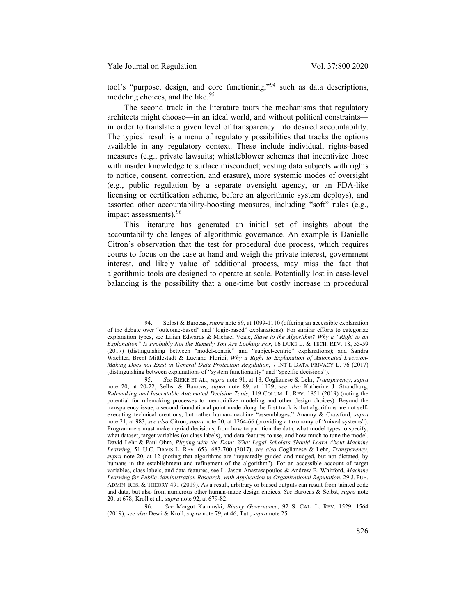tool's "purpose, design, and core functioning,"[94](#page-26-0) such as data descriptions, modeling choices, and the like.<sup>[95](#page-26-1)</sup>

The second track in the literature tours the mechanisms that regulatory architects might choose—in an ideal world, and without political constraints in order to translate a given level of transparency into desired accountability. The typical result is a menu of regulatory possibilities that tracks the options available in any regulatory context. These include individual, rights-based measures (e.g., private lawsuits; whistleblower schemes that incentivize those with insider knowledge to surface misconduct; vesting data subjects with rights to notice, consent, correction, and erasure), more systemic modes of oversight (e.g., public regulation by a separate oversight agency, or an FDA-like licensing or certification scheme, before an algorithmic system deploys), and assorted other accountability-boosting measures, including "soft" rules (e.g., impact assessments).<sup>[96](#page-26-2)</sup>

This literature has generated an initial set of insights about the accountability challenges of algorithmic governance. An example is Danielle Citron's observation that the test for procedural due process, which requires courts to focus on the case at hand and weigh the private interest, government interest, and likely value of additional process, may miss the fact that algorithmic tools are designed to operate at scale. Potentially lost in case-level balancing is the possibility that a one-time but costly increase in procedural

<span id="page-26-0"></span><sup>94.</sup> Selbst & Barocas, *supra* not[e 89,](#page-24-2) at 1099-1110 (offering an accessible explanation of the debate over "outcome-based" and "logic-based" explanations). For similar efforts to categorize explanation types, see Lilian Edwards & Michael Veale, *Slave to the Algorithm? Why a "Right to an Explanation" Is Probably Not the Remedy You Are Looking For*, 16 DUKE L. & TECH. REV. 18, 55-59 (2017) (distinguishing between "model-centric" and "subject-centric" explanations); and Sandra Wachter, Brent Mittlestadt & Luciano Floridi, *Why a Right to Explanation of Automated Decision-Making Does not Exist in General Data Protection Regulation*, 7 INT'L DATA PRIVACY L. 76 (2017) (distinguishing between explanations of "system functionality" and "specific decisions").

<span id="page-26-1"></span><sup>95.</sup> *See* RIEKE ET AL., *supra* note [91,](#page-25-4) at 18; Coglianese & Lehr, *Transparency*, *supra* note [20,](#page-4-4) at 20-22; Selbst & Barocas, *supra* note [89,](#page-24-2) at 1129; *see also* Katherine J. Strandburg, *Rulemaking and Inscrutable Automated Decision Tools*, 119 COLUM. L. REV. 1851 (2019) (noting the potential for rulemaking processes to memorialize modeling and other design choices). Beyond the transparency issue, a second foundational point made along the first track is that algorithms are not selfexecuting technical creations, but rather human-machine "assemblages." Ananny & Crawford, *supra* note [21,](#page-5-3) at 983; *see also* Citron, *supra* note [20,](#page-4-4) at 1264-66 (providing a taxonomy of "mixed systems"). Programmers must make myriad decisions, from how to partition the data, what model types to specify, what dataset, target variables (or class labels), and data features to use, and how much to tune the model. David Lehr & Paul Ohm, *Playing with the Data: What Legal Scholars Should Learn About Machine Learning*, 51 U.C. DAVIS L. REV. 653, 683-700 (2017); *see also* Coglianese & Lehr, *Transparency*, *supra* note [20,](#page-4-4) at 12 (noting that algorithms are "repeatedly guided and nudged, but not dictated, by humans in the establishment and refinement of the algorithm"). For an accessible account of target variables, class labels, and data features, see L. Jason Anastasapoulos & Andrew B. Whitford, *Machine Learning for Public Administration Research, with Application to Organizational Reputation*, 29 J. PUB. ADMIN. RES. & THEORY 491 (2019). As a result, arbitrary or biased outputs can result from tainted code and data, but also from numerous other human-made design choices. *See* Barocas & Selbst, *supra* note [20,](#page-4-4) at 678; Kroll et al., *supra* not[e 92,](#page-25-5) at 679-82.

<span id="page-26-2"></span><sup>96.</sup> *See* Margot Kaminski, *Binary Governance*, 92 S. CAL. L. REV. 1529, 1564 (2019); *see also* Desai & Kroll, *supra* not[e 79,](#page-21-3) at 46; Tutt, *supra* note [25.](#page-7-3)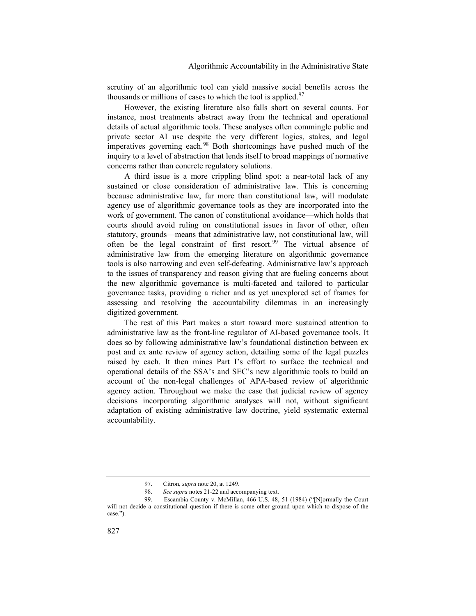scrutiny of an algorithmic tool can yield massive social benefits across the thousands or millions of cases to which the tool is applied.<sup>[97](#page-27-0)</sup>

However, the existing literature also falls short on several counts. For instance, most treatments abstract away from the technical and operational details of actual algorithmic tools. These analyses often commingle public and private sector AI use despite the very different logics, stakes, and legal imperatives governing each.<sup>[98](#page-27-1)</sup> Both shortcomings have pushed much of the inquiry to a level of abstraction that lends itself to broad mappings of normative concerns rather than concrete regulatory solutions.

A third issue is a more crippling blind spot: a near-total lack of any sustained or close consideration of administrative law. This is concerning because administrative law, far more than constitutional law, will modulate agency use of algorithmic governance tools as they are incorporated into the work of government. The canon of constitutional avoidance—which holds that courts should avoid ruling on constitutional issues in favor of other, often statutory, grounds—means that administrative law, not constitutional law, will often be the legal constraint of first resort.<sup>[99](#page-27-2)</sup> The virtual absence of administrative law from the emerging literature on algorithmic governance tools is also narrowing and even self-defeating. Administrative law's approach to the issues of transparency and reason giving that are fueling concerns about the new algorithmic governance is multi-faceted and tailored to particular governance tasks, providing a richer and as yet unexplored set of frames for assessing and resolving the accountability dilemmas in an increasingly digitized government.

The rest of this Part makes a start toward more sustained attention to administrative law as the front-line regulator of AI-based governance tools. It does so by following administrative law's foundational distinction between ex post and ex ante review of agency action, detailing some of the legal puzzles raised by each. It then mines Part I's effort to surface the technical and operational details of the SSA's and SEC's new algorithmic tools to build an account of the non-legal challenges of APA-based review of algorithmic agency action. Throughout we make the case that judicial review of agency decisions incorporating algorithmic analyses will not, without significant adaptation of existing administrative law doctrine, yield systematic external accountability.

<sup>97.</sup> Citron, *supra* not[e 20,](#page-4-4) at 1249.

<sup>98.</sup> *See supra* note[s 21](#page-5-3)[-22](#page-5-4) and accompanying text.

<span id="page-27-2"></span><span id="page-27-1"></span><span id="page-27-0"></span><sup>99.</sup> Escambia County v. McMillan, 466 U.S. 48, 51 (1984) ("[N]ormally the Court will not decide a constitutional question if there is some other ground upon which to dispose of the case.").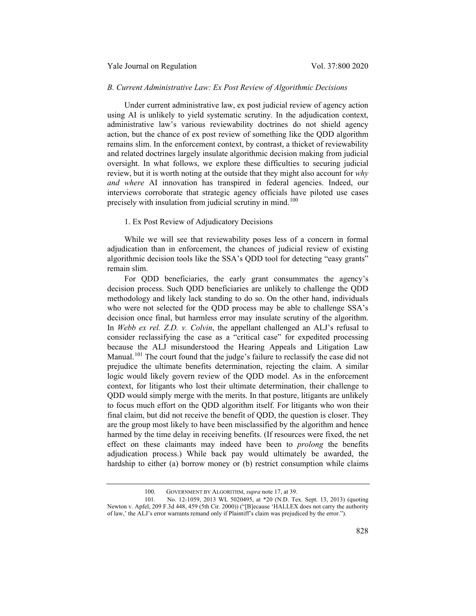#### *B. Current Administrative Law: Ex Post Review of Algorithmic Decisions*

Under current administrative law, ex post judicial review of agency action using AI is unlikely to yield systematic scrutiny. In the adjudication context, administrative law's various reviewability doctrines do not shield agency action, but the chance of ex post review of something like the QDD algorithm remains slim. In the enforcement context, by contrast, a thicket of reviewability and related doctrines largely insulate algorithmic decision making from judicial oversight. In what follows, we explore these difficulties to securing judicial review, but it is worth noting at the outside that they might also account for *why and where* AI innovation has transpired in federal agencies. Indeed, our interviews corroborate that strategic agency officials have piloted use cases precisely with insulation from judicial scrutiny in mind.<sup>[100](#page-28-0)</sup>

#### 1. Ex Post Review of Adjudicatory Decisions

While we will see that reviewability poses less of a concern in formal adjudication than in enforcement, the chances of judicial review of existing algorithmic decision tools like the SSA's QDD tool for detecting "easy grants" remain slim.

For QDD beneficiaries, the early grant consummates the agency's decision process. Such QDD beneficiaries are unlikely to challenge the QDD methodology and likely lack standing to do so. On the other hand, individuals who were not selected for the QDD process may be able to challenge SSA's decision once final, but harmless error may insulate scrutiny of the algorithm. In *Webb ex rel. Z.D. v. Colvin*, the appellant challenged an ALJ's refusal to consider reclassifying the case as a "critical case" for expedited processing because the ALJ misunderstood the Hearing Appeals and Litigation Law Manual.<sup>[101](#page-28-1)</sup> The court found that the judge's failure to reclassify the case did not prejudice the ultimate benefits determination, rejecting the claim. A similar logic would likely govern review of the QDD model. As in the enforcement context, for litigants who lost their ultimate determination, their challenge to QDD would simply merge with the merits. In that posture, litigants are unlikely to focus much effort on the QDD algorithm itself. For litigants who won their final claim, but did not receive the benefit of QDD, the question is closer. They are the group most likely to have been misclassified by the algorithm and hence harmed by the time delay in receiving benefits. (If resources were fixed, the net effect on these claimants may indeed have been to *prolong* the benefits adjudication process.) While back pay would ultimately be awarded, the hardship to either (a) borrow money or (b) restrict consumption while claims

<sup>100.</sup> GOVERNMENT BY ALGORITHM, *supra* not[e 17,](#page-4-6) at 39.

<span id="page-28-1"></span><span id="page-28-0"></span><sup>101.</sup> No. 12-1059, 2013 WL 5020495, at \*20 (N.D. Tex. Sept. 13, 2013) (quoting Newton v. Apfel, 209 F.3d 448, 459 (5th Cir. 2000)) ("[B]ecause 'HALLEX does not carry the authority of law,' the ALJ's error warrants remand only if Plaintiff's claim was prejudiced by the error.").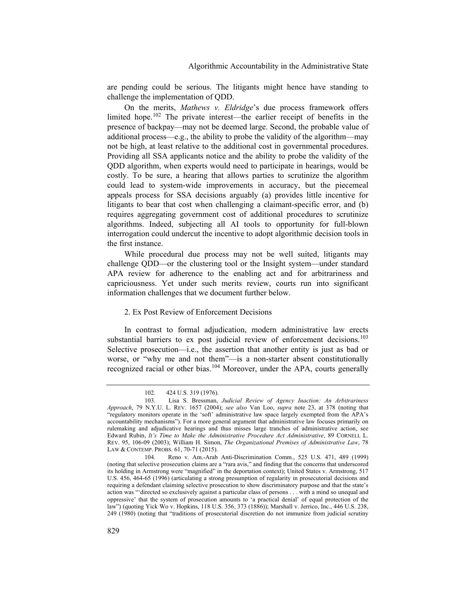are pending could be serious. The litigants might hence have standing to challenge the implementation of QDD.

On the merits, *Mathews v. Eldridge*'s due process framework offers limited hope.<sup>[102](#page-29-0)</sup> The private interest—the earlier receipt of benefits in the presence of backpay—may not be deemed large. Second, the probable value of additional process—e.g., the ability to probe the validity of the algorithm—may not be high, at least relative to the additional cost in governmental procedures. Providing all SSA applicants notice and the ability to probe the validity of the QDD algorithm, when experts would need to participate in hearings, would be costly. To be sure, a hearing that allows parties to scrutinize the algorithm could lead to system-wide improvements in accuracy, but the piecemeal appeals process for SSA decisions arguably (a) provides little incentive for litigants to bear that cost when challenging a claimant-specific error, and (b) requires aggregating government cost of additional procedures to scrutinize algorithms. Indeed, subjecting all AI tools to opportunity for full-blown interrogation could undercut the incentive to adopt algorithmic decision tools in the first instance.

While procedural due process may not be well suited, litigants may challenge QDD—or the clustering tool or the Insight system—under standard APA review for adherence to the enabling act and for arbitrariness and capriciousness. Yet under such merits review, courts run into significant information challenges that we document further below.

# 2. Ex Post Review of Enforcement Decisions

In contrast to formal adjudication, modern administrative law erects substantial barriers to ex post judicial review of enforcement decisions.<sup>[103](#page-29-1)</sup> Selective prosecution—i.e., the assertion that another entity is just as bad or worse, or "why me and not them"—is a non-starter absent constitutionally recognized racial or other bias.<sup>[104](#page-29-2)</sup> Moreover, under the APA, courts generally

<sup>102.</sup> 424 U.S. 319 (1976).

<span id="page-29-1"></span><span id="page-29-0"></span><sup>103.</sup> Lisa S. Bressman, *Judicial Review of Agency Inaction: An Arbitrariness Approach*, 79 N.Y.U. L. REV. 1657 (2004); *see also* Van Loo, *supra* note 23, at 378 (noting that "regulatory monitors operate in the 'soft' administrative law space largely exempted from the APA's accountability mechanisms"). For a more general argument that administrative law focuses primarily on rulemaking and adjudicative hearings and thus misses large tranches of administrative action, see Edward Rubin, *It's Time to Make the Administrative Procedure Act Administrative*, 89 CORNELL L. REV. 95, 106-09 (2003); William H. Simon, *The Organizational Premises of Administrative Law*, 78 LAW & CONTEMP. PROBS. 61, 70-71 (2015).

<span id="page-29-2"></span><sup>104.</sup> Reno v. Am.-Arab Anti-Discrimination Comm., 525 U.S. 471, 489 (1999) (noting that selective prosecution claims are a "rara avis," and finding that the concerns that underscored its holding in Armstrong were "magnified" in the deportation context); United States v. Armstrong, 517 U.S. 456, 464-65 (1996) (articulating a strong presumption of regularity in prosecutorial decisions and requiring a defendant claiming selective prosecution to show discriminatory purpose and that the state's action was "'directed so exclusively against a particular class of persons . . . with a mind so unequal and oppressive' that the system of prosecution amounts to 'a practical denial' of equal protection of the law") (quoting Yick Wo v. Hopkins, 118 U.S. 356, 373 (1886)); Marshall v. Jerrico, Inc., 446 U.S. 238, 249 (1980) (noting that "traditions of prosecutorial discretion do not immunize from judicial scrutiny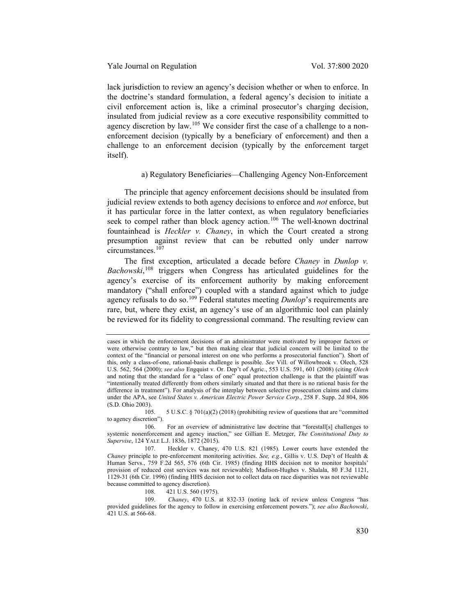Yale Journal on Regulation Vol. 37:800 2020

lack jurisdiction to review an agency's decision whether or when to enforce. In the doctrine's standard formulation, a federal agency's decision to initiate a civil enforcement action is, like a criminal prosecutor's charging decision, insulated from judicial review as a core executive responsibility committed to agency discretion by law.<sup>[105](#page-30-0)</sup> We consider first the case of a challenge to a nonenforcement decision (typically by a beneficiary of enforcement) and then a challenge to an enforcement decision (typically by the enforcement target itself).

## a) Regulatory Beneficiaries—Challenging Agency Non-Enforcement

The principle that agency enforcement decisions should be insulated from judicial review extends to both agency decisions to enforce and *not* enforce, but it has particular force in the latter context, as when regulatory beneficiaries seek to compel rather than block agency action.<sup>[106](#page-30-1)</sup> The well-known doctrinal fountainhead is *Heckler v. Chaney*, in which the Court created a strong presumption against review that can be rebutted only under narrow circumstances.<sup>[107](#page-30-2)</sup>

The first exception, articulated a decade before *Chaney* in *Dunlop v.*  Bachowski,<sup>[108](#page-30-3)</sup> triggers when Congress has articulated guidelines for the agency's exercise of its enforcement authority by making enforcement mandatory ("shall enforce") coupled with a standard against which to judge agency refusals to do so.<sup>[109](#page-30-4)</sup> Federal statutes meeting *Dunlop*'s requirements are rare, but, where they exist, an agency's use of an algorithmic tool can plainly be reviewed for its fidelity to congressional command. The resulting review can

108. 421 U.S. 560 (1975).

cases in which the enforcement decisions of an administrator were motivated by improper factors or were otherwise contrary to law," but then making clear that judicial concern will be limited to the context of the "financial or personal interest on one who performs a prosecutorial function"). Short of this, only a class-of-one, rational-basis challenge is possible. *See* Vill. of Willowbrook v. Olech, 528 U.S. 562, 564 (2000); *see also* Engquist v. Or. Dep't of Agric., 553 U.S. 591, 601 (2008) (citing *Olech* and noting that the standard for a "class of one" equal protection challenge is that the plaintiff was "intentionally treated differently from others similarly situated and that there is no rational basis for the difference in treatment"). For analysis of the interplay between selective prosecution claims and claims under the APA, see *United States v. American Electric Power Service Corp.*, 258 F. Supp. 2d 804, 806 (S.D. Ohio 2003).

<span id="page-30-0"></span><sup>105.</sup> 5 U.S.C. § 701(a)(2) (2018) (prohibiting review of questions that are "committed to agency discretion").

<span id="page-30-1"></span><sup>106.</sup> For an overview of administrative law doctrine that "forestall[s] challenges to systemic nonenforcement and agency inaction," see Gillian E. Metzger, *The Constitutional Duty to Supervise*, 124 YALE L.J. 1836, 1872 (2015).

<span id="page-30-2"></span><sup>107.</sup> Heckler v. Chaney, 470 U.S. 821 (1985). Lower courts have extended the *Chaney* principle to pre-enforcement monitoring activities. *See, e.g*., Gillis v. U.S. Dep't of Health & Human Servs., 759 F.2d 565, 576 (6th Cir. 1985) (finding HHS decision not to monitor hospitals' provision of reduced cost services was not reviewable); Madison-Hughes v. Shalala, 80 F.3d 1121, 1129-31 (6th Cir. 1996) (finding HHS decision not to collect data on race disparities was not reviewable because committed to agency discretion).

<span id="page-30-4"></span><span id="page-30-3"></span><sup>109.</sup> *Chaney*, 470 U.S. at 832-33 (noting lack of review unless Congress "has provided guidelines for the agency to follow in exercising enforcement powers."); *see also Bachowski*, 421 U.S. at 566-68.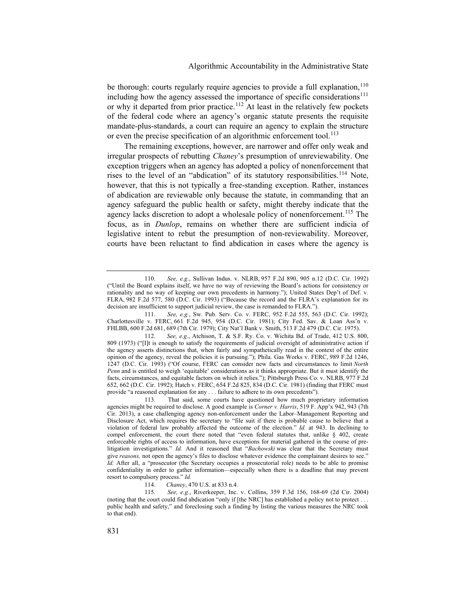be thorough: courts regularly require agencies to provide a full explanation,  $110$ including how the agency assessed the importance of specific considerations<sup>[111](#page-31-1)</sup> or why it departed from prior practice.<sup>[112](#page-31-2)</sup> At least in the relatively few pockets of the federal code where an agency's organic statute presents the requisite mandate-plus-standards, a court can require an agency to explain the structure or even the precise specification of an algorithmic enforcement tool.<sup>[113](#page-31-3)</sup>

The remaining exceptions, however, are narrower and offer only weak and irregular prospects of rebutting *Chaney*'s presumption of unreviewability. One exception triggers when an agency has adopted a policy of nonenforcement that rises to the level of an "abdication" of its statutory responsibilities.<sup>[114](#page-31-4)</sup> Note, however, that this is not typically a free-standing exception. Rather, instances of abdication are reviewable only because the statute, in commanding that an agency safeguard the public health or safety, might thereby indicate that the agency lacks discretion to adopt a wholesale policy of nonenforcement.<sup>[115](#page-31-5)</sup> The focus, as in *Dunlop*, remains on whether there are sufficient indicia of legislative intent to rebut the presumption of non-reviewability. Moreover, courts have been reluctant to find abdication in cases where the agency is

<span id="page-31-0"></span><sup>110.</sup> *See, e.g.*, Sullivan Indus. v. NLRB, 957 F.2d 890, 905 n.12 (D.C. Cir. 1992) ("Until the Board explains itself, we have no way of reviewing the Board's actions for consistency or rationality and no way of keeping our own precedents in harmony."); United States Dep't of Def. v. FLRA, 982 F.2d 577, 580 (D.C. Cir. 1993) ("Because the record and the FLRA's explanation for its decision are insufficient to support judicial review, the case is remanded to FLRA.").

<span id="page-31-1"></span><sup>111.</sup> *See, e.g.*, Sw. Pub. Serv. Co. v. FERC, 952 F.2d 555, 563 (D.C. Cir. 1992); Charlottesville v. FERC, 661 F.2d 945, 954 (D.C. Cir. 1981); City Fed. Sav. & Loan Ass'n v. FHLBB, 600 F.2d 681, 689 (7th Cir. 1979); City Nat'l Bank v. Smith, 513 F.2d 479 (D.C. Cir. 1975).

<span id="page-31-2"></span><sup>112.</sup> *See, e.g.*, Atchison, T. & S.F. Ry. Co. v. Wichita Bd. of Trade, 412 U.S. 800, 809 (1973) ("[I]t is enough to satisfy the requirements of judicial oversight of administrative action if the agency asserts distinctions that, when fairly and sympathetically read in the context of the entire opinion of the agency, reveal the policies it is pursuing."); Phila. Gas Works v. FERC, 989 F.2d 1246, 1247 (D.C. Cir. 1993) ("Of course, FERC can consider new facts and circumstances to limit *North Penn* and is entitled to weigh 'equitable' considerations as it thinks appropriate. But it must identify the facts, circumstances, and equitable factors on which it relies."); Pittsburgh Press Co. v. NLRB, 977 F.2d 652, 662 (D.C. Cir. 1992); Hatch v. FERC, 654 F.2d 825, 834 (D.C. Cir. 1981) (finding that FERC must provide "a reasoned explanation for any . . . failure to adhere to its own precedents").

<span id="page-31-3"></span><sup>113.</sup> That said, some courts have questioned how much proprietary information agencies might be required to disclose. A good example is *Corner v. Harris*, 519 F. App'x 942, 943 (7th Cir. 2013), a case challenging agency non-enforcement under the Labor–Management Reporting and Disclosure Act, which requires the secretary to "file suit if there is probable cause to believe that a violation of federal law probably affected the outcome of the election." *Id.* at 943. In declining to compel enforcement, the court there noted that "even federal statutes that, unlike  $\S$  402, create enforceable rights of access to information, have exceptions for material gathered in the course of prelitigation investigations." *Id.* And it reasoned that "*Bachowski* was clear that the Secretary must give *reasons,* not open the agency's files to disclose whatever evidence the complainant desires to see." *Id.* After all, a "prosecutor (the Secretary occupies a prosecutorial role) needs to be able to promise confidentiality in order to gather information—especially when there is a deadline that may prevent resort to compulsory process." *Id.*

<sup>114.</sup> *Chaney*, 470 U.S. at 833 n.4.

<span id="page-31-5"></span><span id="page-31-4"></span><sup>115.</sup> *See, e.g.*, Riverkeeper, Inc. v. Collins, 359 F.3d 156, 168-69 (2d Cir. 2004) (noting that the court could find abdication "only if [the NRC] has established a policy not to protect . . . public health and safety," and foreclosing such a finding by listing the various measures the NRC took to that end).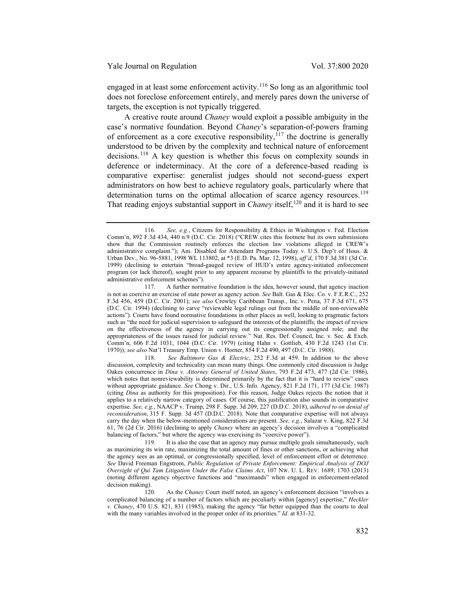engaged in at least some enforcement activity.<sup>[116](#page-32-0)</sup> So long as an algorithmic tool does not foreclose enforcement entirely, and merely pares down the universe of targets, the exception is not typically triggered.

A creative route around *Chaney* would exploit a possible ambiguity in the case's normative foundation. Beyond *Chaney*'s separation-of-powers framing of enforcement as a core executive responsibility, $117$  the doctrine is generally understood to be driven by the complexity and technical nature of enforcement decisions.[118](#page-32-2) A key question is whether this focus on complexity sounds in deference or indeterminacy. At the core of a deference-based reading is comparative expertise: generalist judges should not second-guess expert administrators on how best to achieve regulatory goals, particularly where that determination turns on the optimal allocation of scarce agency resources.<sup>[119](#page-32-3)</sup> That reading enjoys substantial support in *Chaney* itself,<sup>[120](#page-32-4)</sup> and it is hard to see

<span id="page-32-0"></span><sup>116.</sup> *See, e.g.*, Citizens for Responsibility & Ethics in Washington v. Fed. Election Comm'n, 892 F.3d 434, 440 n.9 (D.C. Cir. 2018) ("CREW cites this footnote but its own submissions show that the Commission routinely enforces the election law violations alleged in CREW's administrative complaint."); Am. Disabled for Attendant Programs Today v. U.S. Dep't of Hous. & Urban Dev., No. 96-5881, 1998 WL 113802, at \*3 (E.D. Pa. Mar. 12, 1998), *aff'd*, 170 F.3d 381 (3d Cir. 1999) (declining to entertain "broad-gauged review of HUD's entire agency-initiated enforcement program (or lack thereof), sought prior to any apparent recourse by plaintiffs to the privately-initiated administrative enforcement schemes").

<span id="page-32-1"></span><sup>117.</sup> A further normative foundation is the idea, however sound, that agency inaction is not as coercive an exercise of state power as agency action. *See* Balt. Gas & Elec. Co. v. F.E.R.C., 252 F.3d 456, 459 (D.C. Cir. 2001); *see also* Crowley Caribbean Transp., Inc. v. Pena, 37 F.3d 671, 675 (D.C. Cir. 1994) (declining to carve "reviewable legal rulings out from the middle of non-reviewable actions"). Courts have found normative foundations in other places as well, looking to pragmatic factors such as "the need for judicial supervision to safeguard the interests of the plaintiffs; the impact of review on the effectiveness of the agency in carrying out its congressionally assigned role; and the appropriateness of the issues raised for judicial review." Nat. Res. Def. Council, Inc. v. Sec. & Exch. Comm'n, 606 F.2d 1031, 1044 (D.C. Cir. 1979) (citing Hahn v. Gottlieb, 430 F.2d 1243 (1st Cir. 1970)); *see also* Nat'l Treasury Emp. Union v. Horner, 854 F.2d 490, 497 (D.C. Cir. 1988).

<span id="page-32-2"></span><sup>118.</sup> *See Baltimore Gas & Electric*, 252 F.3d at 459. In addition to the above discussion, complexity and technicality can mean many things. One commonly cited discussion is Judge Oakes concurrence in *Dina v. Attorney General of United States*, 793 F.2d 473, 477 (2d Cir. 1986), which notes that nonreviewability is determined primarily by the fact that it is "hard to review" cases without appropriate guidance. *See* Chong v. Dir., U.S. Info. Agency, 821 F.2d 171, 177 (3d Cir. 1987) (citing *Dina* as authority for this proposition). For this reason, Judge Oakes rejects the notion that it applies to a relatively narrow category of cases. Of course, this justification also sounds in comparative expertise. *See, e.g.*, NAACP v. Trump, 298 F. Supp. 3d 209, 227 (D.D.C. 2018), *adhered to on denial of reconsideration*, 315 F. Supp. 3d 457 (D.D.C. 2018). Note that comparative expertise will not always carry the day when the below-mentioned considerations are present. *See, e.g.*, Salazar v. King, 822 F.3d 61, 76 (2d Cir. 2016) (declining to apply *Chaney* where an agency's decision involves a "complicated balancing of factors," but where the agency was exercising its "coercive power").

<span id="page-32-3"></span><sup>119.</sup> It is also the case that an agency may pursue multiple goals simultaneously, such as maximizing its win rate, maximizing the total amount of fines or other sanctions, or achieving what the agency sees as an optimal, or congressionally specified, level of enforcement effort or deterrence. *See* David Freeman Engstrom, *Public Regulation of Private Enforcement: Empirical Analysis of DOJ Oversight of Qui Tam Litigation Under the False Claims Act*, 107 NW. U. L. REV. 1689, 1703 (2013) (noting different agency objective functions and "maximands" when engaged in enforcement-related decision making).

<span id="page-32-4"></span><sup>120.</sup> As the *Chaney* Court itself noted, an agency's enforcement decision "involves a complicated balancing of a number of factors which are peculiarly within [agency] expertise," *Heckler v. Chaney*, 470 U.S. 821, 831 (1985), making the agency "far better equipped than the courts to deal with the many variables involved in the proper order of its priorities." *Id*. at 831-32.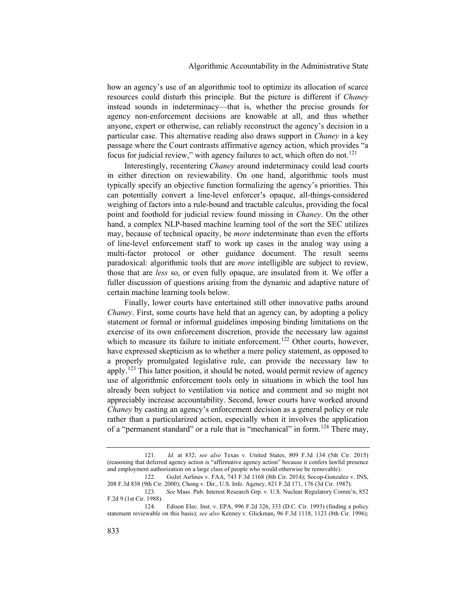how an agency's use of an algorithmic tool to optimize its allocation of scarce resources could disturb this principle. But the picture is different if *Chaney* instead sounds in indeterminacy—that is, whether the precise grounds for agency non-enforcement decisions are knowable at all, and thus whether anyone, expert or otherwise, can reliably reconstruct the agency's decision in a particular case. This alternative reading also draws support in *Chaney* in a key passage where the Court contrasts affirmative agency action, which provides "a focus for judicial review," with agency failures to act, which often do not.<sup>[121](#page-33-0)</sup>

Interestingly, recentering *Chaney* around indeterminacy could lead courts in either direction on reviewability. On one hand, algorithmic tools must typically specify an objective function formalizing the agency's priorities. This can potentially convert a line-level enforcer's opaque, all-things-considered weighing of factors into a rule-bound and tractable calculus, providing the focal point and foothold for judicial review found missing in *Chaney*. On the other hand, a complex NLP-based machine learning tool of the sort the SEC utilizes may, because of technical opacity, be *more* indeterminate than even the efforts of line-level enforcement staff to work up cases in the analog way using a multi-factor protocol or other guidance document. The result seems paradoxical: algorithmic tools that are *more* intelligible are subject to review, those that are *less* so, or even fully opaque, are insulated from it. We offer a fuller discussion of questions arising from the dynamic and adaptive nature of certain machine learning tools below.

Finally, lower courts have entertained still other innovative paths around *Chaney*. First, some courts have held that an agency can, by adopting a policy statement or formal or informal guidelines imposing binding limitations on the exercise of its own enforcement discretion, provide the necessary law against which to measure its failure to initiate enforcement.<sup>[122](#page-33-1)</sup> Other courts, however, have expressed skepticism as to whether a mere policy statement, as opposed to a properly promulgated legislative rule, can provide the necessary law to apply.[123](#page-33-2) This latter position, it should be noted, would permit review of agency use of algorithmic enforcement tools only in situations in which the tool has already been subject to ventilation via notice and comment and so might not appreciably increase accountability. Second, lower courts have worked around *Chaney* by casting an agency's enforcement decision as a general policy or rule rather than a particularized action, especially when it involves the application of a "permanent standard" or a rule that is "mechanical" in form.<sup>[124](#page-33-3)</sup> There may,

<span id="page-33-0"></span><sup>121.</sup> *Id.* at 832; *see also* Texas v. United States, 809 F.3d 134 (5th Cir. 2015) (reasoning that deferred agency action is "affirmative agency action" because it confers lawful presence and employment authorization on a large class of people who would otherwise be removable).

<span id="page-33-1"></span><sup>122.</sup> GoJet Airlines v. FAA, 743 F.3d 1168 (8th Cir. 2014); Socop-Gonzalez v. INS, 208 F.3d 838 (9th Cir. 2000); Chong v. Dir., U.S. Info. Agency, 821 F.2d 171, 176 (3d Cir. 1987).

<span id="page-33-2"></span><sup>123.</sup> *See* Mass. Pub. Interest Research Grp. v. U.S. Nuclear Regulatory Comm'n, 852 F.2d 9 (1st Cir. 1988).

<span id="page-33-3"></span><sup>124.</sup> Edison Elec. Inst. v. EPA, 996 F.2d 326, 333 (D.C. Cir. 1993) (finding a policy statement reviewable on this basis); *see also* Kenney v. Glickman, 96 F.3d 1118, 1123 (8th Cir. 1996);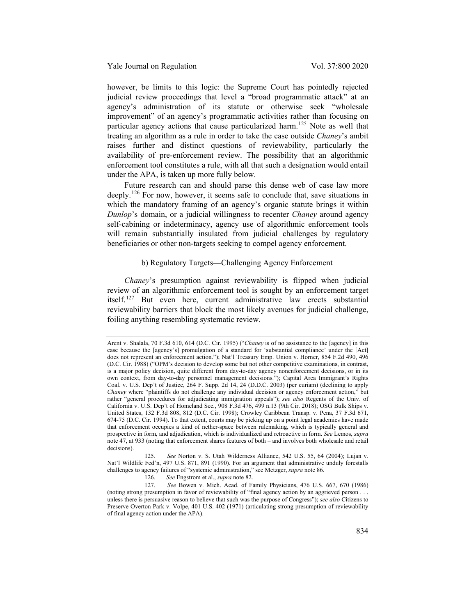however, be limits to this logic: the Supreme Court has pointedly rejected judicial review proceedings that level a "broad programmatic attack" at an agency's administration of its statute or otherwise seek "wholesale improvement" of an agency's programmatic activities rather than focusing on particular agency actions that cause particularized harm.[125](#page-34-0) Note as well that treating an algorithm as a rule in order to take the case outside *Chaney*'s ambit raises further and distinct questions of reviewability, particularly the availability of pre-enforcement review. The possibility that an algorithmic enforcement tool constitutes a rule, with all that such a designation would entail under the APA, is taken up more fully below.

Future research can and should parse this dense web of case law more deeply.<sup>[126](#page-34-1)</sup> For now, however, it seems safe to conclude that, save situations in which the mandatory framing of an agency's organic statute brings it within *Dunlop*'s domain, or a judicial willingness to recenter *Chaney* around agency self-cabining or indeterminacy, agency use of algorithmic enforcement tools will remain substantially insulated from judicial challenges by regulatory beneficiaries or other non-targets seeking to compel agency enforcement.

# b) Regulatory Targets—Challenging Agency Enforcement

*Chaney*'s presumption against reviewability is flipped when judicial review of an algorithmic enforcement tool is sought by an enforcement target itself.[127](#page-34-2) But even here, current administrative law erects substantial reviewability barriers that block the most likely avenues for judicial challenge, foiling anything resembling systematic review.

126. *See* Engstrom et al., *supra* note [82.](#page-22-4)

Arent v. Shalala, 70 F.3d 610, 614 (D.C. Cir. 1995) ("*Chaney* is of no assistance to the [agency] in this case because the [agency's] promulgation of a standard for 'substantial compliance' under the [Act] does not represent an enforcement action."); Nat'l Treasury Emp. Union v. Horner, 854 F.2d 490, 496 (D.C. Cir. 1988) ("OPM's decision to develop some but not other competitive examinations, in contrast, is a major policy decision, quite different from day-to-day agency nonenforcement decisions, or in its own context, from day-to-day personnel management decisions."); Capital Area Immigrant's Rights Coal. v. U.S. Dep't of Justice, 264 F. Supp. 2d 14, 24 (D.D.C. 2003) (per curiam) (declining to apply *Chaney* where "plaintiffs do not challenge any individual decision or agency enforcement action," but rather "general procedures for adjudicating immigration appeals"); *see also* Regents of the Univ. of California v. U.S. Dep't of Homeland Sec*.*, 908 F.3d 476, 499 n.13 (9th Cir. 2018); OSG Bulk Ships v. United States, 132 F.3d 808, 812 (D.C. Cir. 1998); Crowley Caribbean Transp. v. Pena, 37 F.3d 671, 674-75 (D.C. Cir. 1994). To that extent, courts may be picking up on a point legal academics have made that enforcement occupies a kind of nether-space between rulemaking, which is typically general and prospective in form, and adjudication, which is individualized and retroactive in form. *See* Lemos, *supra* note [47,](#page-15-6) at 933 (noting that enforcement shares features of both – and involves both wholesale and retail decisions).

<span id="page-34-0"></span><sup>125.</sup> *See* Norton v. S. Utah Wilderness Alliance, 542 U.S. 55, 64 (2004); Lujan v. Nat'l Wildlife Fed'n, 497 U.S. 871, 891 (1990). For an argument that administrative unduly forestalls challenges to agency failures of "systemic administration," see Metzger, *supra* not[e 86.](#page-23-4)

<span id="page-34-2"></span><span id="page-34-1"></span><sup>127.</sup> *See* Bowen v. Mich. Acad. of Family Physicians, 476 U.S. 667, 670 (1986) (noting strong presumption in favor of reviewability of "final agency action by an aggrieved person . . . unless there is persuasive reason to believe that such was the purpose of Congress"); *see also* Citizens to Preserve Overton Park v. Volpe, 401 U.S. 402 (1971) (articulating strong presumption of reviewability of final agency action under the APA).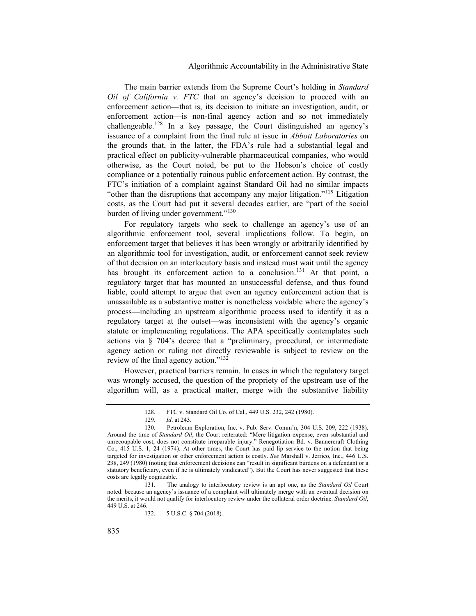The main barrier extends from the Supreme Court's holding in *Standard Oil of California v. FTC* that an agency's decision to proceed with an enforcement action—that is, its decision to initiate an investigation, audit, or enforcement action—is non-final agency action and so not immediately challengeable.[128](#page-35-0) In a key passage, the Court distinguished an agency's issuance of a complaint from the final rule at issue in *Abbott Laboratories* on the grounds that, in the latter, the FDA's rule had a substantial legal and practical effect on publicity-vulnerable pharmaceutical companies, who would otherwise, as the Court noted, be put to the Hobson's choice of costly compliance or a potentially ruinous public enforcement action. By contrast, the FTC's initiation of a complaint against Standard Oil had no similar impacts "other than the disruptions that accompany any major litigation."<sup>[129](#page-35-1)</sup> Litigation costs, as the Court had put it several decades earlier, are "part of the social burden of living under government."<sup>[130](#page-35-2)</sup>

For regulatory targets who seek to challenge an agency's use of an algorithmic enforcement tool, several implications follow. To begin, an enforcement target that believes it has been wrongly or arbitrarily identified by an algorithmic tool for investigation, audit, or enforcement cannot seek review of that decision on an interlocutory basis and instead must wait until the agency has brought its enforcement action to a conclusion.<sup>[131](#page-35-3)</sup> At that point, a regulatory target that has mounted an unsuccessful defense, and thus found liable, could attempt to argue that even an agency enforcement action that is unassailable as a substantive matter is nonetheless voidable where the agency's process—including an upstream algorithmic process used to identify it as a regulatory target at the outset—was inconsistent with the agency's organic statute or implementing regulations. The APA specifically contemplates such actions via § 704's decree that a "preliminary, procedural, or intermediate agency action or ruling not directly reviewable is subject to review on the review of the final agency action."[132](#page-35-4)

However, practical barriers remain. In cases in which the regulatory target was wrongly accused, the question of the propriety of the upstream use of the algorithm will, as a practical matter, merge with the substantive liability

<sup>128.</sup> FTC v. Standard Oil Co. of Cal., 449 U.S. 232, 242 (1980).

<sup>129.</sup> *Id*. at 243.

<span id="page-35-2"></span><span id="page-35-1"></span><span id="page-35-0"></span><sup>130.</sup> Petroleum Exploration, Inc. v. Pub. Serv. Comm'n, 304 U.S. 209, 222 (1938). Around the time of *Standard Oil*, the Court reiterated: "Mere litigation expense, even substantial and unrecoupable cost, does not constitute irreparable injury." Renegotiation Bd. v. Bannercraft Clothing Co., 415 U.S. 1, 24 (1974). At other times, the Court has paid lip service to the notion that being targeted for investigation or other enforcement action is costly. *See* Marshall v. Jerrico, Inc., 446 U.S. 238, 249 (1980) (noting that enforcement decisions can "result in significant burdens on a defendant or a statutory beneficiary, even if he is ultimately vindicated"). But the Court has never suggested that these costs are legally cognizable.

<span id="page-35-4"></span><span id="page-35-3"></span><sup>131.</sup> The analogy to interlocutory review is an apt one, as the *Standard Oil* Court noted: because an agency's issuance of a complaint will ultimately merge with an eventual decision on the merits, it would not qualify for interlocutory review under the collateral order doctrine. *Standard Oil*, 449 U.S. at 246.

<sup>132.</sup> 5 U.S.C. § 704 (2018).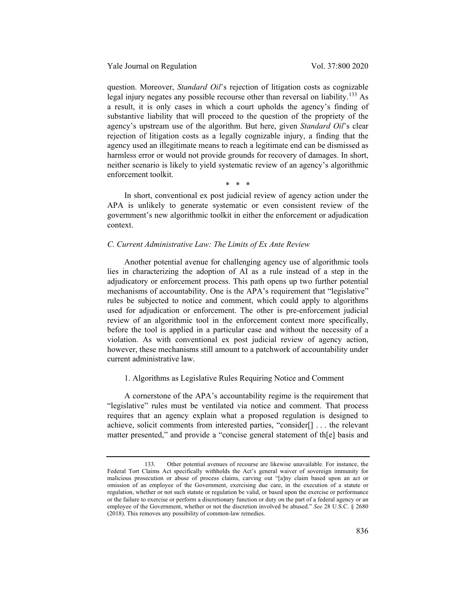Yale Journal on Regulation Vol. 37:800 2020

question. Moreover, *Standard Oil*'s rejection of litigation costs as cognizable legal injury negates any possible recourse other than reversal on liability.<sup>[133](#page-36-0)</sup> As a result, it is only cases in which a court upholds the agency's finding of substantive liability that will proceed to the question of the propriety of the agency's upstream use of the algorithm. But here, given *Standard Oil*'s clear rejection of litigation costs as a legally cognizable injury, a finding that the agency used an illegitimate means to reach a legitimate end can be dismissed as harmless error or would not provide grounds for recovery of damages. In short, neither scenario is likely to yield systematic review of an agency's algorithmic enforcement toolkit.

\* \* \*

In short, conventional ex post judicial review of agency action under the APA is unlikely to generate systematic or even consistent review of the government's new algorithmic toolkit in either the enforcement or adjudication context.

## *C. Current Administrative Law: The Limits of Ex Ante Review*

Another potential avenue for challenging agency use of algorithmic tools lies in characterizing the adoption of AI as a rule instead of a step in the adjudicatory or enforcement process. This path opens up two further potential mechanisms of accountability. One is the APA's requirement that "legislative" rules be subjected to notice and comment, which could apply to algorithms used for adjudication or enforcement. The other is pre-enforcement judicial review of an algorithmic tool in the enforcement context more specifically, before the tool is applied in a particular case and without the necessity of a violation. As with conventional ex post judicial review of agency action, however, these mechanisms still amount to a patchwork of accountability under current administrative law.

# 1. Algorithms as Legislative Rules Requiring Notice and Comment

A cornerstone of the APA's accountability regime is the requirement that "legislative" rules must be ventilated via notice and comment. That process requires that an agency explain what a proposed regulation is designed to achieve, solicit comments from interested parties, "consider[] . . . the relevant matter presented," and provide a "concise general statement of th[e] basis and

<span id="page-36-0"></span><sup>133.</sup> Other potential avenues of recourse are likewise unavailable. For instance, the Federal Tort Claims Act specifically withholds the Act's general waiver of sovereign immunity for malicious prosecution or abuse of process claims, carving out "[a]ny claim based upon an act or omission of an employee of the Government, exercising due care, in the execution of a statute or regulation, whether or not such statute or regulation be valid, or based upon the exercise or performance or the failure to exercise or perform a discretionary function or duty on the part of a federal agency or an employee of the Government, whether or not the discretion involved be abused." *See* 28 U.S.C. § 2680 (2018). This removes any possibility of common-law remedies.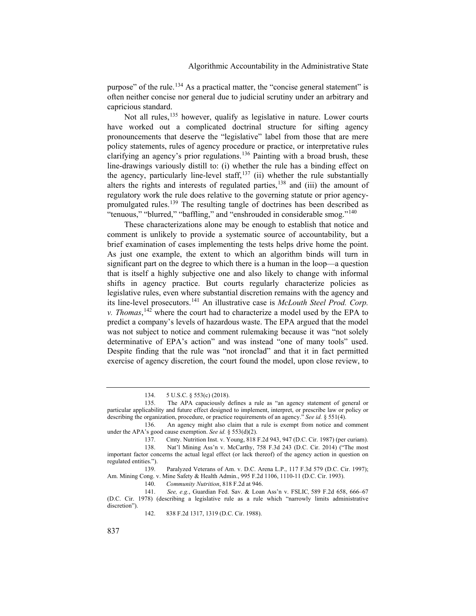purpose" of the rule.[134](#page-37-0) As a practical matter, the "concise general statement" is often neither concise nor general due to judicial scrutiny under an arbitrary and capricious standard.

Not all rules,<sup>[135](#page-37-1)</sup> however, qualify as legislative in nature. Lower courts have worked out a complicated doctrinal structure for sifting agency pronouncements that deserve the "legislative" label from those that are mere policy statements, rules of agency procedure or practice, or interpretative rules clarifying an agency's prior regulations.<sup>[136](#page-37-2)</sup> Painting with a broad brush, these line-drawings variously distill to: (i) whether the rule has a binding effect on the agency, particularly line-level staff, $137$  (ii) whether the rule substantially alters the rights and interests of regulated parties,[138](#page-37-4) and (iii) the amount of regulatory work the rule does relative to the governing statute or prior agency-promulgated rules.<sup>[139](#page-37-5)</sup> The resulting tangle of doctrines has been described as "tenuous," "blurred," "baffling," and "enshrouded in considerable smog."<sup>[140](#page-37-6)</sup>

These characterizations alone may be enough to establish that notice and comment is unlikely to provide a systematic source of accountability, but a brief examination of cases implementing the tests helps drive home the point. As just one example, the extent to which an algorithm binds will turn in significant part on the degree to which there is a human in the loop—a question that is itself a highly subjective one and also likely to change with informal shifts in agency practice. But courts regularly characterize policies as legislative rules, even where substantial discretion remains with the agency and its line-level prosecutors.[141](#page-37-7) An illustrative case is *McLouth Steel Prod. Corp. v. Thomas*, [142](#page-37-8) where the court had to characterize a model used by the EPA to predict a company's levels of hazardous waste. The EPA argued that the model was not subject to notice and comment rulemaking because it was "not solely determinative of EPA's action" and was instead "one of many tools" used. Despite finding that the rule was "not ironclad" and that it in fact permitted exercise of agency discretion, the court found the model, upon close review, to

<span id="page-37-5"></span>139. Paralyzed Veterans of Am. v. D.C. Arena L.P., 117 F.3d 579 (D.C. Cir. 1997); Am. Mining Cong. v. Mine Safety & Health Admin., 995 F.2d 1106, 1110-11 (D.C. Cir. 1993).

140. *Community Nutrition*, 818 F.2d at 946.

<sup>134.</sup> 5 U.S.C. § 553(c) (2018).

<span id="page-37-1"></span><span id="page-37-0"></span><sup>135.</sup> The APA capaciously defines a rule as "an agency statement of general or particular applicability and future effect designed to implement, interpret, or prescribe law or policy or describing the organization, procedure, or practice requirements of an agency." *See id.* § 551(4).

<span id="page-37-2"></span><sup>136.</sup> An agency might also claim that a rule is exempt from notice and comment under the APA's good cause exemption. *See id.* § 553(d)(2).

<sup>137.</sup> Cmty. Nutrition Inst. v. Young, 818 F.2d 943, 947 (D.C. Cir. 1987) (per curiam).

<span id="page-37-4"></span><span id="page-37-3"></span><sup>138.</sup> Nat'l Mining Ass'n v. McCarthy, 758 F.3d 243 (D.C. Cir. 2014) ("The most important factor concerns the actual legal effect (or lack thereof) of the agency action in question on regulated entities.").

<span id="page-37-8"></span><span id="page-37-7"></span><span id="page-37-6"></span><sup>141.</sup> *See, e.g.*, Guardian Fed. Sav. & Loan Ass'n v. FSLIC*,* 589 F.2d 658, 666–67 (D.C. Cir. 1978) (describing a legislative rule as a rule which "narrowly limits administrative discretion").

<sup>142.</sup> 838 F.2d 1317, 1319 (D.C. Cir. 1988).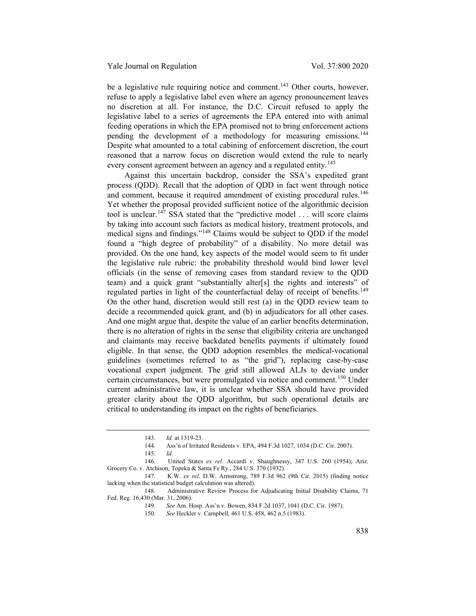be a legislative rule requiring notice and comment.<sup>[143](#page-38-0)</sup> Other courts, however, refuse to apply a legislative label even where an agency pronouncement leaves no discretion at all. For instance, the D.C. Circuit refused to apply the legislative label to a series of agreements the EPA entered into with animal feeding operations in which the EPA promised not to bring enforcement actions pending the development of a methodology for measuring emissions.<sup>[144](#page-38-1)</sup> Despite what amounted to a total cabining of enforcement discretion, the court reasoned that a narrow focus on discretion would extend the rule to nearly every consent agreement between an agency and a regulated entity.<sup>[145](#page-38-2)</sup>

Against this uncertain backdrop, consider the SSA's expedited grant process (QDD). Recall that the adoption of QDD in fact went through notice and comment, because it required amendment of existing procedural rules.<sup>[146](#page-38-3)</sup> Yet whether the proposal provided sufficient notice of the algorithmic decision tool is unclear.<sup>[147](#page-38-4)</sup> SSA stated that the "predictive model  $\dots$  will score claims by taking into account such factors as medical history, treatment protocols, and medical signs and findings."[148](#page-38-5) Claims would be subject to QDD if the model found a "high degree of probability" of a disability. No more detail was provided. On the one hand, key aspects of the model would seem to fit under the legislative rule rubric: the probability threshold would bind lower level officials (in the sense of removing cases from standard review to the QDD team) and a quick grant "substantially alter[s] the rights and interests" of regulated parties in light of the counterfactual delay of receipt of benefits.<sup>[149](#page-38-6)</sup> On the other hand, discretion would still rest (a) in the QDD review team to decide a recommended quick grant, and (b) in adjudicators for all other cases. And one might argue that, despite the value of an earlier benefits determination, there is no alteration of rights in the sense that eligibility criteria are unchanged and claimants may receive backdated benefits payments if ultimately found eligible. In that sense, the QDD adoption resembles the medical-vocational guidelines (sometimes referred to as "the grid"), replacing case-by-case vocational expert judgment. The grid still allowed ALJs to deviate under certain circumstances, but were promulgated via notice and comment.<sup>[150](#page-38-7)</sup> Under current administrative law, it is unclear whether SSA should have provided greater clarity about the QDD algorithm, but such operational details are critical to understanding its impact on the rights of beneficiaries.

150. *See* Heckler v. Campbell, 461 U.S. 458, 462 n.5 (1983).

<sup>143.</sup> *Id.* at 1319-23.

<sup>144.</sup> Ass'n of Irritated Residents v. EPA, 494 F.3d 1027, 1034 (D.C. Cir. 2007).

<sup>145.</sup> *Id*.

<span id="page-38-3"></span><span id="page-38-2"></span><span id="page-38-1"></span><span id="page-38-0"></span><sup>146.</sup> United States *ex rel*. Accardi v. Shaughnessy, 347 U.S. 260 (1954); Ariz. Grocery Co. v. Atchison, Topeka & Santa Fe Ry., 284 U.S. 370 (1932).

<span id="page-38-4"></span><sup>147.</sup> K.W. *ex rel*. D.W. Armstrong, 789 F.3d 962 (9th Cir. 2015) (finding notice lacking when the statistical budget calculation was altered).

<span id="page-38-7"></span><span id="page-38-6"></span><span id="page-38-5"></span><sup>148.</sup> Administrative Review Process for Adjudicating Initial Disability Claims, 71 Fed. Reg. 16,430 (Mar. 31, 2006).

<sup>149.</sup> *See* Am. Hosp. Ass'n v. Bowen, 834 F.2d 1037, 1041 (D.C. Cir. 1987).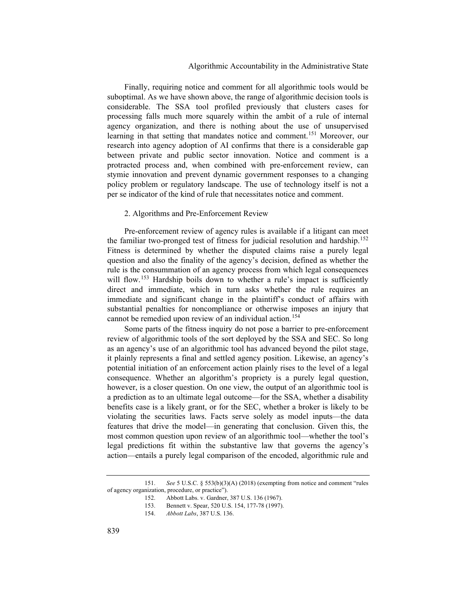# Algorithmic Accountability in the Administrative State

Finally, requiring notice and comment for all algorithmic tools would be suboptimal. As we have shown above, the range of algorithmic decision tools is considerable. The SSA tool profiled previously that clusters cases for processing falls much more squarely within the ambit of a rule of internal agency organization, and there is nothing about the use of unsupervised learning in that setting that mandates notice and comment.<sup>[151](#page-39-0)</sup> Moreover, our research into agency adoption of AI confirms that there is a considerable gap between private and public sector innovation. Notice and comment is a protracted process and, when combined with pre-enforcement review, can stymie innovation and prevent dynamic government responses to a changing policy problem or regulatory landscape. The use of technology itself is not a per se indicator of the kind of rule that necessitates notice and comment.

# 2. Algorithms and Pre-Enforcement Review

Pre-enforcement review of agency rules is available if a litigant can meet the familiar two-pronged test of fitness for judicial resolution and hardship.<sup>[152](#page-39-1)</sup> Fitness is determined by whether the disputed claims raise a purely legal question and also the finality of the agency's decision, defined as whether the rule is the consummation of an agency process from which legal consequences will flow.<sup>[153](#page-39-2)</sup> Hardship boils down to whether a rule's impact is sufficiently direct and immediate, which in turn asks whether the rule requires an immediate and significant change in the plaintiff's conduct of affairs with substantial penalties for noncompliance or otherwise imposes an injury that cannot be remedied upon review of an individual action.<sup>[154](#page-39-3)</sup>

Some parts of the fitness inquiry do not pose a barrier to pre-enforcement review of algorithmic tools of the sort deployed by the SSA and SEC. So long as an agency's use of an algorithmic tool has advanced beyond the pilot stage, it plainly represents a final and settled agency position. Likewise, an agency's potential initiation of an enforcement action plainly rises to the level of a legal consequence. Whether an algorithm's propriety is a purely legal question, however, is a closer question. On one view, the output of an algorithmic tool is a prediction as to an ultimate legal outcome—for the SSA, whether a disability benefits case is a likely grant, or for the SEC, whether a broker is likely to be violating the securities laws. Facts serve solely as model inputs—the data features that drive the model—in generating that conclusion. Given this, the most common question upon review of an algorithmic tool—whether the tool's legal predictions fit within the substantive law that governs the agency's action—entails a purely legal comparison of the encoded, algorithmic rule and

<span id="page-39-3"></span><span id="page-39-2"></span><span id="page-39-1"></span><span id="page-39-0"></span><sup>151.</sup> *See* 5 U.S.C. § 553(b)(3)(A) (2018) (exempting from notice and comment "rules of agency organization, procedure, or practice").

<sup>152.</sup> Abbott Labs. v. Gardner, 387 U.S. 136 (1967).

<sup>153.</sup> Bennett v. Spear, 520 U.S. 154, 177-78 (1997).

<sup>154.</sup> *Abbott Labs*, 387 U.S. 136.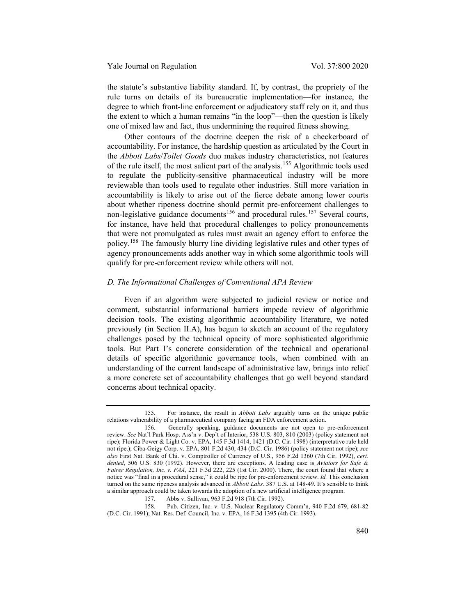the statute's substantive liability standard. If, by contrast, the propriety of the rule turns on details of its bureaucratic implementation—for instance, the degree to which front-line enforcement or adjudicatory staff rely on it, and thus the extent to which a human remains "in the loop"—then the question is likely one of mixed law and fact, thus undermining the required fitness showing.

Other contours of the doctrine deepen the risk of a checkerboard of accountability. For instance, the hardship question as articulated by the Court in the *Abbott Labs*/*Toilet Goods* duo makes industry characteristics, not features of the rule itself, the most salient part of the analysis.[155](#page-40-0) Algorithmic tools used to regulate the publicity-sensitive pharmaceutical industry will be more reviewable than tools used to regulate other industries. Still more variation in accountability is likely to arise out of the fierce debate among lower courts about whether ripeness doctrine should permit pre-enforcement challenges to non-legislative guidance documents<sup>[156](#page-40-1)</sup> and procedural rules.<sup>[157](#page-40-2)</sup> Several courts, for instance, have held that procedural challenges to policy pronouncements that were not promulgated as rules must await an agency effort to enforce the policy.[158](#page-40-3) The famously blurry line dividing legislative rules and other types of agency pronouncements adds another way in which some algorithmic tools will qualify for pre-enforcement review while others will not.

# *D. The Informational Challenges of Conventional APA Review*

Even if an algorithm were subjected to judicial review or notice and comment, substantial informational barriers impede review of algorithmic decision tools. The existing algorithmic accountability literature, we noted previously (in Section II.A), has begun to sketch an account of the regulatory challenges posed by the technical opacity of more sophisticated algorithmic tools. But Part I's concrete consideration of the technical and operational details of specific algorithmic governance tools, when combined with an understanding of the current landscape of administrative law, brings into relief a more concrete set of accountability challenges that go well beyond standard concerns about technical opacity.

<span id="page-40-3"></span><span id="page-40-2"></span>158. Pub. Citizen, Inc. v. U.S. Nuclear Regulatory Comm'n, 940 F.2d 679, 681-82 (D.C. Cir. 1991); Nat. Res. Def. Council, Inc. v. EPA, 16 F.3d 1395 (4th Cir. 1993).

<span id="page-40-0"></span><sup>155.</sup> For instance, the result in *Abbott Labs* arguably turns on the unique public relations vulnerability of a pharmaceutical company facing an FDA enforcement action.

<span id="page-40-1"></span><sup>156.</sup> Generally speaking, guidance documents are not open to pre-enforcement review. *See* Nat'l Park Hosp. Ass'n v. Dep't of Interior, 538 U.S. 803, 810 (2003) (policy statement not ripe); Florida Power & Light Co. v. EPA, 145 F.3d 1414, 1421 (D.C. Cir. 1998) (interpretative rule held not ripe.); Ciba-Geigy Corp. v. EPA, 801 F.2d 430, 434 (D.C. Cir. 1986) (policy statement not ripe); *see also* First Nat. Bank of Chi. v. Comptroller of Currency of U.S., 956 F.2d 1360 (7th Cir. 1992), *cert. denied*, 506 U.S. 830 (1992). However, there are exceptions. A leading case is *Aviators for Safe & Fairer Regulation, Inc. v. FAA*, 221 F.3d 222, 225 (1st Cir. 2000). There, the court found that where a notice was "final in a procedural sense," it could be ripe for pre-enforcement review. *Id.* This conclusion turned on the same ripeness analysis advanced in *Abbott Labs.* 387 U.S. at 148-49. It's sensible to think a similar approach could be taken towards the adoption of a new artificial intelligence program.

<sup>157.</sup> Abbs v. Sullivan, 963 F.2d 918 (7th Cir. 1992).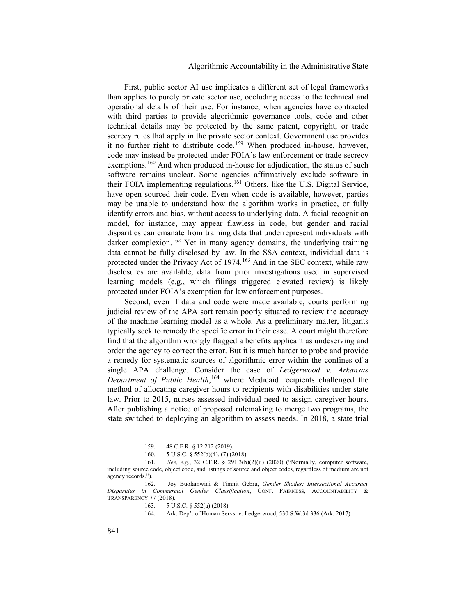#### Algorithmic Accountability in the Administrative State

First, public sector AI use implicates a different set of legal frameworks than applies to purely private sector use, occluding access to the technical and operational details of their use. For instance, when agencies have contracted with third parties to provide algorithmic governance tools, code and other technical details may be protected by the same patent, copyright, or trade secrecy rules that apply in the private sector context. Government use provides it no further right to distribute code.<sup>[159](#page-41-0)</sup> When produced in-house, however, code may instead be protected under FOIA's law enforcement or trade secrecy exemptions.<sup>[160](#page-41-1)</sup> And when produced in-house for adjudication, the status of such software remains unclear. Some agencies affirmatively exclude software in their FOIA implementing regulations.<sup>[161](#page-41-2)</sup> Others, like the U.S. Digital Service, have open sourced their code. Even when code is available, however, parties may be unable to understand how the algorithm works in practice, or fully identify errors and bias, without access to underlying data. A facial recognition model, for instance, may appear flawless in code, but gender and racial disparities can emanate from training data that underrepresent individuals with darker complexion.<sup>[162](#page-41-3)</sup> Yet in many agency domains, the underlying training data cannot be fully disclosed by law. In the SSA context, individual data is protected under the Privacy Act of 1974.[163](#page-41-4) And in the SEC context, while raw disclosures are available, data from prior investigations used in supervised learning models (e.g., which filings triggered elevated review) is likely protected under FOIA's exemption for law enforcement purposes.

Second, even if data and code were made available, courts performing judicial review of the APA sort remain poorly situated to review the accuracy of the machine learning model as a whole. As a preliminary matter, litigants typically seek to remedy the specific error in their case. A court might therefore find that the algorithm wrongly flagged a benefits applicant as undeserving and order the agency to correct the error. But it is much harder to probe and provide a remedy for systematic sources of algorithmic error within the confines of a single APA challenge. Consider the case of *Ledgerwood v. Arkansas Department of Public Health*, [164](#page-41-5) where Medicaid recipients challenged the method of allocating caregiver hours to recipients with disabilities under state law. Prior to 2015, nurses assessed individual need to assign caregiver hours. After publishing a notice of proposed rulemaking to merge two programs, the state switched to deploying an algorithm to assess needs. In 2018, a state trial

<sup>159.</sup> 48 C.F.R. § 12.212 (2019).

<sup>160. 5</sup> U.S.C. § 552(b)(4), (7) (2018).

<span id="page-41-2"></span><span id="page-41-1"></span><span id="page-41-0"></span><sup>161.</sup> *See, e.g.*, 32 C.F.R. § 291.3(b)(2)(ii) (2020) ("Normally, computer software, including source code, object code, and listings of source and object codes, regardless of medium are not agency records.").

<span id="page-41-5"></span><span id="page-41-4"></span><span id="page-41-3"></span><sup>162.</sup> Joy Buolamwini & Timnit Gebru, *Gender Shades: Intersectional Accuracy Disparities in Commercial Gender Classification*, CONF. FAIRNESS, ACCOUNTABILITY & TRANSPARENCY 77 (2018).

<sup>163.</sup> 5 U.S.C. § 552(a) (2018).

<sup>164.</sup> Ark. Dep't of Human Servs. v. Ledgerwood, 530 S.W.3d 336 (Ark. 2017).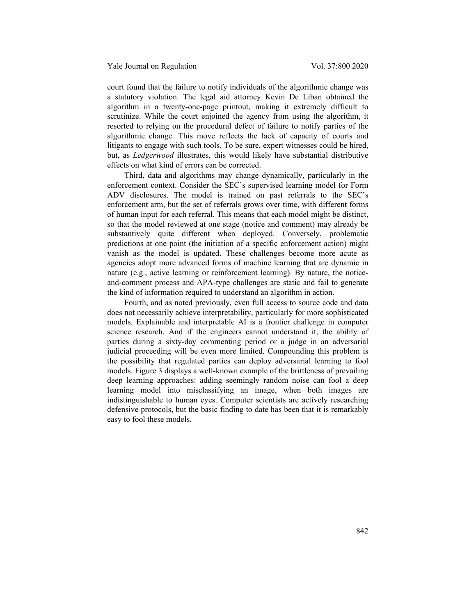court found that the failure to notify individuals of the algorithmic change was a statutory violation. The legal aid attorney Kevin De Liban obtained the algorithm in a twenty-one-page printout, making it extremely difficult to scrutinize. While the court enjoined the agency from using the algorithm, it resorted to relying on the procedural defect of failure to notify parties of the algorithmic change. This move reflects the lack of capacity of courts and litigants to engage with such tools. To be sure, expert witnesses could be hired, but, as *Ledgerwood* illustrates, this would likely have substantial distributive effects on what kind of errors can be corrected.

Third, data and algorithms may change dynamically, particularly in the enforcement context. Consider the SEC's supervised learning model for Form ADV disclosures. The model is trained on past referrals to the SEC's enforcement arm, but the set of referrals grows over time, with different forms of human input for each referral. This means that each model might be distinct, so that the model reviewed at one stage (notice and comment) may already be substantively quite different when deployed. Conversely, problematic predictions at one point (the initiation of a specific enforcement action) might vanish as the model is updated. These challenges become more acute as agencies adopt more advanced forms of machine learning that are dynamic in nature (e.g., active learning or reinforcement learning). By nature, the noticeand-comment process and APA-type challenges are static and fail to generate the kind of information required to understand an algorithm in action.

Fourth, and as noted previously, even full access to source code and data does not necessarily achieve interpretability, particularly for more sophisticated models. Explainable and interpretable AI is a frontier challenge in computer science research. And if the engineers cannot understand it, the ability of parties during a sixty-day commenting period or a judge in an adversarial judicial proceeding will be even more limited. Compounding this problem is the possibility that regulated parties can deploy adversarial learning to fool models. Figure 3 displays a well-known example of the brittleness of prevailing deep learning approaches: adding seemingly random noise can fool a deep learning model into misclassifying an image, when both images are indistinguishable to human eyes. Computer scientists are actively researching defensive protocols, but the basic finding to date has been that it is remarkably easy to fool these models.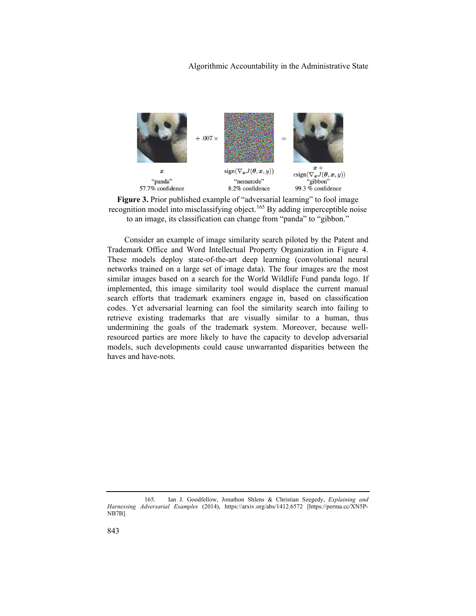# Algorithmic Accountability in the Administrative State





Consider an example of image similarity search piloted by the Patent and Trademark Office and Word Intellectual Property Organization in Figure 4. These models deploy state-of-the-art deep learning (convolutional neural networks trained on a large set of image data). The four images are the most similar images based on a search for the World Wildlife Fund panda logo. If implemented, this image similarity tool would displace the current manual search efforts that trademark examiners engage in, based on classification codes. Yet adversarial learning can fool the similarity search into failing to retrieve existing trademarks that are visually similar to a human, thus undermining the goals of the trademark system. Moreover, because wellresourced parties are more likely to have the capacity to develop adversarial models, such developments could cause unwarranted disparities between the haves and have-nots.

<span id="page-43-0"></span><sup>165.</sup> Ian J. Goodfellow, Jonathon Shlens & Christian Szegedy, *Explaining and Harnessing Adversarial Examples* (2014), https://arxiv.org/abs/1412.6572 [https://perma.cc/XN5P-NB7B].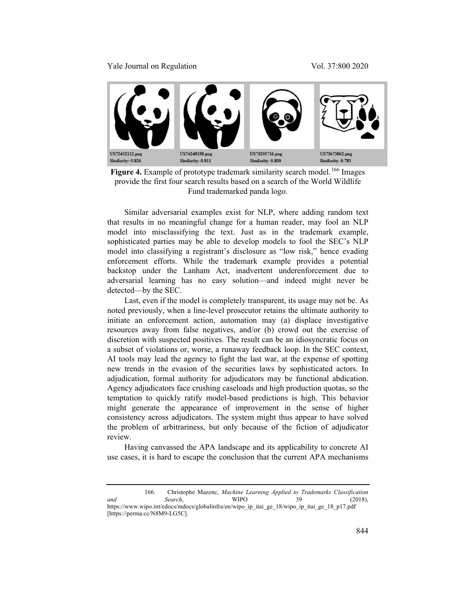

**Figure 4.** Example of prototype trademark similarity search model.<sup>[166](#page-44-0)</sup> Images provide the first four search results based on a search of the World Wildlife Fund trademarked panda logo.

Similar adversarial examples exist for NLP, where adding random text that results in no meaningful change for a human reader, may fool an NLP model into misclassifying the text. Just as in the trademark example, sophisticated parties may be able to develop models to fool the SEC's NLP model into classifying a registrant's disclosure as "low risk," hence evading enforcement efforts. While the trademark example provides a potential backstop under the Lanham Act, inadvertent underenforcement due to adversarial learning has no easy solution—and indeed might never be detected—by the SEC.

Last, even if the model is completely transparent, its usage may not be. As noted previously, when a line-level prosecutor retains the ultimate authority to initiate an enforcement action, automation may (a) displace investigative resources away from false negatives, and/or (b) crowd out the exercise of discretion with suspected positives. The result can be an idiosyncratic focus on a subset of violations or, worse, a runaway feedback loop. In the SEC context, AI tools may lead the agency to fight the last war, at the expense of spotting new trends in the evasion of the securities laws by sophisticated actors. In adjudication, formal authority for adjudicators may be functional abdication. Agency adjudicators face crushing caseloads and high production quotas, so the temptation to quickly ratify model-based predictions is high. This behavior might generate the appearance of improvement in the sense of higher consistency across adjudicators. The system might thus appear to have solved the problem of arbitrariness, but only because of the fiction of adjudicator review.

Having canvassed the APA landscape and its applicability to concrete AI use cases, it is hard to escape the conclusion that the current APA mechanisms

<span id="page-44-0"></span><sup>166.</sup> Christophe Mazenc, *Machine Learning Applied to Trademarks Classification and Search*, WIPO 39 (2018), https://www.wipo.int/edocs/mdocs/globalinfra/en/wipo\_ip\_itai\_ge\_18/wipo\_ip\_itai\_ge\_18\_p17.pdf [https://perma.cc/N8M9-LG5C].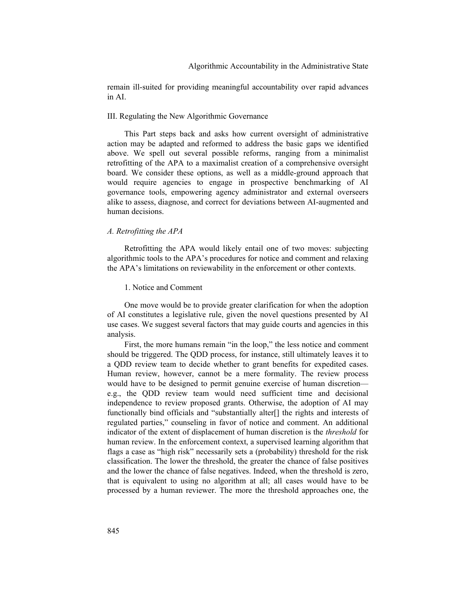remain ill-suited for providing meaningful accountability over rapid advances in AI.

#### III. Regulating the New Algorithmic Governance

This Part steps back and asks how current oversight of administrative action may be adapted and reformed to address the basic gaps we identified above. We spell out several possible reforms, ranging from a minimalist retrofitting of the APA to a maximalist creation of a comprehensive oversight board. We consider these options, as well as a middle-ground approach that would require agencies to engage in prospective benchmarking of AI governance tools, empowering agency administrator and external overseers alike to assess, diagnose, and correct for deviations between AI-augmented and human decisions.

# *A. Retrofitting the APA*

Retrofitting the APA would likely entail one of two moves: subjecting algorithmic tools to the APA's procedures for notice and comment and relaxing the APA's limitations on reviewability in the enforcement or other contexts.

# 1. Notice and Comment

One move would be to provide greater clarification for when the adoption of AI constitutes a legislative rule, given the novel questions presented by AI use cases. We suggest several factors that may guide courts and agencies in this analysis.

First, the more humans remain "in the loop," the less notice and comment should be triggered. The QDD process, for instance, still ultimately leaves it to a QDD review team to decide whether to grant benefits for expedited cases. Human review, however, cannot be a mere formality. The review process would have to be designed to permit genuine exercise of human discretion e.g., the QDD review team would need sufficient time and decisional independence to review proposed grants. Otherwise, the adoption of AI may functionally bind officials and "substantially alter[] the rights and interests of regulated parties," counseling in favor of notice and comment. An additional indicator of the extent of displacement of human discretion is the *threshold* for human review. In the enforcement context, a supervised learning algorithm that flags a case as "high risk" necessarily sets a (probability) threshold for the risk classification. The lower the threshold, the greater the chance of false positives and the lower the chance of false negatives. Indeed, when the threshold is zero, that is equivalent to using no algorithm at all; all cases would have to be processed by a human reviewer. The more the threshold approaches one, the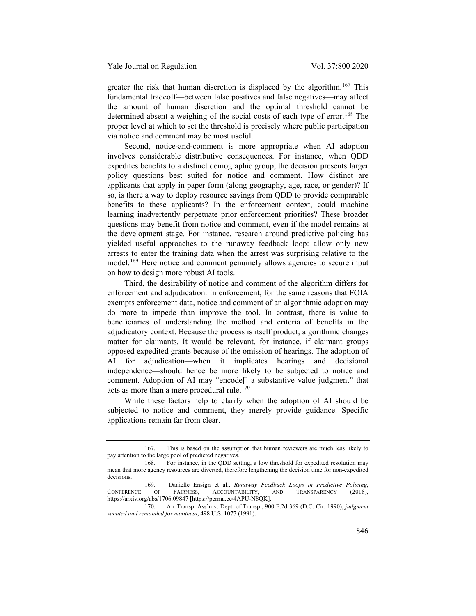greater the risk that human discretion is displaced by the algorithm.<sup>[167](#page-46-0)</sup> This fundamental tradeoff—between false positives and false negatives—may affect the amount of human discretion and the optimal threshold cannot be determined absent a weighing of the social costs of each type of error.<sup>[168](#page-46-1)</sup> The proper level at which to set the threshold is precisely where public participation via notice and comment may be most useful.

Second, notice-and-comment is more appropriate when AI adoption involves considerable distributive consequences. For instance, when QDD expedites benefits to a distinct demographic group, the decision presents larger policy questions best suited for notice and comment. How distinct are applicants that apply in paper form (along geography, age, race, or gender)? If so, is there a way to deploy resource savings from QDD to provide comparable benefits to these applicants? In the enforcement context, could machine learning inadvertently perpetuate prior enforcement priorities? These broader questions may benefit from notice and comment, even if the model remains at the development stage. For instance, research around predictive policing has yielded useful approaches to the runaway feedback loop: allow only new arrests to enter the training data when the arrest was surprising relative to the model.<sup>[169](#page-46-2)</sup> Here notice and comment genuinely allows agencies to secure input on how to design more robust AI tools.

Third, the desirability of notice and comment of the algorithm differs for enforcement and adjudication. In enforcement, for the same reasons that FOIA exempts enforcement data, notice and comment of an algorithmic adoption may do more to impede than improve the tool. In contrast, there is value to beneficiaries of understanding the method and criteria of benefits in the adjudicatory context. Because the process is itself product, algorithmic changes matter for claimants. It would be relevant, for instance, if claimant groups opposed expedited grants because of the omission of hearings. The adoption of AI for adjudication—when it implicates hearings and decisional independence—should hence be more likely to be subjected to notice and comment. Adoption of AI may "encode[] a substantive value judgment" that acts as more than a mere procedural rule.<sup>[170](#page-46-3)</sup>

While these factors help to clarify when the adoption of AI should be subjected to notice and comment, they merely provide guidance. Specific applications remain far from clear.

<span id="page-46-0"></span><sup>167.</sup> This is based on the assumption that human reviewers are much less likely to pay attention to the large pool of predicted negatives.

<span id="page-46-1"></span><sup>168.</sup> For instance, in the QDD setting, a low threshold for expedited resolution may mean that more agency resources are diverted, therefore lengthening the decision time for non-expedited decisions.

<span id="page-46-2"></span><sup>169.</sup> Danielle Ensign et al., *Runaway Feedback Loops in Predictive Policing*, CONFERENCE OF FAIRNESS, ACCOUNTABILITY, AND TRANSPARENCY (2018), https://arxiv.org/abs/1706.09847 [https://perma.cc/4APU-N8QK].

<span id="page-46-3"></span><sup>170.</sup> Air Transp. Ass'n v. Dept. of Transp., 900 F.2d 369 (D.C. Cir. 1990), *judgment vacated and remanded for mootness*, 498 U.S. 1077 (1991).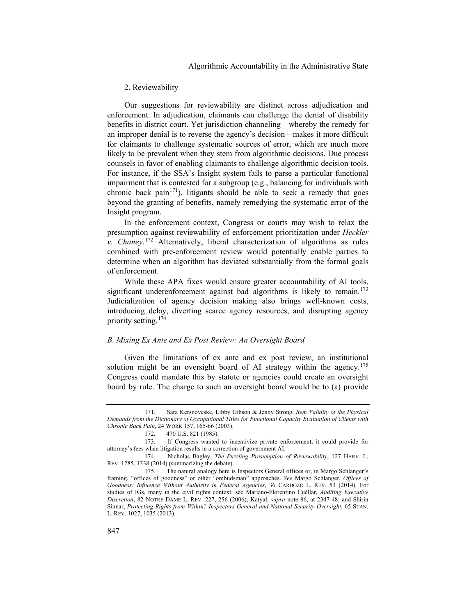#### 2. Reviewability

Our suggestions for reviewability are distinct across adjudication and enforcement. In adjudication, claimants can challenge the denial of disability benefits in district court. Yet jurisdiction channeling—whereby the remedy for an improper denial is to reverse the agency's decision—makes it more difficult for claimants to challenge systematic sources of error, which are much more likely to be prevalent when they stem from algorithmic decisions. Due process counsels in favor of enabling claimants to challenge algorithmic decision tools. For instance, if the SSA's Insight system fails to parse a particular functional impairment that is contested for a subgroup (e.g., balancing for individuals with chronic back pain<sup>171</sup>), litigants should be able to seek a remedy that goes beyond the granting of benefits, namely remedying the systematic error of the Insight program.

In the enforcement context, Congress or courts may wish to relax the presumption against reviewability of enforcement prioritization under *Heckler v. Chaney*. [172](#page-47-1) Alternatively, liberal characterization of algorithms as rules combined with pre-enforcement review would potentially enable parties to determine when an algorithm has deviated substantially from the formal goals of enforcement.

While these APA fixes would ensure greater accountability of AI tools, significant underenforcement against bad algorithms is likely to remain.<sup>[173](#page-47-2)</sup> Judicialization of agency decision making also brings well-known costs, introducing delay, diverting scarce agency resources, and disrupting agency priority setting.[174](#page-47-3)

# *B. Mixing Ex Ante and Ex Post Review: An Oversight Board*

Given the limitations of ex ante and ex post review, an institutional solution might be an oversight board of AI strategy within the agency.<sup>[175](#page-47-4)</sup> Congress could mandate this by statute or agencies could create an oversight board by rule. The charge to such an oversight board would be to (a) provide

<span id="page-47-0"></span><sup>171.</sup> Sara Kersnoveske, Libby Gibson & Jenny Strong, *Item Validity of the Physical Demands from the Dictionary of Occupational Titles for Functional Capacity Evaluation of Clients with Chronic Back Pain*, 24 WORK 157, 165-66 (2003).

<sup>172.</sup> 470 U.S. 821 (1985).

<span id="page-47-2"></span><span id="page-47-1"></span><sup>173.</sup> If Congress wanted to incentivize private enforcement, it could provide for attorney's fees when litigation results in a correction of government AI.

<span id="page-47-3"></span><sup>174.</sup> Nicholas Bagley, *The Puzzling Presumption of Reviewability*, 127 HARV. L. REV. 1285, 1338 (2014) (summarizing the debate).

<span id="page-47-4"></span><sup>175.</sup> The natural analogy here is Inspectors General offices or, in Margo Schlanger's framing, "offices of goodness" or other "ombudsman" approaches. *See* Margo Schlanger, *Offices of Goodness: Influence Without Authority in Federal Agencies*, 36 CARDOZO L. REV. 53 (2014). For studies of IGs, many in the civil rights context, see Mariano-Florentino Cuéllar, *Auditing Executive Discretion*, 82 NOTRE DAME L. REV. 227, 256 (2006); Katyal, *supra* note [86,](#page-23-4) at 2347-48; and Shirin Sinnar, *Protecting Rights from Within? Inspectors General and National Security Oversight*, 65 STAN. L. REV. 1027, 1035 (2013).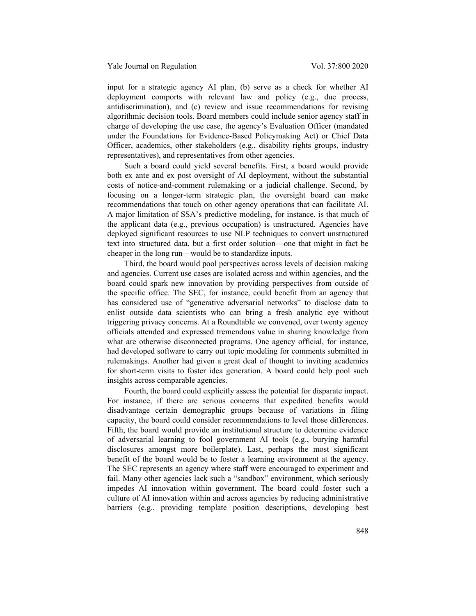input for a strategic agency AI plan, (b) serve as a check for whether AI deployment comports with relevant law and policy (e.g., due process, antidiscrimination), and (c) review and issue recommendations for revising algorithmic decision tools. Board members could include senior agency staff in charge of developing the use case, the agency's Evaluation Officer (mandated under the Foundations for Evidence-Based Policymaking Act) or Chief Data Officer, academics, other stakeholders (e.g., disability rights groups, industry representatives), and representatives from other agencies.

Such a board could yield several benefits. First, a board would provide both ex ante and ex post oversight of AI deployment, without the substantial costs of notice-and-comment rulemaking or a judicial challenge. Second, by focusing on a longer-term strategic plan, the oversight board can make recommendations that touch on other agency operations that can facilitate AI. A major limitation of SSA's predictive modeling, for instance, is that much of the applicant data (e.g., previous occupation) is unstructured. Agencies have deployed significant resources to use NLP techniques to convert unstructured text into structured data, but a first order solution—one that might in fact be cheaper in the long run—would be to standardize inputs.

Third, the board would pool perspectives across levels of decision making and agencies. Current use cases are isolated across and within agencies, and the board could spark new innovation by providing perspectives from outside of the specific office. The SEC, for instance, could benefit from an agency that has considered use of "generative adversarial networks" to disclose data to enlist outside data scientists who can bring a fresh analytic eye without triggering privacy concerns. At a Roundtable we convened, over twenty agency officials attended and expressed tremendous value in sharing knowledge from what are otherwise disconnected programs. One agency official, for instance, had developed software to carry out topic modeling for comments submitted in rulemakings. Another had given a great deal of thought to inviting academics for short-term visits to foster idea generation. A board could help pool such insights across comparable agencies.

Fourth, the board could explicitly assess the potential for disparate impact. For instance, if there are serious concerns that expedited benefits would disadvantage certain demographic groups because of variations in filing capacity, the board could consider recommendations to level those differences. Fifth, the board would provide an institutional structure to determine evidence of adversarial learning to fool government AI tools (e.g., burying harmful disclosures amongst more boilerplate). Last, perhaps the most significant benefit of the board would be to foster a learning environment at the agency. The SEC represents an agency where staff were encouraged to experiment and fail. Many other agencies lack such a "sandbox" environment, which seriously impedes AI innovation within government. The board could foster such a culture of AI innovation within and across agencies by reducing administrative barriers (e.g., providing template position descriptions, developing best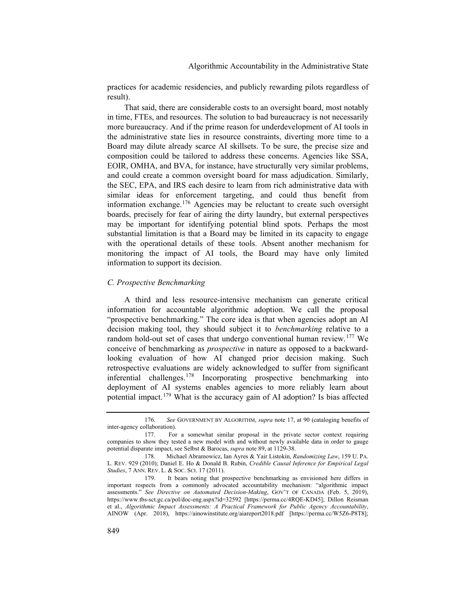practices for academic residencies, and publicly rewarding pilots regardless of result).

That said, there are considerable costs to an oversight board, most notably in time, FTEs, and resources. The solution to bad bureaucracy is not necessarily more bureaucracy. And if the prime reason for underdevelopment of AI tools in the administrative state lies in resource constraints, diverting more time to a Board may dilute already scarce AI skillsets. To be sure, the precise size and composition could be tailored to address these concerns. Agencies like SSA, EOIR, OMHA, and BVA, for instance, have structurally very similar problems, and could create a common oversight board for mass adjudication. Similarly, the SEC, EPA, and IRS each desire to learn from rich administrative data with similar ideas for enforcement targeting, and could thus benefit from information exchange.<sup>[176](#page-49-0)</sup> Agencies may be reluctant to create such oversight boards, precisely for fear of airing the dirty laundry, but external perspectives may be important for identifying potential blind spots. Perhaps the most substantial limitation is that a Board may be limited in its capacity to engage with the operational details of these tools. Absent another mechanism for monitoring the impact of AI tools, the Board may have only limited information to support its decision.

#### *C. Prospective Benchmarking*

A third and less resource-intensive mechanism can generate critical information for accountable algorithmic adoption. We call the proposal "prospective benchmarking." The core idea is that when agencies adopt an AI decision making tool, they should subject it to *benchmarking* relative to a random hold-out set of cases that undergo conventional human review.<sup>[177](#page-49-1)</sup> We conceive of benchmarking as *prospective* in nature as opposed to a backwardlooking evaluation of how AI changed prior decision making. Such retrospective evaluations are widely acknowledged to suffer from significant inferential challenges.[178](#page-49-2) Incorporating prospective benchmarking into deployment of AI systems enables agencies to more reliably learn about potential impact.<sup>[179](#page-49-3)</sup> What is the accuracy gain of AI adoption? Is bias affected

<span id="page-49-0"></span><sup>176.</sup> *See* GOVERNMENT BY ALGORITHM, *supra* not[e 17,](#page-4-6) at 90 (cataloging benefits of inter-agency collaboration).

<span id="page-49-1"></span><sup>177.</sup> For a somewhat similar proposal in the private sector context requiring companies to show they tested a new model with and without newly available data in order to gauge potential disparate impact, see Selbst & Barocas, *supra* not[e 89,](#page-24-2) at 1129-38.

<span id="page-49-2"></span><sup>178.</sup> Michael Abramowicz, Ian Ayres & Yair Listokin, *Randomizing Law*, 159 U. PA. L. REV. 929 (2010); Daniel E. Ho & Donald B. Rubin, *Credible Causal Inference for Empirical Legal Studies*, 7 ANN. REV. L. & SOC. SCI. 17 (2011).

<span id="page-49-3"></span><sup>179.</sup> It bears noting that prospective benchmarking as envisioned here differs in important respects from a commonly advocated accountability mechanism: "algorithmic impact assessments." *See Directive on Automated Decision-Making*, GOV'T OF CANADA (Feb. 5, 2019), https://www.tbs-sct.gc.ca/pol/doc-eng.aspx?id=32592 [https://perma.cc/4RQE-KD45]; Dillon Reisman et al., *Algorithmic Impact Assessments: A Practical Framework for Public Agency Accountability*, AINOW (Apr. 2018), https://ainowinstitute.org/aiareport2018.pdf [https://perma.cc/W5Z6-P8T8];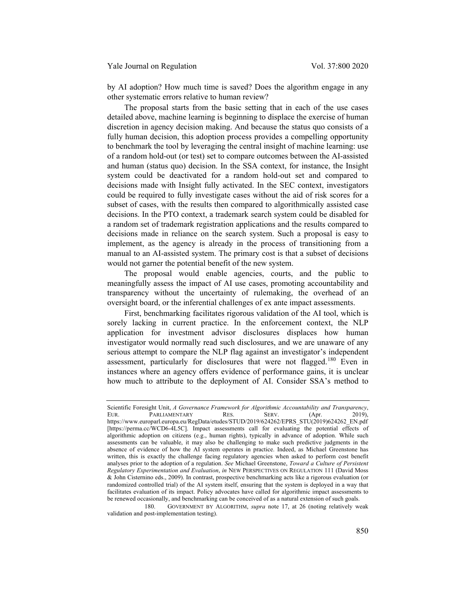by AI adoption? How much time is saved? Does the algorithm engage in any other systematic errors relative to human review?

The proposal starts from the basic setting that in each of the use cases detailed above, machine learning is beginning to displace the exercise of human discretion in agency decision making. And because the status quo consists of a fully human decision, this adoption process provides a compelling opportunity to benchmark the tool by leveraging the central insight of machine learning: use of a random hold-out (or test) set to compare outcomes between the AI-assisted and human (status quo) decision. In the SSA context, for instance, the Insight system could be deactivated for a random hold-out set and compared to decisions made with Insight fully activated. In the SEC context, investigators could be required to fully investigate cases without the aid of risk scores for a subset of cases, with the results then compared to algorithmically assisted case decisions. In the PTO context, a trademark search system could be disabled for a random set of trademark registration applications and the results compared to decisions made in reliance on the search system. Such a proposal is easy to implement, as the agency is already in the process of transitioning from a manual to an AI-assisted system. The primary cost is that a subset of decisions would not garner the potential benefit of the new system.

The proposal would enable agencies, courts, and the public to meaningfully assess the impact of AI use cases, promoting accountability and transparency without the uncertainty of rulemaking, the overhead of an oversight board, or the inferential challenges of ex ante impact assessments.

First, benchmarking facilitates rigorous validation of the AI tool, which is sorely lacking in current practice. In the enforcement context, the NLP application for investment advisor disclosures displaces how human investigator would normally read such disclosures, and we are unaware of any serious attempt to compare the NLP flag against an investigator's independent assessment, particularly for disclosures that were not flagged.<sup>[180](#page-50-0)</sup> Even in instances where an agency offers evidence of performance gains, it is unclear how much to attribute to the deployment of AI. Consider SSA's method to

Scientific Foresight Unit, *A Governance Framework for Algorithmic Accountability and Transparency*,<br>EUR. PARLIAMENTARY RES. SERV. (Apr. 2019), EUR. PARLIAMENTARY RES. SERV. (Apr. 2019), https://www.europarl.europa.eu/RegData/etudes/STUD/2019/624262/EPRS\_STU(2019)624262\_EN.pdf [https://perma.cc/WCD6-4L5C]. Impact assessments call for evaluating the potential effects of algorithmic adoption on citizens (e.g., human rights), typically in advance of adoption. While such assessments can be valuable, it may also be challenging to make such predictive judgments in the absence of evidence of how the AI system operates in practice. Indeed, as Michael Greenstone has written, this is exactly the challenge facing regulatory agencies when asked to perform cost benefit analyses prior to the adoption of a regulation. *See* Michael Greenstone, *Toward a Culture of Persistent Regulatory Experimentation and Evaluation*, *in* NEW PERSPECTIVES ON REGULATION 111 (David Moss & John Cisternino eds., 2009). In contrast, prospective benchmarking acts like a rigorous evaluation (or randomized controlled trial) of the AI system itself, ensuring that the system is deployed in a way that facilitates evaluation of its impact. Policy advocates have called for algorithmic impact assessments to be renewed occasionally, and benchmarking can be conceived of as a natural extension of such goals.

<span id="page-50-0"></span><sup>180.</sup> GOVERNMENT BY ALGORITHM, *supra* note [17,](#page-4-6) at 26 (noting relatively weak validation and post-implementation testing).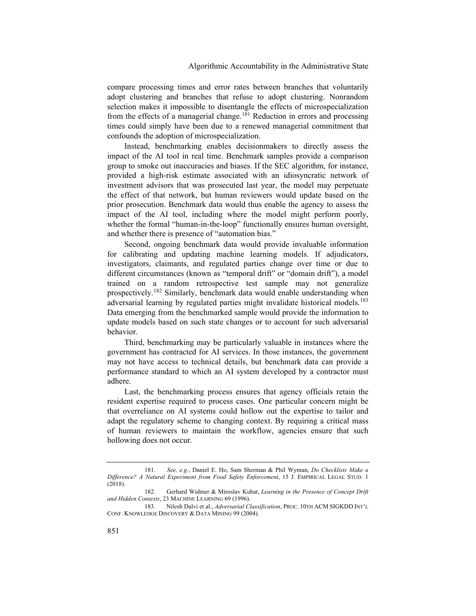compare processing times and error rates between branches that voluntarily adopt clustering and branches that refuse to adopt clustering. Nonrandom selection makes it impossible to disentangle the effects of microspecialization from the effects of a managerial change.<sup>[181](#page-51-0)</sup> Reduction in errors and processing times could simply have been due to a renewed managerial commitment that confounds the adoption of microspecialization.

Instead, benchmarking enables decisionmakers to directly assess the impact of the AI tool in real time. Benchmark samples provide a comparison group to smoke out inaccuracies and biases. If the SEC algorithm, for instance, provided a high-risk estimate associated with an idiosyncratic network of investment advisors that was prosecuted last year, the model may perpetuate the effect of that network, but human reviewers would update based on the prior prosecution. Benchmark data would thus enable the agency to assess the impact of the AI tool, including where the model might perform poorly, whether the formal "human-in-the-loop" functionally ensures human oversight, and whether there is presence of "automation bias."

Second, ongoing benchmark data would provide invaluable information for calibrating and updating machine learning models. If adjudicators, investigators, claimants, and regulated parties change over time or due to different circumstances (known as "temporal drift" or "domain drift"), a model trained on a random retrospective test sample may not generalize prospectively.<sup>[182](#page-51-1)</sup> Similarly, benchmark data would enable understanding when adversarial learning by regulated parties might invalidate historical models.<sup>[183](#page-51-2)</sup> Data emerging from the benchmarked sample would provide the information to update models based on such state changes or to account for such adversarial behavior.

Third, benchmarking may be particularly valuable in instances where the government has contracted for AI services. In those instances, the government may not have access to technical details, but benchmark data can provide a performance standard to which an AI system developed by a contractor must adhere.

Last, the benchmarking process ensures that agency officials retain the resident expertise required to process cases. One particular concern might be that overreliance on AI systems could hollow out the expertise to tailor and adapt the regulatory scheme to changing context. By requiring a critical mass of human reviewers to maintain the workflow, agencies ensure that such hollowing does not occur.

<span id="page-51-0"></span><sup>181.</sup> *See, e.g.*, Daniel E. Ho, Sam Sherman & Phil Wyman, *Do Checklists Make a Difference? A Natural Experiment from Food Safety Enforcement*, 15 J. EMPIRICAL LEGAL STUD. 1 (2018).

<span id="page-51-1"></span><sup>182.</sup> Gerhard Widmer & Miroslav Kubat, *Learning in the Presence of Concept Drift and Hidden Contexts*, 23 MACHINE LEARNING 69 (1996).

<span id="page-51-2"></span><sup>183.</sup> Nilesh Dalvi et al., *Adversarial Classification*, PROC. 10TH ACM SIGKDD INT'L CONF. KNOWLEDGE DISCOVERY & DATA MINING 99 (2004).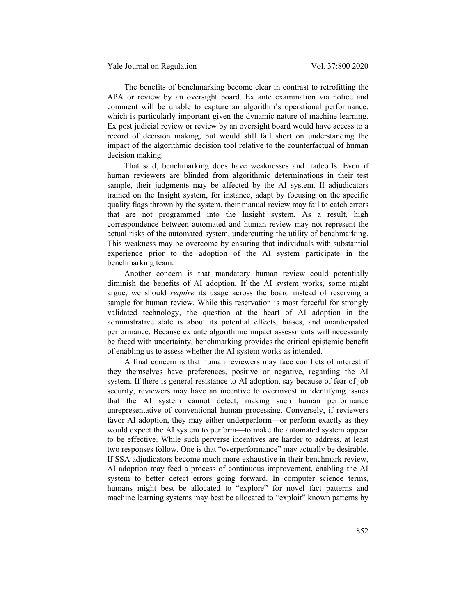The benefits of benchmarking become clear in contrast to retrofitting the APA or review by an oversight board. Ex ante examination via notice and comment will be unable to capture an algorithm's operational performance, which is particularly important given the dynamic nature of machine learning. Ex post judicial review or review by an oversight board would have access to a record of decision making, but would still fall short on understanding the impact of the algorithmic decision tool relative to the counterfactual of human decision making.

That said, benchmarking does have weaknesses and tradeoffs. Even if human reviewers are blinded from algorithmic determinations in their test sample, their judgments may be affected by the AI system. If adjudicators trained on the Insight system, for instance, adapt by focusing on the specific quality flags thrown by the system, their manual review may fail to catch errors that are not programmed into the Insight system. As a result, high correspondence between automated and human review may not represent the actual risks of the automated system, undercutting the utility of benchmarking. This weakness may be overcome by ensuring that individuals with substantial experience prior to the adoption of the AI system participate in the benchmarking team.

Another concern is that mandatory human review could potentially diminish the benefits of AI adoption. If the AI system works, some might argue, we should *require* its usage across the board instead of reserving a sample for human review. While this reservation is most forceful for strongly validated technology, the question at the heart of AI adoption in the administrative state is about its potential effects, biases, and unanticipated performance. Because ex ante algorithmic impact assessments will necessarily be faced with uncertainty, benchmarking provides the critical epistemic benefit of enabling us to assess whether the AI system works as intended.

A final concern is that human reviewers may face conflicts of interest if they themselves have preferences, positive or negative, regarding the AI system. If there is general resistance to AI adoption, say because of fear of job security, reviewers may have an incentive to overinvest in identifying issues that the AI system cannot detect, making such human performance unrepresentative of conventional human processing. Conversely, if reviewers favor AI adoption, they may either underperform—or perform exactly as they would expect the AI system to perform—to make the automated system appear to be effective. While such perverse incentives are harder to address, at least two responses follow. One is that "overperformance" may actually be desirable. If SSA adjudicators become much more exhaustive in their benchmark review, AI adoption may feed a process of continuous improvement, enabling the AI system to better detect errors going forward. In computer science terms, humans might best be allocated to "explore" for novel fact patterns and machine learning systems may best be allocated to "exploit" known patterns by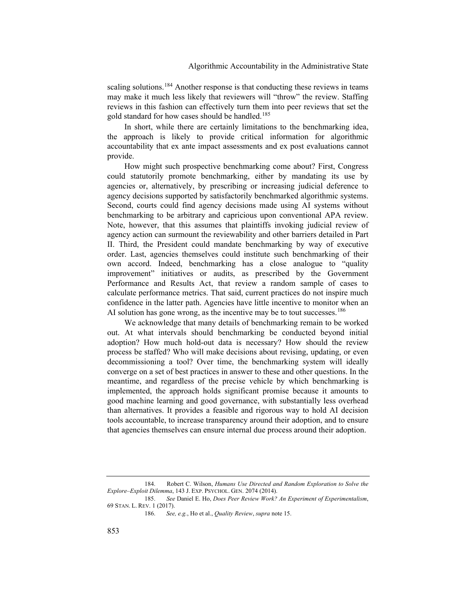scaling solutions.<sup>[184](#page-53-0)</sup> Another response is that conducting these reviews in teams may make it much less likely that reviewers will "throw" the review. Staffing reviews in this fashion can effectively turn them into peer reviews that set the gold standard for how cases should be handled.<sup>[185](#page-53-1)</sup>

In short, while there are certainly limitations to the benchmarking idea, the approach is likely to provide critical information for algorithmic accountability that ex ante impact assessments and ex post evaluations cannot provide.

How might such prospective benchmarking come about? First, Congress could statutorily promote benchmarking, either by mandating its use by agencies or, alternatively, by prescribing or increasing judicial deference to agency decisions supported by satisfactorily benchmarked algorithmic systems. Second, courts could find agency decisions made using AI systems without benchmarking to be arbitrary and capricious upon conventional APA review. Note, however, that this assumes that plaintiffs invoking judicial review of agency action can surmount the reviewability and other barriers detailed in Part II. Third, the President could mandate benchmarking by way of executive order. Last, agencies themselves could institute such benchmarking of their own accord. Indeed, benchmarking has a close analogue to "quality improvement" initiatives or audits, as prescribed by the Government Performance and Results Act, that review a random sample of cases to calculate performance metrics. That said, current practices do not inspire much confidence in the latter path. Agencies have little incentive to monitor when an AI solution has gone wrong, as the incentive may be to tout successes.<sup>[186](#page-53-2)</sup>

We acknowledge that many details of benchmarking remain to be worked out. At what intervals should benchmarking be conducted beyond initial adoption? How much hold-out data is necessary? How should the review process be staffed? Who will make decisions about revising, updating, or even decommissioning a tool? Over time, the benchmarking system will ideally converge on a set of best practices in answer to these and other questions. In the meantime, and regardless of the precise vehicle by which benchmarking is implemented, the approach holds significant promise because it amounts to good machine learning and good governance, with substantially less overhead than alternatives. It provides a feasible and rigorous way to hold AI decision tools accountable, to increase transparency around their adoption, and to ensure that agencies themselves can ensure internal due process around their adoption.

<span id="page-53-0"></span><sup>184.</sup> Robert C. Wilson, *Humans Use Directed and Random Exploration to Solve the Explore–Exploit Dilemma*, 143 J. EXP. PSYCHOL. GEN. 2074 (2014).

<span id="page-53-2"></span><span id="page-53-1"></span><sup>185.</sup> *See* Daniel E. Ho, *Does Peer Review Work? An Experiment of Experimentalism*, 69 STAN. L. REV. 1 (2017).

<sup>186.</sup> *See, e.g.*, Ho et al., *Quality Review*, *supra* not[e 15.](#page-3-5)